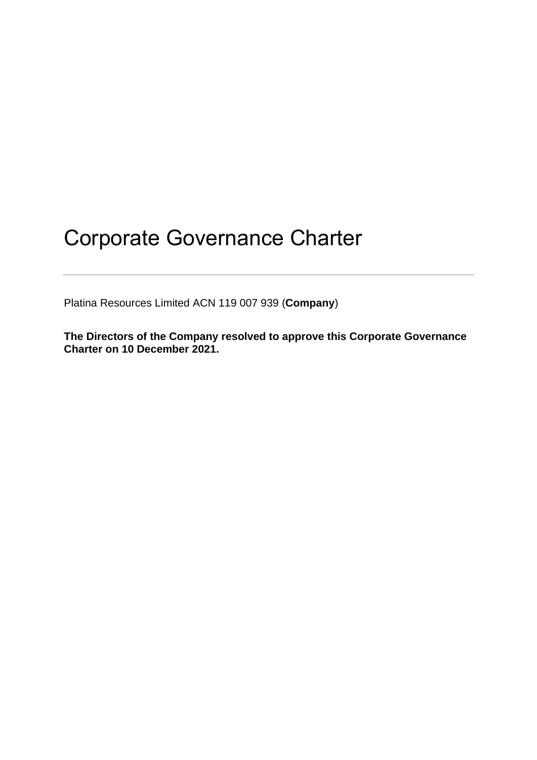Platina Resources Limited ACN 119 007 939 (**Company**)

**The Directors of the Company resolved to approve this Corporate Governance Charter on 10 December 2021.**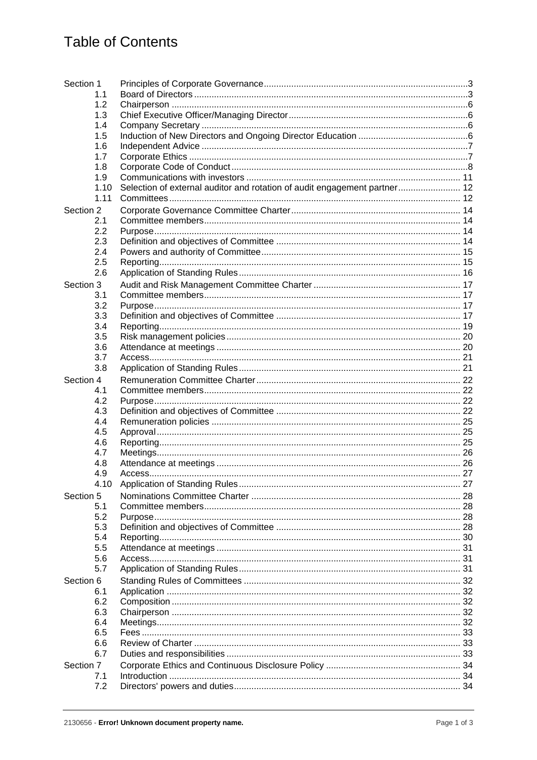| Section 1 |                                                                           |  |
|-----------|---------------------------------------------------------------------------|--|
| 1.1       |                                                                           |  |
| 1.2       |                                                                           |  |
| 1.3       |                                                                           |  |
| 1.4       |                                                                           |  |
| 1.5       |                                                                           |  |
| 1.6       |                                                                           |  |
| 1.7       |                                                                           |  |
| 1.8       |                                                                           |  |
| 1.9       |                                                                           |  |
| 1.10      | Selection of external auditor and rotation of audit engagement partner 12 |  |
| 1.11      |                                                                           |  |
| Section 2 |                                                                           |  |
| 2.1       |                                                                           |  |
| 2.2       |                                                                           |  |
| 2.3       |                                                                           |  |
| 2.4       |                                                                           |  |
| 2.5       |                                                                           |  |
| 2.6       |                                                                           |  |
| Section 3 |                                                                           |  |
| 3.1       |                                                                           |  |
| 3.2       |                                                                           |  |
| 3.3       |                                                                           |  |
| 3.4       |                                                                           |  |
| 3.5       |                                                                           |  |
| 3.6       |                                                                           |  |
| 3.7       |                                                                           |  |
| 3.8       |                                                                           |  |
| Section 4 |                                                                           |  |
| 4.1       |                                                                           |  |
| 4.2       |                                                                           |  |
| 4.3       |                                                                           |  |
| 4.4       |                                                                           |  |
| 4.5       |                                                                           |  |
| 4.6       |                                                                           |  |
| 4.7       |                                                                           |  |
| 4.8       |                                                                           |  |
| 4.9       |                                                                           |  |
| 4.10      |                                                                           |  |
| Section 5 |                                                                           |  |
| 5.1       |                                                                           |  |
| 5.2       |                                                                           |  |
| 5.3       |                                                                           |  |
| 5.4       |                                                                           |  |
| 5.5       |                                                                           |  |
| 5.6       |                                                                           |  |
| 5.7       |                                                                           |  |
| Section 6 |                                                                           |  |
| 6.1       |                                                                           |  |
| 6.2       |                                                                           |  |
| 6.3       |                                                                           |  |
| 6.4       |                                                                           |  |
| 6.5       |                                                                           |  |
| 6.6       |                                                                           |  |
| 6.7       |                                                                           |  |
| Section 7 |                                                                           |  |
| 7.1       |                                                                           |  |
| 7.2       |                                                                           |  |
|           |                                                                           |  |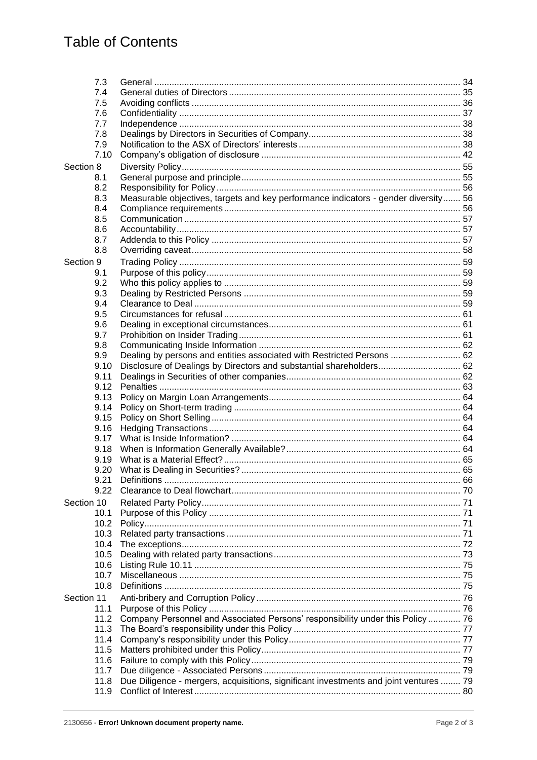## **Table of Contents**

| 7.3        |                                                                                       |  |
|------------|---------------------------------------------------------------------------------------|--|
| 7.4        |                                                                                       |  |
| 7.5        |                                                                                       |  |
| 7.6        |                                                                                       |  |
| 7.7        |                                                                                       |  |
|            |                                                                                       |  |
| 7.8        |                                                                                       |  |
| 7.9        |                                                                                       |  |
| 7.10       |                                                                                       |  |
| Section 8  |                                                                                       |  |
| 8.1        |                                                                                       |  |
| 8.2        |                                                                                       |  |
| 8.3        | Measurable objectives, targets and key performance indicators - gender diversity 56   |  |
| 8.4        |                                                                                       |  |
|            |                                                                                       |  |
| 8.5        |                                                                                       |  |
| 8.6        |                                                                                       |  |
| 8.7        |                                                                                       |  |
| 8.8        |                                                                                       |  |
| Section 9  |                                                                                       |  |
| 9.1        |                                                                                       |  |
| 9.2        |                                                                                       |  |
| 9.3        |                                                                                       |  |
| 9.4        |                                                                                       |  |
|            |                                                                                       |  |
| 9.5        |                                                                                       |  |
| 9.6        |                                                                                       |  |
| 9.7        |                                                                                       |  |
| 9.8        |                                                                                       |  |
| 9.9        | Dealing by persons and entities associated with Restricted Persons  62                |  |
| 9.10       | Disclosure of Dealings by Directors and substantial shareholders 62                   |  |
| 9.11       |                                                                                       |  |
| 9.12       |                                                                                       |  |
| 9.13       |                                                                                       |  |
| 9.14       |                                                                                       |  |
| 9.15       |                                                                                       |  |
|            |                                                                                       |  |
| 9.16       |                                                                                       |  |
| 9.17       |                                                                                       |  |
| 9.18       |                                                                                       |  |
| 9.19       |                                                                                       |  |
| 9.20       |                                                                                       |  |
| 9.21       | <b>Definitions</b>                                                                    |  |
| 9.22       |                                                                                       |  |
| Section 10 |                                                                                       |  |
|            |                                                                                       |  |
| 10.1       |                                                                                       |  |
| 10.2       |                                                                                       |  |
| 10.3       |                                                                                       |  |
| 10.4       |                                                                                       |  |
| 10.5       |                                                                                       |  |
| 10.6       |                                                                                       |  |
| 10.7       |                                                                                       |  |
| 10.8       |                                                                                       |  |
| Section 11 |                                                                                       |  |
| 11.1       |                                                                                       |  |
|            |                                                                                       |  |
| 11.2       | Company Personnel and Associated Persons' responsibility under this Policy  76        |  |
| 11.3       |                                                                                       |  |
| 11.4       |                                                                                       |  |
| 11.5       |                                                                                       |  |
| 11.6       |                                                                                       |  |
| 11.7       |                                                                                       |  |
| 11.8       | Due Diligence - mergers, acquisitions, significant investments and joint ventures  79 |  |
|            |                                                                                       |  |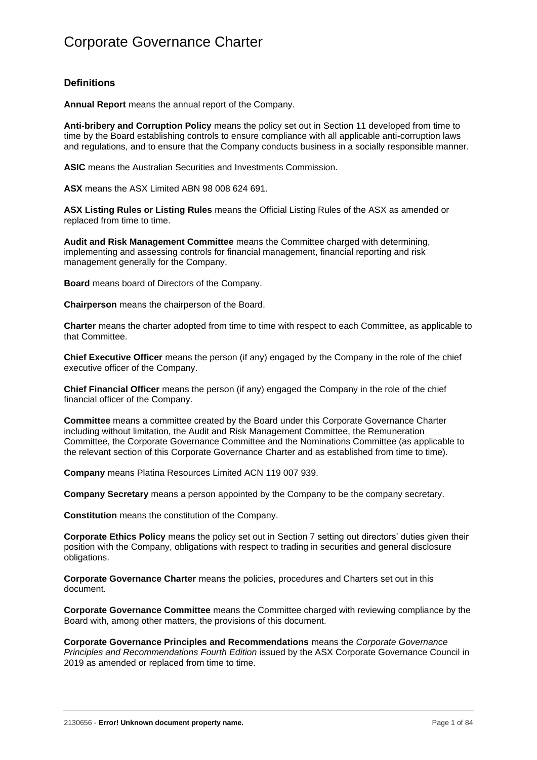### **Definitions**

**Annual Report** means the annual report of the Company.

**Anti-bribery and Corruption Policy** means the policy set out in [Section](#page-79-0) 11 developed from time to time by the Board establishing controls to ensure compliance with all applicable anti-corruption laws and regulations, and to ensure that the Company conducts business in a socially responsible manner.

**ASIC** means the Australian Securities and Investments Commission.

**ASX** means the ASX Limited ABN 98 008 624 691.

**ASX Listing Rules or Listing Rules** means the Official Listing Rules of the ASX as amended or replaced from time to time.

**Audit and Risk Management Committee** means the Committee charged with determining, implementing and assessing controls for financial management, financial reporting and risk management generally for the Company.

**Board** means board of Directors of the Company.

**Chairperson** means the chairperson of the Board.

**Charter** means the charter adopted from time to time with respect to each Committee, as applicable to that Committee.

**Chief Executive Officer** means the person (if any) engaged by the Company in the role of the chief executive officer of the Company.

**Chief Financial Officer** means the person (if any) engaged the Company in the role of the chief financial officer of the Company.

**Committee** means a committee created by the Board under this Corporate Governance Charter including without limitation, the Audit and Risk Management Committee, the Remuneration Committee, the Corporate Governance Committee and the Nominations Committee (as applicable to the relevant section of this Corporate Governance Charter and as established from time to time).

**Company** means Platina Resources Limited ACN 119 007 939.

**Company Secretary** means a person appointed by the Company to be the company secretary.

**Constitution** means the constitution of the Company.

**Corporate Ethics Policy** means the policy set out in [Section](#page-37-0) 7 setting out directors' duties given their position with the Company, obligations with respect to trading in securities and general disclosure obligations.

**Corporate Governance Charter** means the policies, procedures and Charters set out in this document.

**Corporate Governance Committee** means the Committee charged with reviewing compliance by the Board with, among other matters, the provisions of this document.

**Corporate Governance Principles and Recommendations** means the *Corporate Governance Principles and Recommendations Fourth Edition* issued by the ASX Corporate Governance Council in 2019 as amended or replaced from time to time.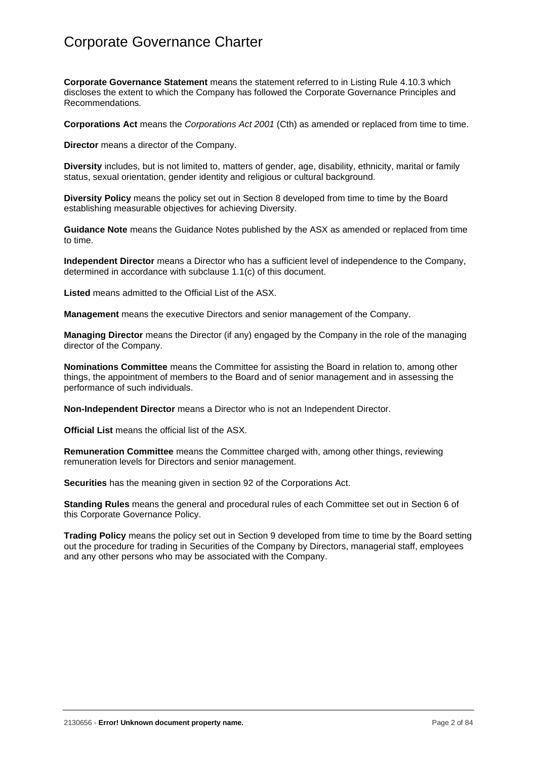**Corporate Governance Statement** means the statement referred to in Listing Rule 4.10.3 which discloses the extent to which the Company has followed the Corporate Governance Principles and Recommendations*.*

**Corporations Act** means the *Corporations Act 2001* (Cth) as amended or replaced from time to time.

**Director** means a director of the Company.

**Diversity** includes, but is not limited to, matters of gender, age, disability, ethnicity, marital or family status, sexual orientation, gender identity and religious or cultural background.

**Diversity Policy** means the policy set out in [Section](#page-58-0) 8 developed from time to time by the Board establishing measurable objectives for achieving Diversity.

**Guidance Note** means the Guidance Notes published by the ASX as amended or replaced from time to time.

**Independent Director** means a Director who has a sufficient level of independence to the Company, determined in accordance with subclause [1.1\(c\)](#page-7-0) of this document.

**Listed** means admitted to the Official List of the ASX.

**Management** means the executive Directors and senior management of the Company.

**Managing Director** means the Director (if any) engaged by the Company in the role of the managing director of the Company.

**Nominations Committee** means the Committee for assisting the Board in relation to, among other things, the appointment of members to the Board and of senior management and in assessing the performance of such individuals.

**Non-Independent Director** means a Director who is not an Independent Director.

**Official List** means the official list of the ASX.

**Remuneration Committee** means the Committee charged with, among other things, reviewing remuneration levels for Directors and senior management.

**Securities** has the meaning given in section 92 of the Corporations Act.

**Standing Rules** means the general and procedural rules of each Committee set out in [Section](#page-35-0) 6 of this Corporate Governance Policy.

<span id="page-5-0"></span>**Trading Policy** means the policy set out in [Section](#page-61-1) 9 developed from time to time by the Board setting out the procedure for trading in Securities of the Company by Directors, managerial staff, employees and any other persons who may be associated with the Company.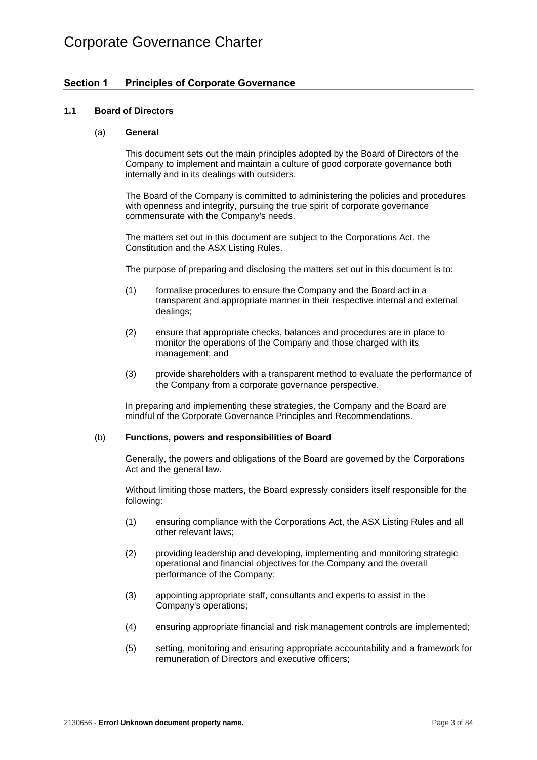### <span id="page-6-0"></span>**Section 1 Principles of Corporate Governance**

### <span id="page-6-1"></span>**1.1 Board of Directors**

### (a) **General**

This document sets out the main principles adopted by the Board of Directors of the Company to implement and maintain a culture of good corporate governance both internally and in its dealings with outsiders.

The Board of the Company is committed to administering the policies and procedures with openness and integrity, pursuing the true spirit of corporate governance commensurate with the Company's needs.

The matters set out in this document are subject to the Corporations Act, the Constitution and the ASX Listing Rules.

The purpose of preparing and disclosing the matters set out in this document is to:

- (1) formalise procedures to ensure the Company and the Board act in a transparent and appropriate manner in their respective internal and external dealings;
- (2) ensure that appropriate checks, balances and procedures are in place to monitor the operations of the Company and those charged with its management; and
- (3) provide shareholders with a transparent method to evaluate the performance of the Company from a corporate governance perspective.

In preparing and implementing these strategies, the Company and the Board are mindful of the Corporate Governance Principles and Recommendations.

### <span id="page-6-2"></span>(b) **Functions, powers and responsibilities of Board**

Generally, the powers and obligations of the Board are governed by the Corporations Act and the general law.

Without limiting those matters, the Board expressly considers itself responsible for the following:

- (1) ensuring compliance with the Corporations Act, the ASX Listing Rules and all other relevant laws;
- (2) providing leadership and developing, implementing and monitoring strategic operational and financial objectives for the Company and the overall performance of the Company;
- (3) appointing appropriate staff, consultants and experts to assist in the Company's operations;
- (4) ensuring appropriate financial and risk management controls are implemented;
- (5) setting, monitoring and ensuring appropriate accountability and a framework for remuneration of Directors and executive officers;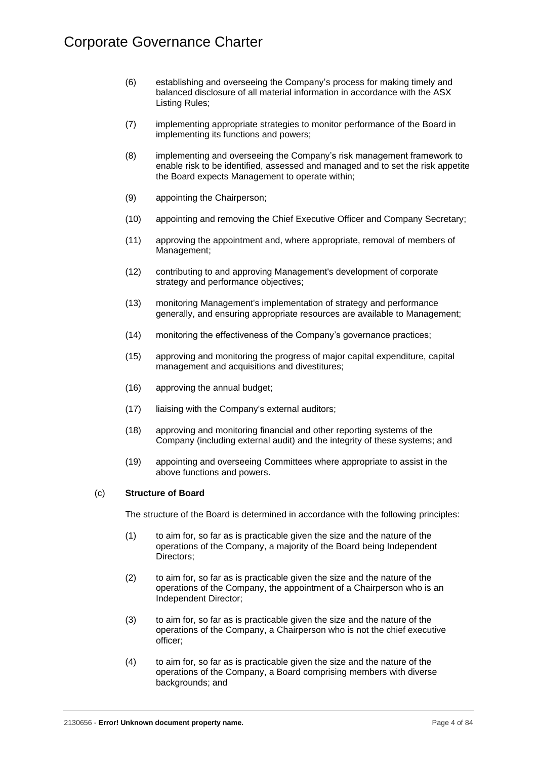- (6) establishing and overseeing the Company's process for making timely and balanced disclosure of all material information in accordance with the ASX Listing Rules;
- (7) implementing appropriate strategies to monitor performance of the Board in implementing its functions and powers;
- (8) implementing and overseeing the Company's risk management framework to enable risk to be identified, assessed and managed and to set the risk appetite the Board expects Management to operate within;
- (9) appointing the Chairperson;
- (10) appointing and removing the Chief Executive Officer and Company Secretary;
- (11) approving the appointment and, where appropriate, removal of members of Management;
- (12) contributing to and approving Management's development of corporate strategy and performance objectives;
- (13) monitoring Management's implementation of strategy and performance generally, and ensuring appropriate resources are available to Management;
- (14) monitoring the effectiveness of the Company's governance practices;
- (15) approving and monitoring the progress of major capital expenditure, capital management and acquisitions and divestitures;
- (16) approving the annual budget;
- (17) liaising with the Company's external auditors;
- (18) approving and monitoring financial and other reporting systems of the Company (including external audit) and the integrity of these systems; and
- (19) appointing and overseeing Committees where appropriate to assist in the above functions and powers.

### <span id="page-7-1"></span><span id="page-7-0"></span>(c) **Structure of Board**

The structure of the Board is determined in accordance with the following principles:

- (1) to aim for, so far as is practicable given the size and the nature of the operations of the Company, a majority of the Board being Independent Directors;
- (2) to aim for, so far as is practicable given the size and the nature of the operations of the Company, the appointment of a Chairperson who is an Independent Director;
- (3) to aim for, so far as is practicable given the size and the nature of the operations of the Company, a Chairperson who is not the chief executive officer;
- <span id="page-7-2"></span>(4) to aim for, so far as is practicable given the size and the nature of the operations of the Company, a Board comprising members with diverse backgrounds; and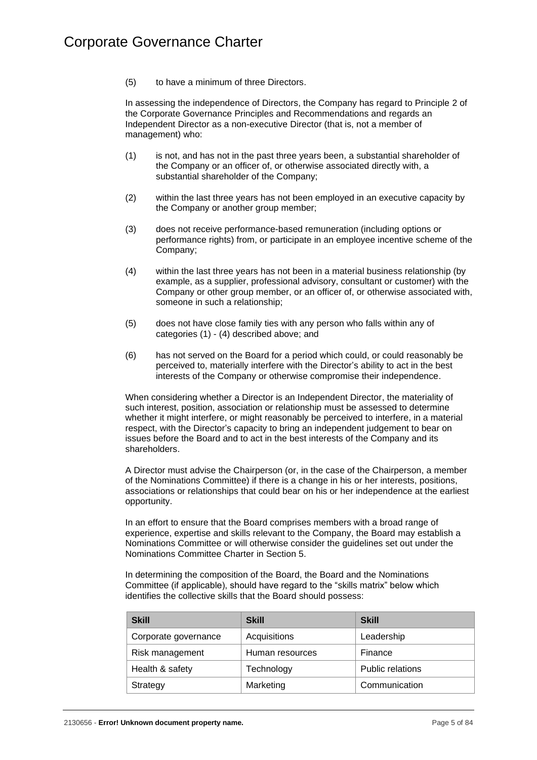(5) to have a minimum of three Directors.

In assessing the independence of Directors, the Company has regard to Principle 2 of the Corporate Governance Principles and Recommendations and regards an Independent Director as a non-executive Director (that is, not a member of management) who:

- (1) is not, and has not in the past three years been, a substantial shareholder of the Company or an officer of, or otherwise associated directly with, a substantial shareholder of the Company;
- (2) within the last three years has not been employed in an executive capacity by the Company or another group member;
- (3) does not receive performance-based remuneration (including options or performance rights) from, or participate in an employee incentive scheme of the Company;
- (4) within the last three years has not been in a material business relationship (by example, as a supplier, professional advisory, consultant or customer) with the Company or other group member, or an officer of, or otherwise associated with, someone in such a relationship;
- (5) does not have close family ties with any person who falls within any of categories [\(1\)](#page-7-1) - [\(4\)](#page-7-2) described above; and
- (6) has not served on the Board for a period which could, or could reasonably be perceived to, materially interfere with the Director's ability to act in the best interests of the Company or otherwise compromise their independence.

When considering whether a Director is an Independent Director, the materiality of such interest, position, association or relationship must be assessed to determine whether it might interfere, or might reasonably be perceived to interfere, in a material respect, with the Director's capacity to bring an independent judgement to bear on issues before the Board and to act in the best interests of the Company and its shareholders.

A Director must advise the Chairperson (or, in the case of the Chairperson, a member of the Nominations Committee) if there is a change in his or her interests, positions, associations or relationships that could bear on his or her independence at the earliest opportunity.

In an effort to ensure that the Board comprises members with a broad range of experience, expertise and skills relevant to the Company, the Board may establish a Nominations Committee or will otherwise consider the guidelines set out under the Nominations Committee Charter in [Section](#page-31-0) 5.

In determining the composition of the Board, the Board and the Nominations Committee (if applicable), should have regard to the "skills matrix" below which identifies the collective skills that the Board should possess:

| <b>Skill</b>         | <b>Skill</b>    | <b>Skill</b>            |
|----------------------|-----------------|-------------------------|
| Corporate governance | Acquisitions    | Leadership              |
| Risk management      | Human resources | Finance                 |
| Health & safety      | Technology      | <b>Public relations</b> |
| Strategy             | Marketing       | Communication           |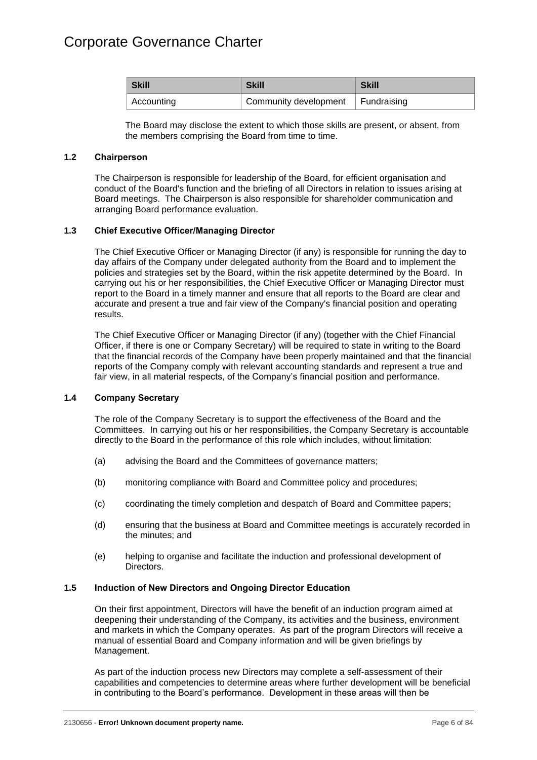| <b>Skill</b> | <b>Skill</b>                        | <b>Skill</b> |
|--------------|-------------------------------------|--------------|
| Accounting   | Community development   Fundraising |              |

The Board may disclose the extent to which those skills are present, or absent, from the members comprising the Board from time to time.

### <span id="page-9-0"></span>**1.2 Chairperson**

The Chairperson is responsible for leadership of the Board, for efficient organisation and conduct of the Board's function and the briefing of all Directors in relation to issues arising at Board meetings. The Chairperson is also responsible for shareholder communication and arranging Board performance evaluation.

### <span id="page-9-1"></span>**1.3 Chief Executive Officer/Managing Director**

The Chief Executive Officer or Managing Director (if any) is responsible for running the day to day affairs of the Company under delegated authority from the Board and to implement the policies and strategies set by the Board, within the risk appetite determined by the Board. In carrying out his or her responsibilities, the Chief Executive Officer or Managing Director must report to the Board in a timely manner and ensure that all reports to the Board are clear and accurate and present a true and fair view of the Company's financial position and operating results.

The Chief Executive Officer or Managing Director (if any) (together with the Chief Financial Officer, if there is one or Company Secretary) will be required to state in writing to the Board that the financial records of the Company have been properly maintained and that the financial reports of the Company comply with relevant accounting standards and represent a true and fair view, in all material respects, of the Company's financial position and performance.

### <span id="page-9-2"></span>**1.4 Company Secretary**

The role of the Company Secretary is to support the effectiveness of the Board and the Committees. In carrying out his or her responsibilities, the Company Secretary is accountable directly to the Board in the performance of this role which includes, without limitation:

- (a) advising the Board and the Committees of governance matters;
- (b) monitoring compliance with Board and Committee policy and procedures;
- (c) coordinating the timely completion and despatch of Board and Committee papers;
- (d) ensuring that the business at Board and Committee meetings is accurately recorded in the minutes; and
- (e) helping to organise and facilitate the induction and professional development of Directors.

### <span id="page-9-3"></span>**1.5 Induction of New Directors and Ongoing Director Education**

On their first appointment, Directors will have the benefit of an induction program aimed at deepening their understanding of the Company, its activities and the business, environment and markets in which the Company operates. As part of the program Directors will receive a manual of essential Board and Company information and will be given briefings by Management.

As part of the induction process new Directors may complete a self-assessment of their capabilities and competencies to determine areas where further development will be beneficial in contributing to the Board's performance. Development in these areas will then be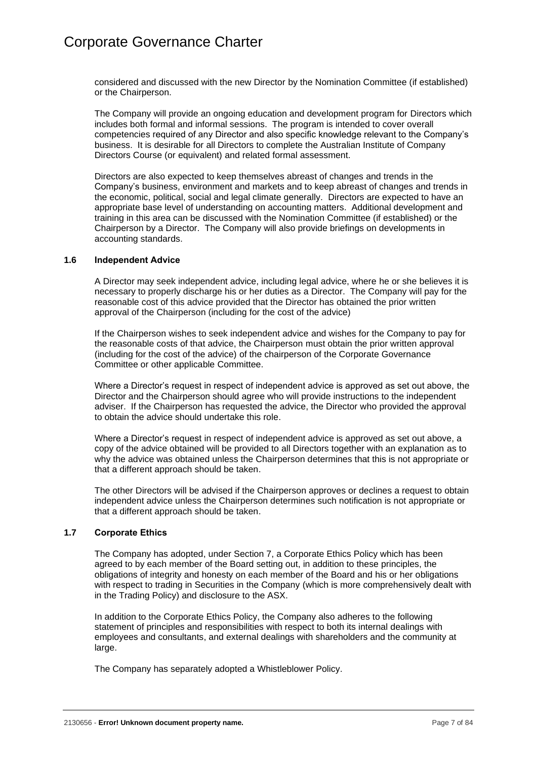considered and discussed with the new Director by the Nomination Committee (if established) or the Chairperson.

The Company will provide an ongoing education and development program for Directors which includes both formal and informal sessions. The program is intended to cover overall competencies required of any Director and also specific knowledge relevant to the Company's business. It is desirable for all Directors to complete the Australian Institute of Company Directors Course (or equivalent) and related formal assessment.

Directors are also expected to keep themselves abreast of changes and trends in the Company's business, environment and markets and to keep abreast of changes and trends in the economic, political, social and legal climate generally. Directors are expected to have an appropriate base level of understanding on accounting matters. Additional development and training in this area can be discussed with the Nomination Committee (if established) or the Chairperson by a Director. The Company will also provide briefings on developments in accounting standards.

### <span id="page-10-0"></span>**1.6 Independent Advice**

A Director may seek independent advice, including legal advice, where he or she believes it is necessary to properly discharge his or her duties as a Director. The Company will pay for the reasonable cost of this advice provided that the Director has obtained the prior written approval of the Chairperson (including for the cost of the advice)

If the Chairperson wishes to seek independent advice and wishes for the Company to pay for the reasonable costs of that advice, the Chairperson must obtain the prior written approval (including for the cost of the advice) of the chairperson of the Corporate Governance Committee or other applicable Committee.

Where a Director's request in respect of independent advice is approved as set out above, the Director and the Chairperson should agree who will provide instructions to the independent adviser. If the Chairperson has requested the advice, the Director who provided the approval to obtain the advice should undertake this role.

Where a Director's request in respect of independent advice is approved as set out above, a copy of the advice obtained will be provided to all Directors together with an explanation as to why the advice was obtained unless the Chairperson determines that this is not appropriate or that a different approach should be taken.

The other Directors will be advised if the Chairperson approves or declines a request to obtain independent advice unless the Chairperson determines such notification is not appropriate or that a different approach should be taken.

### <span id="page-10-1"></span>**1.7 Corporate Ethics**

The Company has adopted, under [Section](#page-37-0) 7, a Corporate Ethics Policy which has been agreed to by each member of the Board setting out, in addition to these principles, the obligations of integrity and honesty on each member of the Board and his or her obligations with respect to trading in Securities in the Company (which is more comprehensively dealt with in the Trading Policy) and disclosure to the ASX.

In addition to the Corporate Ethics Policy, the Company also adheres to the following statement of principles and responsibilities with respect to both its internal dealings with employees and consultants, and external dealings with shareholders and the community at large.

The Company has separately adopted a Whistleblower Policy.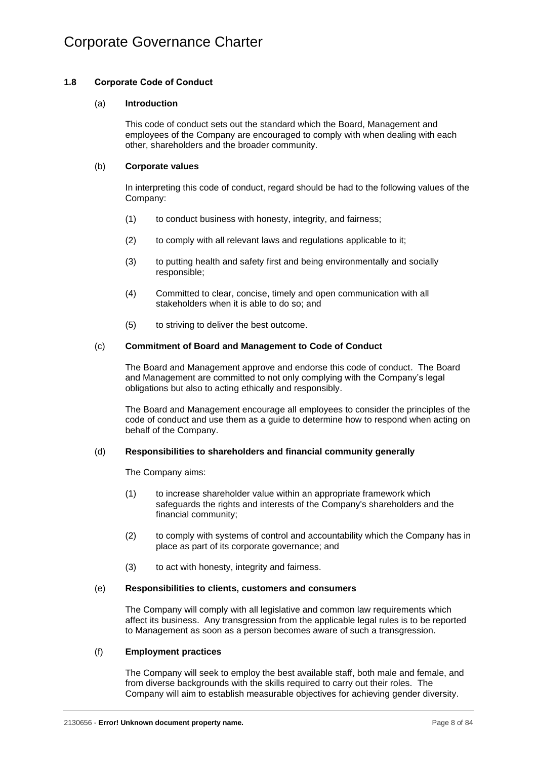### <span id="page-11-0"></span>**1.8 Corporate Code of Conduct**

### (a) **Introduction**

This code of conduct sets out the standard which the Board, Management and employees of the Company are encouraged to comply with when dealing with each other, shareholders and the broader community.

### (b) **Corporate values**

In interpreting this code of conduct, regard should be had to the following values of the Company:

- (1) to conduct business with honesty, integrity, and fairness;
- (2) to comply with all relevant laws and regulations applicable to it;
- (3) to putting health and safety first and being environmentally and socially responsible;
- (4) Committed to clear, concise, timely and open communication with all stakeholders when it is able to do so; and
- (5) to striving to deliver the best outcome.

### (c) **Commitment of Board and Management to Code of Conduct**

The Board and Management approve and endorse this code of conduct. The Board and Management are committed to not only complying with the Company's legal obligations but also to acting ethically and responsibly.

The Board and Management encourage all employees to consider the principles of the code of conduct and use them as a guide to determine how to respond when acting on behalf of the Company.

### (d) **Responsibilities to shareholders and financial community generally**

The Company aims:

- (1) to increase shareholder value within an appropriate framework which safeguards the rights and interests of the Company's shareholders and the financial community;
- (2) to comply with systems of control and accountability which the Company has in place as part of its corporate governance; and
- (3) to act with honesty, integrity and fairness.

### (e) **Responsibilities to clients, customers and consumers**

The Company will comply with all legislative and common law requirements which affect its business. Any transgression from the applicable legal rules is to be reported to Management as soon as a person becomes aware of such a transgression.

### (f) **Employment practices**

The Company will seek to employ the best available staff, both male and female, and from diverse backgrounds with the skills required to carry out their roles. The Company will aim to establish measurable objectives for achieving gender diversity.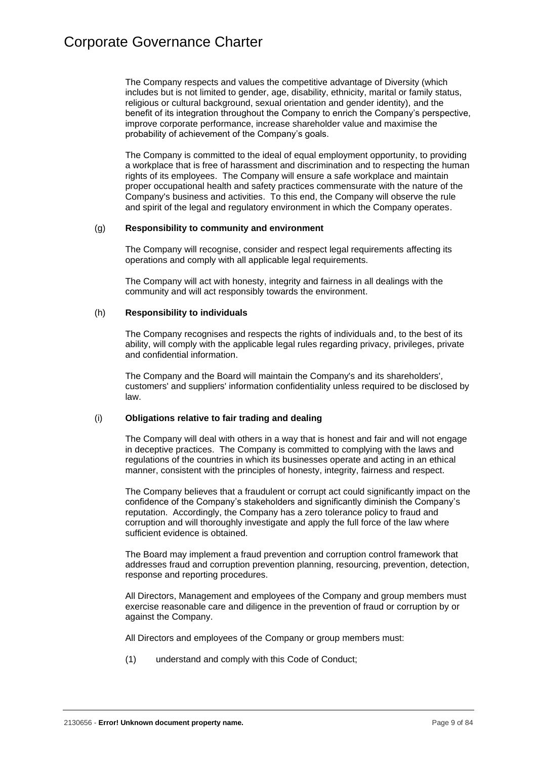The Company respects and values the competitive advantage of Diversity (which includes but is not limited to gender, age, disability, ethnicity, marital or family status, religious or cultural background, sexual orientation and gender identity), and the benefit of its integration throughout the Company to enrich the Company's perspective, improve corporate performance, increase shareholder value and maximise the probability of achievement of the Company's goals.

The Company is committed to the ideal of equal employment opportunity, to providing a workplace that is free of harassment and discrimination and to respecting the human rights of its employees. The Company will ensure a safe workplace and maintain proper occupational health and safety practices commensurate with the nature of the Company's business and activities. To this end, the Company will observe the rule and spirit of the legal and regulatory environment in which the Company operates.

### (g) **Responsibility to community and environment**

The Company will recognise, consider and respect legal requirements affecting its operations and comply with all applicable legal requirements.

The Company will act with honesty, integrity and fairness in all dealings with the community and will act responsibly towards the environment.

### (h) **Responsibility to individuals**

The Company recognises and respects the rights of individuals and, to the best of its ability, will comply with the applicable legal rules regarding privacy, privileges, private and confidential information.

The Company and the Board will maintain the Company's and its shareholders', customers' and suppliers' information confidentiality unless required to be disclosed by law.

### (i) **Obligations relative to fair trading and dealing**

The Company will deal with others in a way that is honest and fair and will not engage in deceptive practices. The Company is committed to complying with the laws and regulations of the countries in which its businesses operate and acting in an ethical manner, consistent with the principles of honesty, integrity, fairness and respect.

The Company believes that a fraudulent or corrupt act could significantly impact on the confidence of the Company's stakeholders and significantly diminish the Company's reputation. Accordingly, the Company has a zero tolerance policy to fraud and corruption and will thoroughly investigate and apply the full force of the law where sufficient evidence is obtained.

The Board may implement a fraud prevention and corruption control framework that addresses fraud and corruption prevention planning, resourcing, prevention, detection, response and reporting procedures.

All Directors, Management and employees of the Company and group members must exercise reasonable care and diligence in the prevention of fraud or corruption by or against the Company.

All Directors and employees of the Company or group members must:

(1) understand and comply with this Code of Conduct;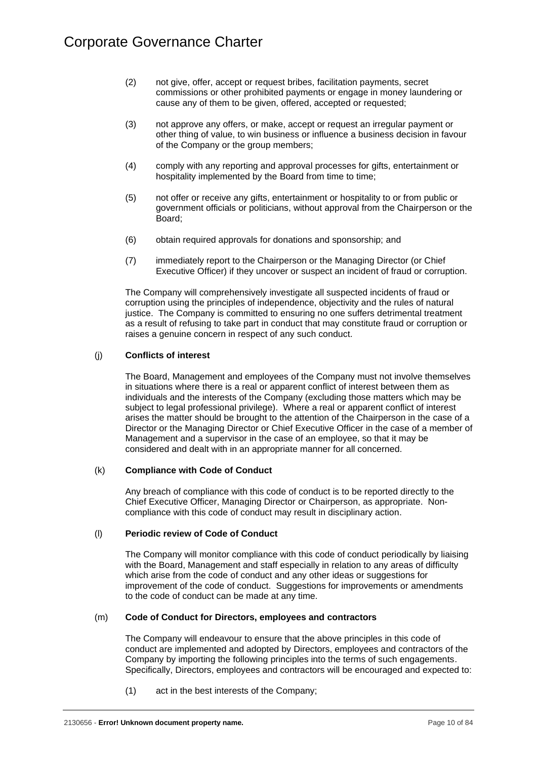- (2) not give, offer, accept or request bribes, facilitation payments, secret commissions or other prohibited payments or engage in money laundering or cause any of them to be given, offered, accepted or requested;
- (3) not approve any offers, or make, accept or request an irregular payment or other thing of value, to win business or influence a business decision in favour of the Company or the group members;
- (4) comply with any reporting and approval processes for gifts, entertainment or hospitality implemented by the Board from time to time;
- (5) not offer or receive any gifts, entertainment or hospitality to or from public or government officials or politicians, without approval from the Chairperson or the Board;
- (6) obtain required approvals for donations and sponsorship; and
- (7) immediately report to the Chairperson or the Managing Director (or Chief Executive Officer) if they uncover or suspect an incident of fraud or corruption.

The Company will comprehensively investigate all suspected incidents of fraud or corruption using the principles of independence, objectivity and the rules of natural justice. The Company is committed to ensuring no one suffers detrimental treatment as a result of refusing to take part in conduct that may constitute fraud or corruption or raises a genuine concern in respect of any such conduct.

### (j) **Conflicts of interest**

The Board, Management and employees of the Company must not involve themselves in situations where there is a real or apparent conflict of interest between them as individuals and the interests of the Company (excluding those matters which may be subject to legal professional privilege). Where a real or apparent conflict of interest arises the matter should be brought to the attention of the Chairperson in the case of a Director or the Managing Director or Chief Executive Officer in the case of a member of Management and a supervisor in the case of an employee, so that it may be considered and dealt with in an appropriate manner for all concerned.

### (k) **Compliance with Code of Conduct**

Any breach of compliance with this code of conduct is to be reported directly to the Chief Executive Officer, Managing Director or Chairperson, as appropriate. Noncompliance with this code of conduct may result in disciplinary action.

### (l) **Periodic review of Code of Conduct**

The Company will monitor compliance with this code of conduct periodically by liaising with the Board, Management and staff especially in relation to any areas of difficulty which arise from the code of conduct and any other ideas or suggestions for improvement of the code of conduct. Suggestions for improvements or amendments to the code of conduct can be made at any time.

### (m) **Code of Conduct for Directors, employees and contractors**

The Company will endeavour to ensure that the above principles in this code of conduct are implemented and adopted by Directors, employees and contractors of the Company by importing the following principles into the terms of such engagements. Specifically, Directors, employees and contractors will be encouraged and expected to:

(1) act in the best interests of the Company;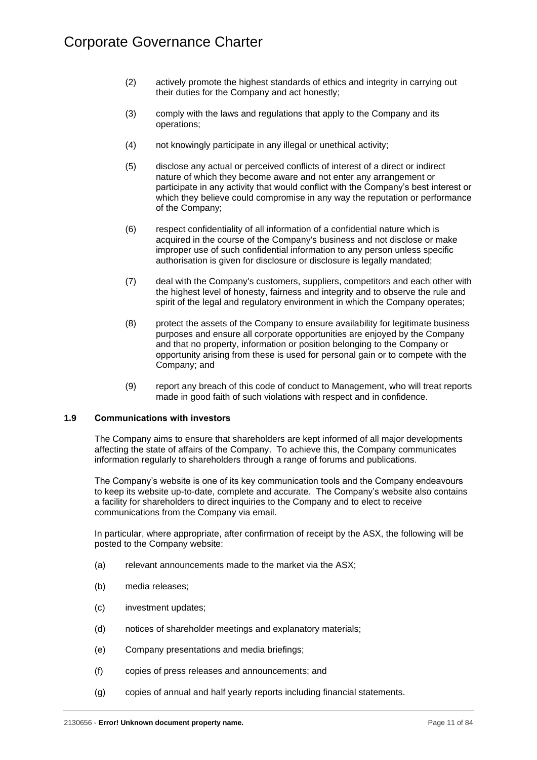- (2) actively promote the highest standards of ethics and integrity in carrying out their duties for the Company and act honestly;
- (3) comply with the laws and regulations that apply to the Company and its operations;
- (4) not knowingly participate in any illegal or unethical activity;
- (5) disclose any actual or perceived conflicts of interest of a direct or indirect nature of which they become aware and not enter any arrangement or participate in any activity that would conflict with the Company's best interest or which they believe could compromise in any way the reputation or performance of the Company;
- (6) respect confidentiality of all information of a confidential nature which is acquired in the course of the Company's business and not disclose or make improper use of such confidential information to any person unless specific authorisation is given for disclosure or disclosure is legally mandated;
- (7) deal with the Company's customers, suppliers, competitors and each other with the highest level of honesty, fairness and integrity and to observe the rule and spirit of the legal and regulatory environment in which the Company operates;
- (8) protect the assets of the Company to ensure availability for legitimate business purposes and ensure all corporate opportunities are enjoyed by the Company and that no property, information or position belonging to the Company or opportunity arising from these is used for personal gain or to compete with the Company; and
- (9) report any breach of this code of conduct to Management, who will treat reports made in good faith of such violations with respect and in confidence.

### <span id="page-14-0"></span>**1.9 Communications with investors**

The Company aims to ensure that shareholders are kept informed of all major developments affecting the state of affairs of the Company. To achieve this, the Company communicates information regularly to shareholders through a range of forums and publications.

The Company's website is one of its key communication tools and the Company endeavours to keep its website up-to-date, complete and accurate. The Company's website also contains a facility for shareholders to direct inquiries to the Company and to elect to receive communications from the Company via email.

In particular, where appropriate, after confirmation of receipt by the ASX, the following will be posted to the Company website:

- (a) relevant announcements made to the market via the ASX;
- (b) media releases;
- (c) investment updates;
- (d) notices of shareholder meetings and explanatory materials;
- (e) Company presentations and media briefings;
- (f) copies of press releases and announcements; and
- (g) copies of annual and half yearly reports including financial statements.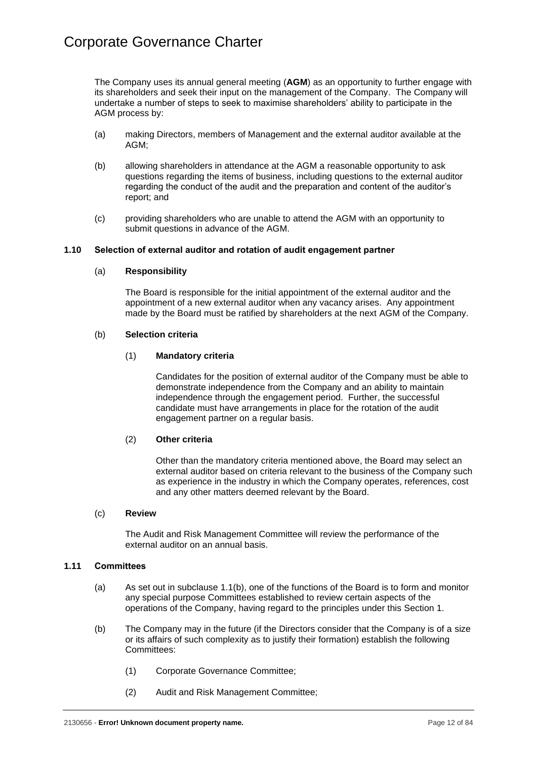The Company uses its annual general meeting (**AGM**) as an opportunity to further engage with its shareholders and seek their input on the management of the Company. The Company will undertake a number of steps to seek to maximise shareholders' ability to participate in the AGM process by:

- (a) making Directors, members of Management and the external auditor available at the AGM;
- (b) allowing shareholders in attendance at the AGM a reasonable opportunity to ask questions regarding the items of business, including questions to the external auditor regarding the conduct of the audit and the preparation and content of the auditor's report; and
- (c) providing shareholders who are unable to attend the AGM with an opportunity to submit questions in advance of the AGM.

### <span id="page-15-0"></span>**1.10 Selection of external auditor and rotation of audit engagement partner**

### (a) **Responsibility**

The Board is responsible for the initial appointment of the external auditor and the appointment of a new external auditor when any vacancy arises. Any appointment made by the Board must be ratified by shareholders at the next AGM of the Company.

### (b) **Selection criteria**

### (1) **Mandatory criteria**

Candidates for the position of external auditor of the Company must be able to demonstrate independence from the Company and an ability to maintain independence through the engagement period. Further, the successful candidate must have arrangements in place for the rotation of the audit engagement partner on a regular basis.

### (2) **Other criteria**

Other than the mandatory criteria mentioned above, the Board may select an external auditor based on criteria relevant to the business of the Company such as experience in the industry in which the Company operates, references, cost and any other matters deemed relevant by the Board.

### (c) **Review**

The Audit and Risk Management Committee will review the performance of the external auditor on an annual basis.

### <span id="page-15-1"></span>**1.11 Committees**

- (a) As set out in subclause [1.1\(b\),](#page-6-2) one of the functions of the Board is to form and monitor any special purpose Committees established to review certain aspects of the operations of the Company, having regard to the principles under this [Section](#page-5-0) 1.
- (b) The Company may in the future (if the Directors consider that the Company is of a size or its affairs of such complexity as to justify their formation) establish the following Committees:
	- (1) Corporate Governance Committee;
	- (2) Audit and Risk Management Committee;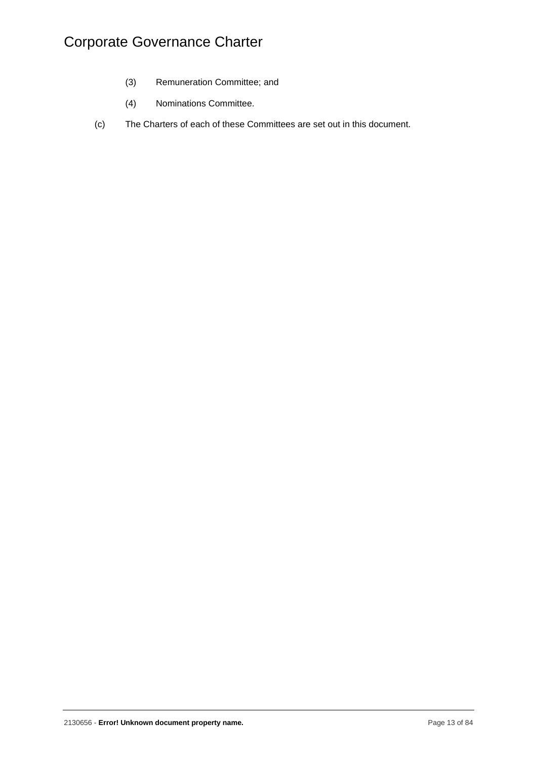- (3) Remuneration Committee; and
- (4) Nominations Committee.
- (c) The Charters of each of these Committees are set out in this document.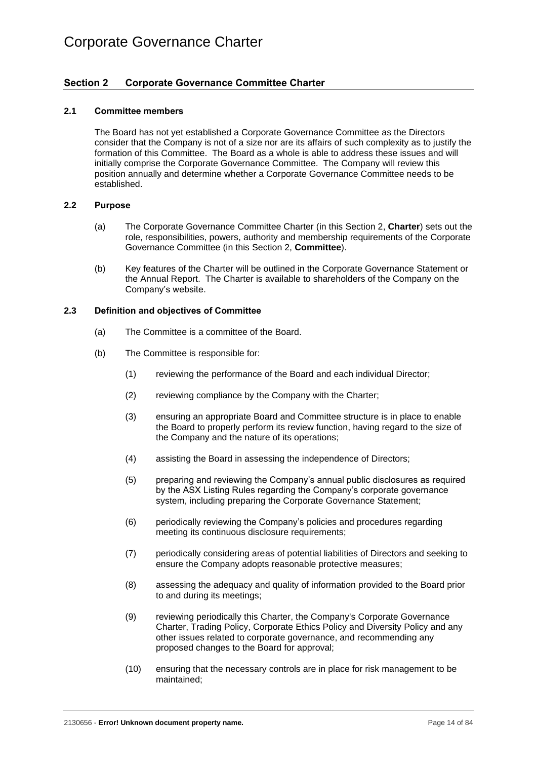### <span id="page-17-0"></span>**Section 2 Corporate Governance Committee Charter**

### <span id="page-17-1"></span>**2.1 Committee members**

The Board has not yet established a Corporate Governance Committee as the Directors consider that the Company is not of a size nor are its affairs of such complexity as to justify the formation of this Committee. The Board as a whole is able to address these issues and will initially comprise the Corporate Governance Committee. The Company will review this position annually and determine whether a Corporate Governance Committee needs to be established.

#### <span id="page-17-2"></span>**2.2 Purpose**

- (a) The Corporate Governance Committee Charter (in this [Section](#page-17-0) 2, **Charter**) sets out the role, responsibilities, powers, authority and membership requirements of the Corporate Governance Committee (in this [Section](#page-17-0) 2, **Committee**).
- (b) Key features of the Charter will be outlined in the Corporate Governance Statement or the Annual Report. The Charter is available to shareholders of the Company on the Company's website.

### <span id="page-17-3"></span>**2.3 Definition and objectives of Committee**

- (a) The Committee is a committee of the Board.
- (b) The Committee is responsible for:
	- (1) reviewing the performance of the Board and each individual Director;
	- (2) reviewing compliance by the Company with the Charter;
	- (3) ensuring an appropriate Board and Committee structure is in place to enable the Board to properly perform its review function, having regard to the size of the Company and the nature of its operations;
	- (4) assisting the Board in assessing the independence of Directors;
	- (5) preparing and reviewing the Company's annual public disclosures as required by the ASX Listing Rules regarding the Company's corporate governance system, including preparing the Corporate Governance Statement;
	- (6) periodically reviewing the Company's policies and procedures regarding meeting its continuous disclosure requirements;
	- (7) periodically considering areas of potential liabilities of Directors and seeking to ensure the Company adopts reasonable protective measures;
	- (8) assessing the adequacy and quality of information provided to the Board prior to and during its meetings;
	- (9) reviewing periodically this Charter, the Company's Corporate Governance Charter, Trading Policy, Corporate Ethics Policy and Diversity Policy and any other issues related to corporate governance, and recommending any proposed changes to the Board for approval;
	- (10) ensuring that the necessary controls are in place for risk management to be maintained;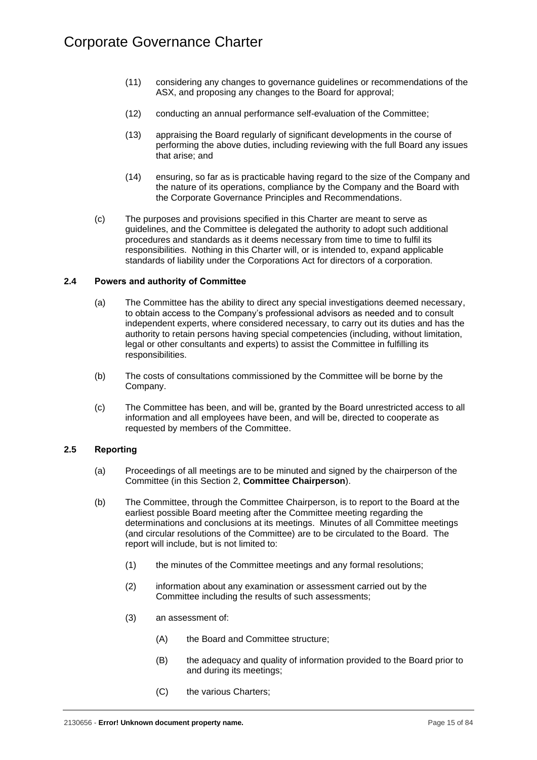- (11) considering any changes to governance guidelines or recommendations of the ASX, and proposing any changes to the Board for approval;
- (12) conducting an annual performance self-evaluation of the Committee;
- (13) appraising the Board regularly of significant developments in the course of performing the above duties, including reviewing with the full Board any issues that arise; and
- (14) ensuring, so far as is practicable having regard to the size of the Company and the nature of its operations, compliance by the Company and the Board with the Corporate Governance Principles and Recommendations.
- (c) The purposes and provisions specified in this Charter are meant to serve as guidelines, and the Committee is delegated the authority to adopt such additional procedures and standards as it deems necessary from time to time to fulfil its responsibilities. Nothing in this Charter will, or is intended to, expand applicable standards of liability under the Corporations Act for directors of a corporation.

### <span id="page-18-0"></span>**2.4 Powers and authority of Committee**

- (a) The Committee has the ability to direct any special investigations deemed necessary, to obtain access to the Company's professional advisors as needed and to consult independent experts, where considered necessary, to carry out its duties and has the authority to retain persons having special competencies (including, without limitation, legal or other consultants and experts) to assist the Committee in fulfilling its responsibilities.
- (b) The costs of consultations commissioned by the Committee will be borne by the Company.
- (c) The Committee has been, and will be, granted by the Board unrestricted access to all information and all employees have been, and will be, directed to cooperate as requested by members of the Committee.

### <span id="page-18-1"></span>**2.5 Reporting**

- (a) Proceedings of all meetings are to be minuted and signed by the chairperson of the Committee (in this [Section](#page-17-0) 2, **Committee Chairperson**).
- (b) The Committee, through the Committee Chairperson, is to report to the Board at the earliest possible Board meeting after the Committee meeting regarding the determinations and conclusions at its meetings. Minutes of all Committee meetings (and circular resolutions of the Committee) are to be circulated to the Board. The report will include, but is not limited to:
	- (1) the minutes of the Committee meetings and any formal resolutions;
	- (2) information about any examination or assessment carried out by the Committee including the results of such assessments;
	- (3) an assessment of:
		- (A) the Board and Committee structure;
		- (B) the adequacy and quality of information provided to the Board prior to and during its meetings;
		- (C) the various Charters;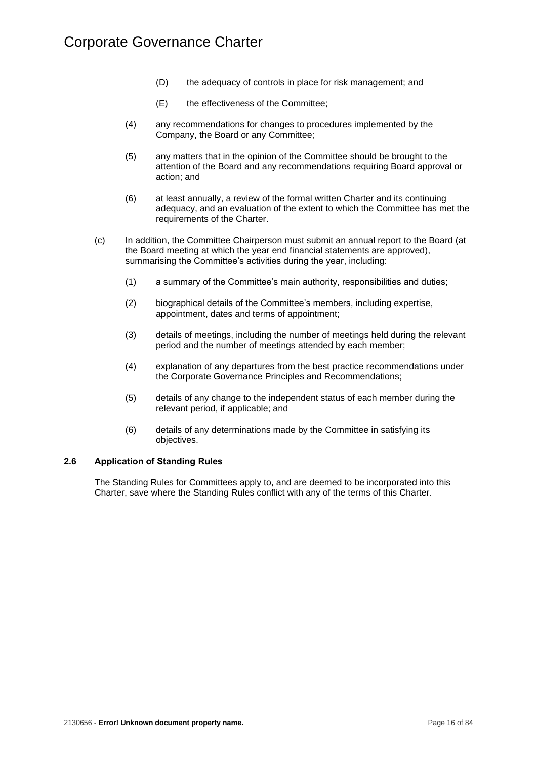- (D) the adequacy of controls in place for risk management; and
- (E) the effectiveness of the Committee;
- (4) any recommendations for changes to procedures implemented by the Company, the Board or any Committee;
- (5) any matters that in the opinion of the Committee should be brought to the attention of the Board and any recommendations requiring Board approval or action; and
- (6) at least annually, a review of the formal written Charter and its continuing adequacy, and an evaluation of the extent to which the Committee has met the requirements of the Charter.
- (c) In addition, the Committee Chairperson must submit an annual report to the Board (at the Board meeting at which the year end financial statements are approved), summarising the Committee's activities during the year, including:
	- (1) a summary of the Committee's main authority, responsibilities and duties;
	- (2) biographical details of the Committee's members, including expertise, appointment, dates and terms of appointment;
	- (3) details of meetings, including the number of meetings held during the relevant period and the number of meetings attended by each member;
	- (4) explanation of any departures from the best practice recommendations under the Corporate Governance Principles and Recommendations;
	- (5) details of any change to the independent status of each member during the relevant period, if applicable; and
	- (6) details of any determinations made by the Committee in satisfying its objectives.

### <span id="page-19-0"></span>**2.6 Application of Standing Rules**

The Standing Rules for Committees apply to, and are deemed to be incorporated into this Charter, save where the Standing Rules conflict with any of the terms of this Charter.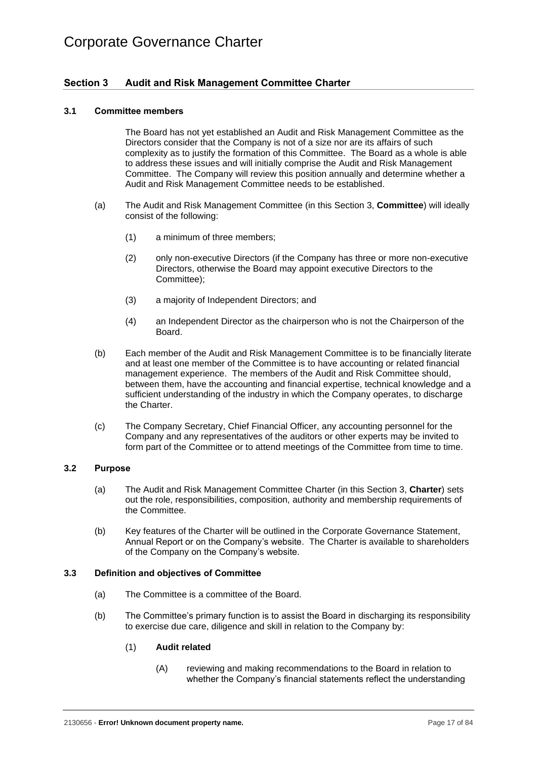### <span id="page-20-0"></span>**Section 3 Audit and Risk Management Committee Charter**

### <span id="page-20-1"></span>**3.1 Committee members**

The Board has not yet established an Audit and Risk Management Committee as the Directors consider that the Company is not of a size nor are its affairs of such complexity as to justify the formation of this Committee. The Board as a whole is able to address these issues and will initially comprise the Audit and Risk Management Committee. The Company will review this position annually and determine whether a Audit and Risk Management Committee needs to be established.

- (a) The Audit and Risk Management Committee (in this [Section](#page-20-0) 3, **Committee**) will ideally consist of the following:
	- (1) a minimum of three members;
	- (2) only non-executive Directors (if the Company has three or more non-executive Directors, otherwise the Board may appoint executive Directors to the Committee);
	- (3) a majority of Independent Directors; and
	- (4) an Independent Director as the chairperson who is not the Chairperson of the Board.
- (b) Each member of the Audit and Risk Management Committee is to be financially literate and at least one member of the Committee is to have accounting or related financial management experience. The members of the Audit and Risk Committee should, between them, have the accounting and financial expertise, technical knowledge and a sufficient understanding of the industry in which the Company operates, to discharge the Charter.
- (c) The Company Secretary, Chief Financial Officer, any accounting personnel for the Company and any representatives of the auditors or other experts may be invited to form part of the Committee or to attend meetings of the Committee from time to time.

### <span id="page-20-2"></span>**3.2 Purpose**

- (a) The Audit and Risk Management Committee Charter (in this [Section](#page-20-0) 3, **Charter**) sets out the role, responsibilities, composition, authority and membership requirements of the Committee.
- (b) Key features of the Charter will be outlined in the Corporate Governance Statement, Annual Report or on the Company's website. The Charter is available to shareholders of the Company on the Company's website.

### <span id="page-20-3"></span>**3.3 Definition and objectives of Committee**

- (a) The Committee is a committee of the Board.
- (b) The Committee's primary function is to assist the Board in discharging its responsibility to exercise due care, diligence and skill in relation to the Company by:

### (1) **Audit related**

(A) reviewing and making recommendations to the Board in relation to whether the Company's financial statements reflect the understanding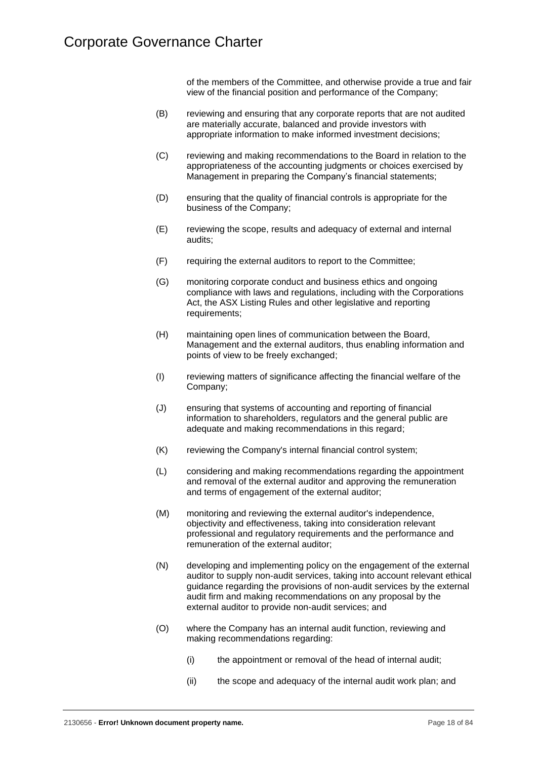of the members of the Committee, and otherwise provide a true and fair view of the financial position and performance of the Company;

- (B) reviewing and ensuring that any corporate reports that are not audited are materially accurate, balanced and provide investors with appropriate information to make informed investment decisions;
- (C) reviewing and making recommendations to the Board in relation to the appropriateness of the accounting judgments or choices exercised by Management in preparing the Company's financial statements;
- (D) ensuring that the quality of financial controls is appropriate for the business of the Company;
- (E) reviewing the scope, results and adequacy of external and internal audits;
- (F) requiring the external auditors to report to the Committee;
- (G) monitoring corporate conduct and business ethics and ongoing compliance with laws and regulations, including with the Corporations Act, the ASX Listing Rules and other legislative and reporting requirements:
- (H) maintaining open lines of communication between the Board, Management and the external auditors, thus enabling information and points of view to be freely exchanged;
- (I) reviewing matters of significance affecting the financial welfare of the Company;
- (J) ensuring that systems of accounting and reporting of financial information to shareholders, regulators and the general public are adequate and making recommendations in this regard;
- (K) reviewing the Company's internal financial control system;
- (L) considering and making recommendations regarding the appointment and removal of the external auditor and approving the remuneration and terms of engagement of the external auditor;
- (M) monitoring and reviewing the external auditor's independence, objectivity and effectiveness, taking into consideration relevant professional and regulatory requirements and the performance and remuneration of the external auditor;
- (N) developing and implementing policy on the engagement of the external auditor to supply non-audit services, taking into account relevant ethical guidance regarding the provisions of non-audit services by the external audit firm and making recommendations on any proposal by the external auditor to provide non-audit services; and
- (O) where the Company has an internal audit function, reviewing and making recommendations regarding:
	- (i) the appointment or removal of the head of internal audit;
	- (ii) the scope and adequacy of the internal audit work plan; and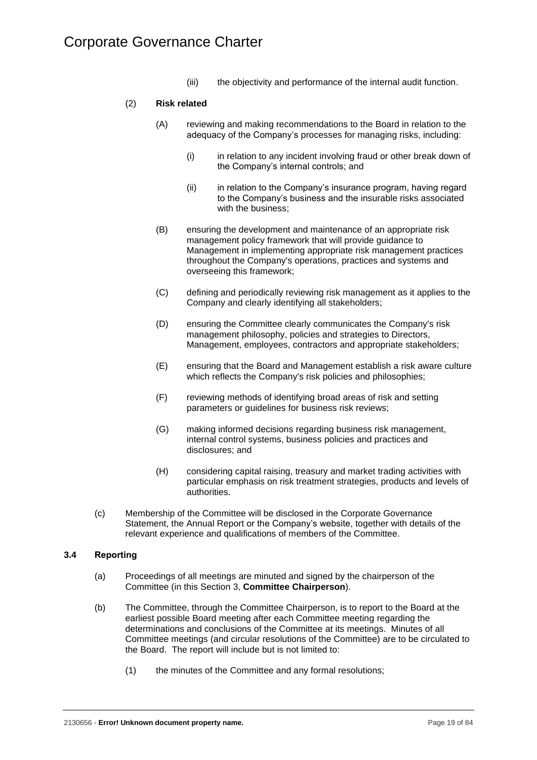(iii) the objectivity and performance of the internal audit function.

### (2) **Risk related**

- (A) reviewing and making recommendations to the Board in relation to the adequacy of the Company's processes for managing risks, including:
	- (i) in relation to any incident involving fraud or other break down of the Company's internal controls; and
	- (ii) in relation to the Company's insurance program, having regard to the Company's business and the insurable risks associated with the business;
- (B) ensuring the development and maintenance of an appropriate risk management policy framework that will provide guidance to Management in implementing appropriate risk management practices throughout the Company's operations, practices and systems and overseeing this framework;
- (C) defining and periodically reviewing risk management as it applies to the Company and clearly identifying all stakeholders;
- (D) ensuring the Committee clearly communicates the Company's risk management philosophy, policies and strategies to Directors, Management, employees, contractors and appropriate stakeholders;
- (E) ensuring that the Board and Management establish a risk aware culture which reflects the Company's risk policies and philosophies;
- (F) reviewing methods of identifying broad areas of risk and setting parameters or guidelines for business risk reviews;
- (G) making informed decisions regarding business risk management, internal control systems, business policies and practices and disclosures; and
- (H) considering capital raising, treasury and market trading activities with particular emphasis on risk treatment strategies, products and levels of authorities.
- (c) Membership of the Committee will be disclosed in the Corporate Governance Statement, the Annual Report or the Company's website, together with details of the relevant experience and qualifications of members of the Committee.

### <span id="page-22-0"></span>**3.4 Reporting**

- (a) Proceedings of all meetings are minuted and signed by the chairperson of the Committee (in this [Section](#page-20-0) 3, **Committee Chairperson**).
- (b) The Committee, through the Committee Chairperson, is to report to the Board at the earliest possible Board meeting after each Committee meeting regarding the determinations and conclusions of the Committee at its meetings. Minutes of all Committee meetings (and circular resolutions of the Committee) are to be circulated to the Board. The report will include but is not limited to:
	- (1) the minutes of the Committee and any formal resolutions;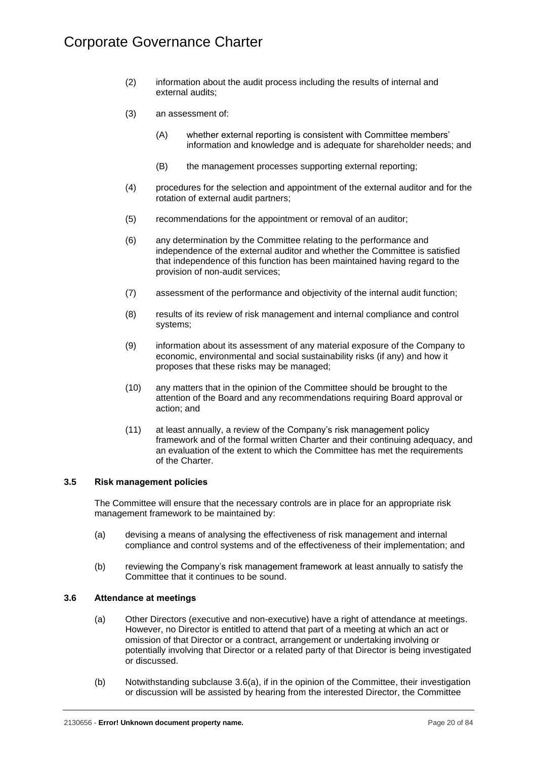- (2) information about the audit process including the results of internal and external audits;
- (3) an assessment of:
	- (A) whether external reporting is consistent with Committee members' information and knowledge and is adequate for shareholder needs; and
	- (B) the management processes supporting external reporting;
- (4) procedures for the selection and appointment of the external auditor and for the rotation of external audit partners;
- (5) recommendations for the appointment or removal of an auditor;
- (6) any determination by the Committee relating to the performance and independence of the external auditor and whether the Committee is satisfied that independence of this function has been maintained having regard to the provision of non-audit services;
- (7) assessment of the performance and objectivity of the internal audit function;
- (8) results of its review of risk management and internal compliance and control systems;
- (9) information about its assessment of any material exposure of the Company to economic, environmental and social sustainability risks (if any) and how it proposes that these risks may be managed;
- (10) any matters that in the opinion of the Committee should be brought to the attention of the Board and any recommendations requiring Board approval or action; and
- (11) at least annually, a review of the Company's risk management policy framework and of the formal written Charter and their continuing adequacy, and an evaluation of the extent to which the Committee has met the requirements of the Charter.

### <span id="page-23-0"></span>**3.5 Risk management policies**

The Committee will ensure that the necessary controls are in place for an appropriate risk management framework to be maintained by:

- (a) devising a means of analysing the effectiveness of risk management and internal compliance and control systems and of the effectiveness of their implementation; and
- (b) reviewing the Company's risk management framework at least annually to satisfy the Committee that it continues to be sound.

### <span id="page-23-2"></span><span id="page-23-1"></span>**3.6 Attendance at meetings**

- (a) Other Directors (executive and non-executive) have a right of attendance at meetings. However, no Director is entitled to attend that part of a meeting at which an act or omission of that Director or a contract, arrangement or undertaking involving or potentially involving that Director or a related party of that Director is being investigated or discussed.
- (b) Notwithstanding subclause [3.6](#page-23-1)[\(a\),](#page-23-2) if in the opinion of the Committee, their investigation or discussion will be assisted by hearing from the interested Director, the Committee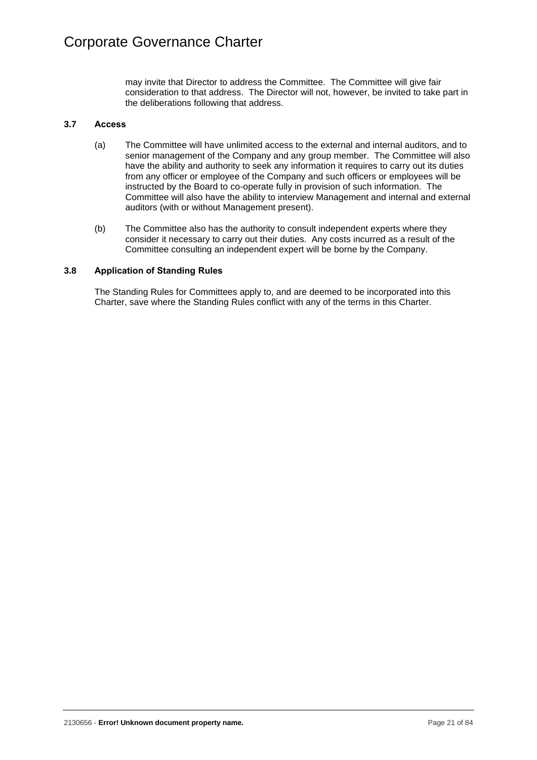may invite that Director to address the Committee. The Committee will give fair consideration to that address. The Director will not, however, be invited to take part in the deliberations following that address.

### <span id="page-24-0"></span>**3.7 Access**

- (a) The Committee will have unlimited access to the external and internal auditors, and to senior management of the Company and any group member. The Committee will also have the ability and authority to seek any information it requires to carry out its duties from any officer or employee of the Company and such officers or employees will be instructed by the Board to co-operate fully in provision of such information. The Committee will also have the ability to interview Management and internal and external auditors (with or without Management present).
- (b) The Committee also has the authority to consult independent experts where they consider it necessary to carry out their duties. Any costs incurred as a result of the Committee consulting an independent expert will be borne by the Company.

### <span id="page-24-1"></span>**3.8 Application of Standing Rules**

The Standing Rules for Committees apply to, and are deemed to be incorporated into this Charter, save where the Standing Rules conflict with any of the terms in this Charter.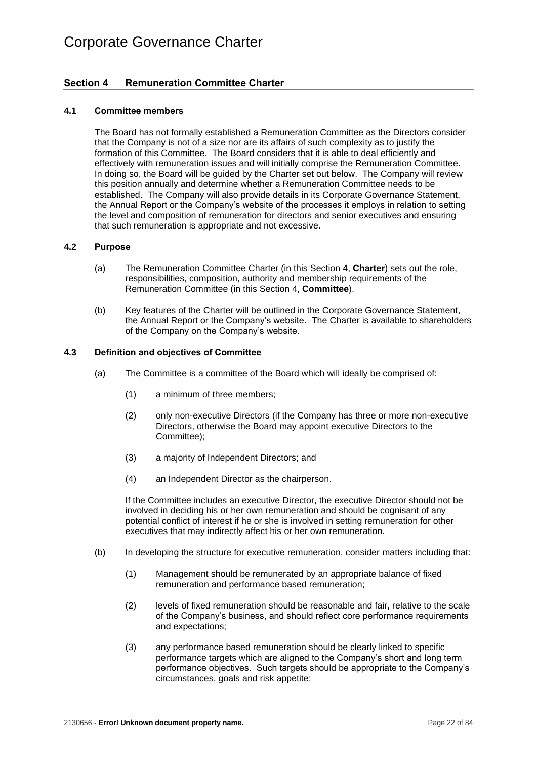### <span id="page-25-0"></span>**Section 4 Remuneration Committee Charter**

### <span id="page-25-1"></span>**4.1 Committee members**

The Board has not formally established a Remuneration Committee as the Directors consider that the Company is not of a size nor are its affairs of such complexity as to justify the formation of this Committee. The Board considers that it is able to deal efficiently and effectively with remuneration issues and will initially comprise the Remuneration Committee. In doing so, the Board will be guided by the Charter set out below. The Company will review this position annually and determine whether a Remuneration Committee needs to be established. The Company will also provide details in its Corporate Governance Statement, the Annual Report or the Company's website of the processes it employs in relation to setting the level and composition of remuneration for directors and senior executives and ensuring that such remuneration is appropriate and not excessive.

### <span id="page-25-2"></span>**4.2 Purpose**

- (a) The Remuneration Committee Charter (in this [Section](#page-25-0) 4, **Charter**) sets out the role, responsibilities, composition, authority and membership requirements of the Remuneration Committee (in this [Section](#page-25-0) 4, **Committee**).
- (b) Key features of the Charter will be outlined in the Corporate Governance Statement, the Annual Report or the Company's website. The Charter is available to shareholders of the Company on the Company's website.

### <span id="page-25-3"></span>**4.3 Definition and objectives of Committee**

- (a) The Committee is a committee of the Board which will ideally be comprised of:
	- (1) a minimum of three members;
	- (2) only non-executive Directors (if the Company has three or more non-executive Directors, otherwise the Board may appoint executive Directors to the Committee);
	- (3) a majority of Independent Directors; and
	- (4) an Independent Director as the chairperson.

If the Committee includes an executive Director, the executive Director should not be involved in deciding his or her own remuneration and should be cognisant of any potential conflict of interest if he or she is involved in setting remuneration for other executives that may indirectly affect his or her own remuneration.

- (b) In developing the structure for executive remuneration, consider matters including that:
	- (1) Management should be remunerated by an appropriate balance of fixed remuneration and performance based remuneration;
	- (2) levels of fixed remuneration should be reasonable and fair, relative to the scale of the Company's business, and should reflect core performance requirements and expectations;
	- (3) any performance based remuneration should be clearly linked to specific performance targets which are aligned to the Company's short and long term performance objectives. Such targets should be appropriate to the Company's circumstances, goals and risk appetite;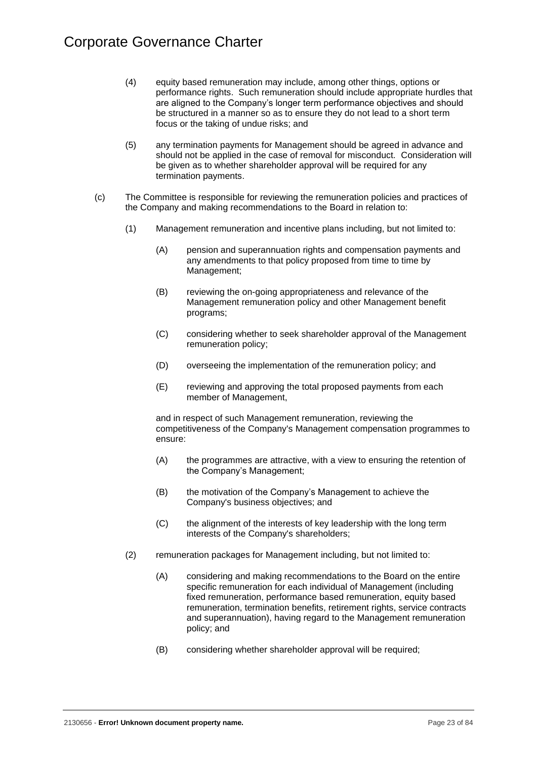- (4) equity based remuneration may include, among other things, options or performance rights. Such remuneration should include appropriate hurdles that are aligned to the Company's longer term performance objectives and should be structured in a manner so as to ensure they do not lead to a short term focus or the taking of undue risks; and
- (5) any termination payments for Management should be agreed in advance and should not be applied in the case of removal for misconduct. Consideration will be given as to whether shareholder approval will be required for any termination payments.
- (c) The Committee is responsible for reviewing the remuneration policies and practices of the Company and making recommendations to the Board in relation to:
	- (1) Management remuneration and incentive plans including, but not limited to:
		- (A) pension and superannuation rights and compensation payments and any amendments to that policy proposed from time to time by Management;
		- (B) reviewing the on-going appropriateness and relevance of the Management remuneration policy and other Management benefit programs;
		- (C) considering whether to seek shareholder approval of the Management remuneration policy;
		- (D) overseeing the implementation of the remuneration policy; and
		- (E) reviewing and approving the total proposed payments from each member of Management,

and in respect of such Management remuneration, reviewing the competitiveness of the Company's Management compensation programmes to ensure:

- (A) the programmes are attractive, with a view to ensuring the retention of the Company's Management;
- (B) the motivation of the Company's Management to achieve the Company's business objectives; and
- (C) the alignment of the interests of key leadership with the long term interests of the Company's shareholders;
- (2) remuneration packages for Management including, but not limited to:
	- (A) considering and making recommendations to the Board on the entire specific remuneration for each individual of Management (including fixed remuneration, performance based remuneration, equity based remuneration, termination benefits, retirement rights, service contracts and superannuation), having regard to the Management remuneration policy; and
	- (B) considering whether shareholder approval will be required;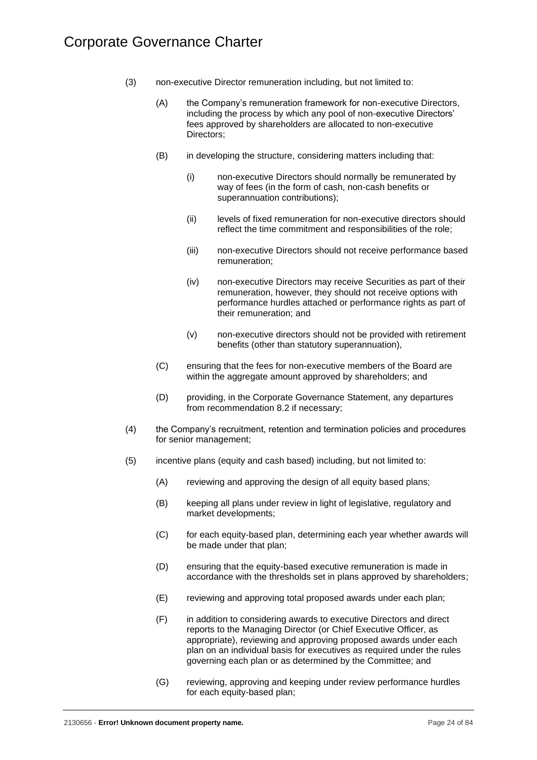- (3) non-executive Director remuneration including, but not limited to:
	- (A) the Company's remuneration framework for non-executive Directors, including the process by which any pool of non-executive Directors' fees approved by shareholders are allocated to non-executive Directors;
	- (B) in developing the structure, considering matters including that:
		- (i) non-executive Directors should normally be remunerated by way of fees (in the form of cash, non-cash benefits or superannuation contributions);
		- (ii) levels of fixed remuneration for non-executive directors should reflect the time commitment and responsibilities of the role;
		- (iii) non-executive Directors should not receive performance based remuneration;
		- (iv) non-executive Directors may receive Securities as part of their remuneration, however, they should not receive options with performance hurdles attached or performance rights as part of their remuneration; and
		- (v) non-executive directors should not be provided with retirement benefits (other than statutory superannuation),
	- (C) ensuring that the fees for non-executive members of the Board are within the aggregate amount approved by shareholders; and
	- (D) providing, in the Corporate Governance Statement, any departures from recommendation 8.2 if necessary;
- (4) the Company's recruitment, retention and termination policies and procedures for senior management;
- (5) incentive plans (equity and cash based) including, but not limited to:
	- (A) reviewing and approving the design of all equity based plans;
	- (B) keeping all plans under review in light of legislative, regulatory and market developments;
	- (C) for each equity-based plan, determining each year whether awards will be made under that plan;
	- (D) ensuring that the equity-based executive remuneration is made in accordance with the thresholds set in plans approved by shareholders;
	- (E) reviewing and approving total proposed awards under each plan;
	- (F) in addition to considering awards to executive Directors and direct reports to the Managing Director (or Chief Executive Officer, as appropriate), reviewing and approving proposed awards under each plan on an individual basis for executives as required under the rules governing each plan or as determined by the Committee; and
	- (G) reviewing, approving and keeping under review performance hurdles for each equity-based plan;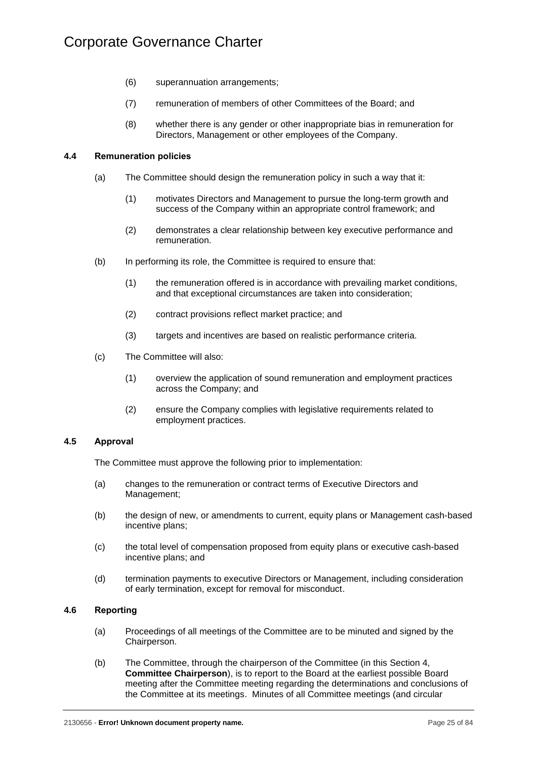- (6) superannuation arrangements;
- (7) remuneration of members of other Committees of the Board; and
- (8) whether there is any gender or other inappropriate bias in remuneration for Directors, Management or other employees of the Company.

### <span id="page-28-0"></span>**4.4 Remuneration policies**

- (a) The Committee should design the remuneration policy in such a way that it:
	- (1) motivates Directors and Management to pursue the long-term growth and success of the Company within an appropriate control framework; and
	- (2) demonstrates a clear relationship between key executive performance and remuneration.
- (b) In performing its role, the Committee is required to ensure that:
	- (1) the remuneration offered is in accordance with prevailing market conditions, and that exceptional circumstances are taken into consideration;
	- (2) contract provisions reflect market practice; and
	- (3) targets and incentives are based on realistic performance criteria.
- (c) The Committee will also:
	- (1) overview the application of sound remuneration and employment practices across the Company; and
	- (2) ensure the Company complies with legislative requirements related to employment practices.

### <span id="page-28-1"></span>**4.5 Approval**

The Committee must approve the following prior to implementation:

- (a) changes to the remuneration or contract terms of Executive Directors and Management;
- (b) the design of new, or amendments to current, equity plans or Management cash-based incentive plans;
- (c) the total level of compensation proposed from equity plans or executive cash-based incentive plans; and
- (d) termination payments to executive Directors or Management, including consideration of early termination, except for removal for misconduct.

### <span id="page-28-2"></span>**4.6 Reporting**

- (a) Proceedings of all meetings of the Committee are to be minuted and signed by the Chairperson.
- (b) The Committee, through the chairperson of the Committee (in this [Section](#page-25-0) 4, **Committee Chairperson**), is to report to the Board at the earliest possible Board meeting after the Committee meeting regarding the determinations and conclusions of the Committee at its meetings. Minutes of all Committee meetings (and circular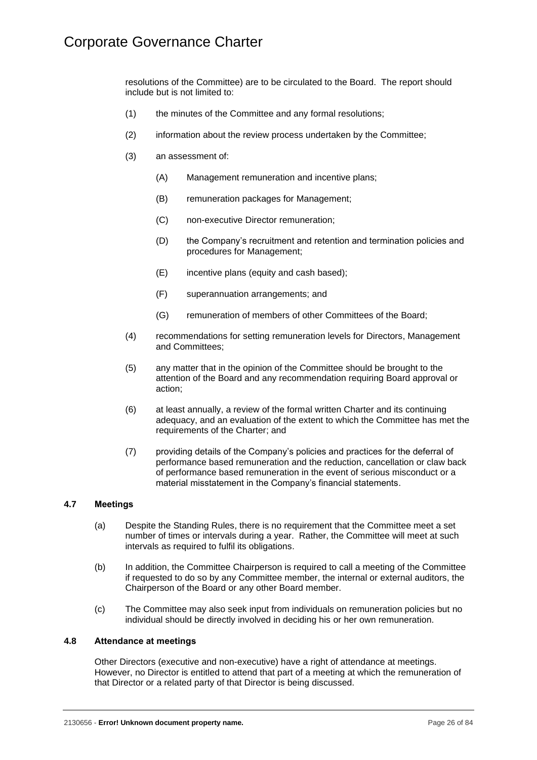resolutions of the Committee) are to be circulated to the Board. The report should include but is not limited to:

- (1) the minutes of the Committee and any formal resolutions;
- (2) information about the review process undertaken by the Committee;
- (3) an assessment of:
	- (A) Management remuneration and incentive plans;
	- (B) remuneration packages for Management;
	- (C) non-executive Director remuneration;
	- (D) the Company's recruitment and retention and termination policies and procedures for Management;
	- (E) incentive plans (equity and cash based);
	- (F) superannuation arrangements; and
	- (G) remuneration of members of other Committees of the Board;
- (4) recommendations for setting remuneration levels for Directors, Management and Committees;
- (5) any matter that in the opinion of the Committee should be brought to the attention of the Board and any recommendation requiring Board approval or action;
- (6) at least annually, a review of the formal written Charter and its continuing adequacy, and an evaluation of the extent to which the Committee has met the requirements of the Charter; and
- (7) providing details of the Company's policies and practices for the deferral of performance based remuneration and the reduction, cancellation or claw back of performance based remuneration in the event of serious misconduct or a material misstatement in the Company's financial statements.

### <span id="page-29-0"></span>**4.7 Meetings**

- (a) Despite the Standing Rules, there is no requirement that the Committee meet a set number of times or intervals during a year. Rather, the Committee will meet at such intervals as required to fulfil its obligations.
- (b) In addition, the Committee Chairperson is required to call a meeting of the Committee if requested to do so by any Committee member, the internal or external auditors, the Chairperson of the Board or any other Board member.
- (c) The Committee may also seek input from individuals on remuneration policies but no individual should be directly involved in deciding his or her own remuneration.

### <span id="page-29-1"></span>**4.8 Attendance at meetings**

Other Directors (executive and non-executive) have a right of attendance at meetings. However, no Director is entitled to attend that part of a meeting at which the remuneration of that Director or a related party of that Director is being discussed.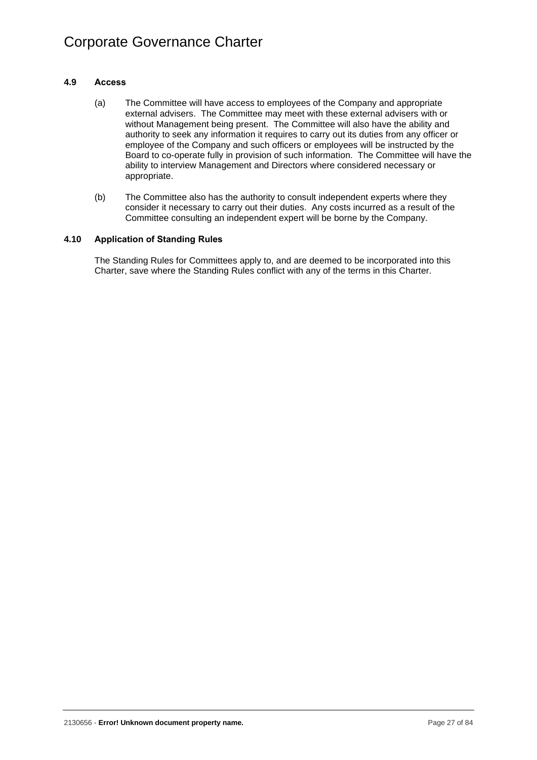### <span id="page-30-0"></span>**4.9 Access**

- (a) The Committee will have access to employees of the Company and appropriate external advisers. The Committee may meet with these external advisers with or without Management being present. The Committee will also have the ability and authority to seek any information it requires to carry out its duties from any officer or employee of the Company and such officers or employees will be instructed by the Board to co-operate fully in provision of such information. The Committee will have the ability to interview Management and Directors where considered necessary or appropriate.
- (b) The Committee also has the authority to consult independent experts where they consider it necessary to carry out their duties. Any costs incurred as a result of the Committee consulting an independent expert will be borne by the Company.

### <span id="page-30-1"></span>**4.10 Application of Standing Rules**

The Standing Rules for Committees apply to, and are deemed to be incorporated into this Charter, save where the Standing Rules conflict with any of the terms in this Charter.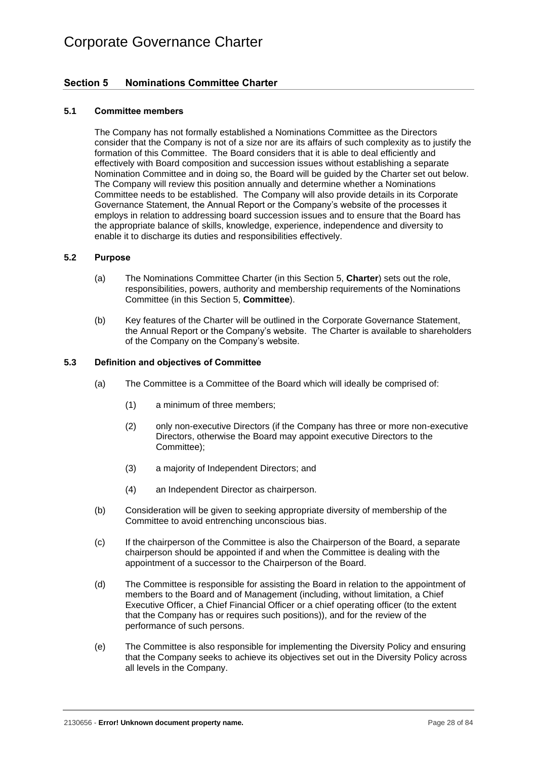### <span id="page-31-0"></span>**Section 5 Nominations Committee Charter**

### <span id="page-31-1"></span>**5.1 Committee members**

The Company has not formally established a Nominations Committee as the Directors consider that the Company is not of a size nor are its affairs of such complexity as to justify the formation of this Committee. The Board considers that it is able to deal efficiently and effectively with Board composition and succession issues without establishing a separate Nomination Committee and in doing so, the Board will be guided by the Charter set out below. The Company will review this position annually and determine whether a Nominations Committee needs to be established. The Company will also provide details in its Corporate Governance Statement, the Annual Report or the Company's website of the processes it employs in relation to addressing board succession issues and to ensure that the Board has the appropriate balance of skills, knowledge, experience, independence and diversity to enable it to discharge its duties and responsibilities effectively.

### <span id="page-31-2"></span>**5.2 Purpose**

- (a) The Nominations Committee Charter (in this [Section](#page-31-0) 5, **Charter**) sets out the role, responsibilities, powers, authority and membership requirements of the Nominations Committee (in this [Section](#page-31-0) 5, **Committee**).
- (b) Key features of the Charter will be outlined in the Corporate Governance Statement, the Annual Report or the Company's website. The Charter is available to shareholders of the Company on the Company's website.

### <span id="page-31-3"></span>**5.3 Definition and objectives of Committee**

- (a) The Committee is a Committee of the Board which will ideally be comprised of:
	- (1) a minimum of three members;
	- (2) only non-executive Directors (if the Company has three or more non-executive Directors, otherwise the Board may appoint executive Directors to the Committee);
	- (3) a majority of Independent Directors; and
	- (4) an Independent Director as chairperson.
- (b) Consideration will be given to seeking appropriate diversity of membership of the Committee to avoid entrenching unconscious bias.
- (c) If the chairperson of the Committee is also the Chairperson of the Board, a separate chairperson should be appointed if and when the Committee is dealing with the appointment of a successor to the Chairperson of the Board.
- (d) The Committee is responsible for assisting the Board in relation to the appointment of members to the Board and of Management (including, without limitation, a Chief Executive Officer, a Chief Financial Officer or a chief operating officer (to the extent that the Company has or requires such positions)), and for the review of the performance of such persons.
- (e) The Committee is also responsible for implementing the Diversity Policy and ensuring that the Company seeks to achieve its objectives set out in the Diversity Policy across all levels in the Company.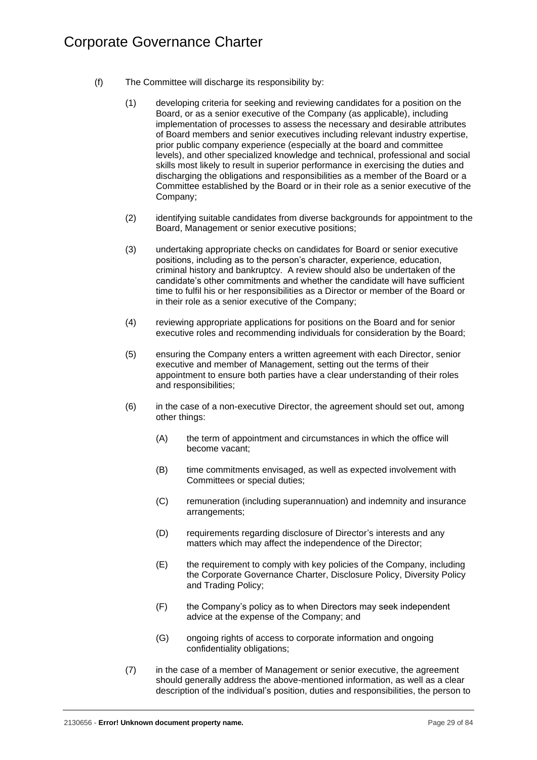- (f) The Committee will discharge its responsibility by:
	- (1) developing criteria for seeking and reviewing candidates for a position on the Board, or as a senior executive of the Company (as applicable), including implementation of processes to assess the necessary and desirable attributes of Board members and senior executives including relevant industry expertise, prior public company experience (especially at the board and committee levels), and other specialized knowledge and technical, professional and social skills most likely to result in superior performance in exercising the duties and discharging the obligations and responsibilities as a member of the Board or a Committee established by the Board or in their role as a senior executive of the Company;
	- (2) identifying suitable candidates from diverse backgrounds for appointment to the Board, Management or senior executive positions;
	- (3) undertaking appropriate checks on candidates for Board or senior executive positions, including as to the person's character, experience, education, criminal history and bankruptcy. A review should also be undertaken of the candidate's other commitments and whether the candidate will have sufficient time to fulfil his or her responsibilities as a Director or member of the Board or in their role as a senior executive of the Company;
	- (4) reviewing appropriate applications for positions on the Board and for senior executive roles and recommending individuals for consideration by the Board;
	- (5) ensuring the Company enters a written agreement with each Director, senior executive and member of Management, setting out the terms of their appointment to ensure both parties have a clear understanding of their roles and responsibilities;
	- (6) in the case of a non-executive Director, the agreement should set out, among other things:
		- (A) the term of appointment and circumstances in which the office will become vacant;
		- (B) time commitments envisaged, as well as expected involvement with Committees or special duties;
		- (C) remuneration (including superannuation) and indemnity and insurance arrangements;
		- (D) requirements regarding disclosure of Director's interests and any matters which may affect the independence of the Director;
		- (E) the requirement to comply with key policies of the Company, including the Corporate Governance Charter, Disclosure Policy, Diversity Policy and Trading Policy;
		- (F) the Company's policy as to when Directors may seek independent advice at the expense of the Company; and
		- (G) ongoing rights of access to corporate information and ongoing confidentiality obligations;
	- (7) in the case of a member of Management or senior executive, the agreement should generally address the above-mentioned information, as well as a clear description of the individual's position, duties and responsibilities, the person to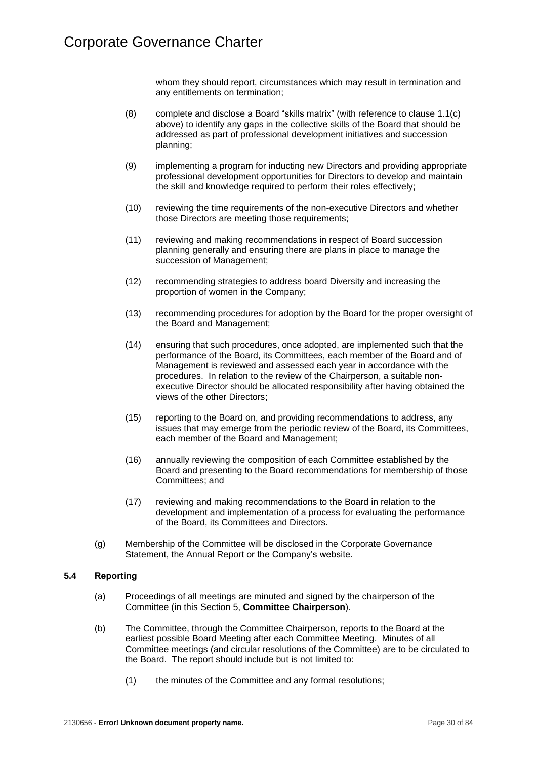whom they should report, circumstances which may result in termination and any entitlements on termination;

- (8) complete and disclose a Board "skills matrix" (with reference to clause [1.1\(c\)](#page-7-0) above) to identify any gaps in the collective skills of the Board that should be addressed as part of professional development initiatives and succession planning;
- (9) implementing a program for inducting new Directors and providing appropriate professional development opportunities for Directors to develop and maintain the skill and knowledge required to perform their roles effectively;
- (10) reviewing the time requirements of the non-executive Directors and whether those Directors are meeting those requirements;
- (11) reviewing and making recommendations in respect of Board succession planning generally and ensuring there are plans in place to manage the succession of Management;
- (12) recommending strategies to address board Diversity and increasing the proportion of women in the Company;
- (13) recommending procedures for adoption by the Board for the proper oversight of the Board and Management;
- (14) ensuring that such procedures, once adopted, are implemented such that the performance of the Board, its Committees, each member of the Board and of Management is reviewed and assessed each year in accordance with the procedures. In relation to the review of the Chairperson, a suitable nonexecutive Director should be allocated responsibility after having obtained the views of the other Directors;
- (15) reporting to the Board on, and providing recommendations to address, any issues that may emerge from the periodic review of the Board, its Committees, each member of the Board and Management;
- (16) annually reviewing the composition of each Committee established by the Board and presenting to the Board recommendations for membership of those Committees; and
- (17) reviewing and making recommendations to the Board in relation to the development and implementation of a process for evaluating the performance of the Board, its Committees and Directors.
- (g) Membership of the Committee will be disclosed in the Corporate Governance Statement, the Annual Report or the Company's website.

### <span id="page-33-0"></span>**5.4 Reporting**

- (a) Proceedings of all meetings are minuted and signed by the chairperson of the Committee (in this [Section](#page-31-0) 5, **Committee Chairperson**).
- (b) The Committee, through the Committee Chairperson, reports to the Board at the earliest possible Board Meeting after each Committee Meeting. Minutes of all Committee meetings (and circular resolutions of the Committee) are to be circulated to the Board. The report should include but is not limited to:
	- (1) the minutes of the Committee and any formal resolutions;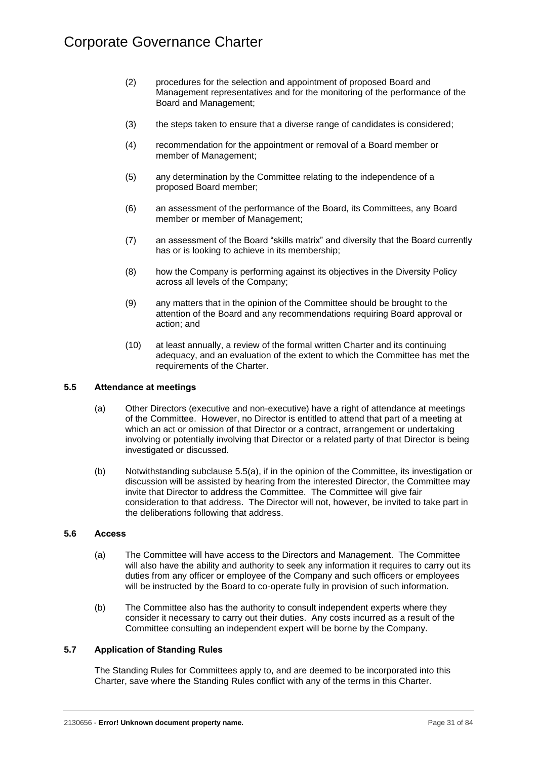- (2) procedures for the selection and appointment of proposed Board and Management representatives and for the monitoring of the performance of the Board and Management;
- (3) the steps taken to ensure that a diverse range of candidates is considered;
- (4) recommendation for the appointment or removal of a Board member or member of Management;
- (5) any determination by the Committee relating to the independence of a proposed Board member;
- (6) an assessment of the performance of the Board, its Committees, any Board member or member of Management;
- (7) an assessment of the Board "skills matrix" and diversity that the Board currently has or is looking to achieve in its membership;
- (8) how the Company is performing against its objectives in the Diversity Policy across all levels of the Company;
- (9) any matters that in the opinion of the Committee should be brought to the attention of the Board and any recommendations requiring Board approval or action; and
- (10) at least annually, a review of the formal written Charter and its continuing adequacy, and an evaluation of the extent to which the Committee has met the requirements of the Charter.

### <span id="page-34-3"></span><span id="page-34-0"></span>**5.5 Attendance at meetings**

- (a) Other Directors (executive and non-executive) have a right of attendance at meetings of the Committee. However, no Director is entitled to attend that part of a meeting at which an act or omission of that Director or a contract, arrangement or undertaking involving or potentially involving that Director or a related party of that Director is being investigated or discussed.
- (b) Notwithstanding subclause [5.5\(a\),](#page-34-3) if in the opinion of the Committee, its investigation or discussion will be assisted by hearing from the interested Director, the Committee may invite that Director to address the Committee. The Committee will give fair consideration to that address. The Director will not, however, be invited to take part in the deliberations following that address.

### <span id="page-34-1"></span>**5.6 Access**

- (a) The Committee will have access to the Directors and Management. The Committee will also have the ability and authority to seek any information it requires to carry out its duties from any officer or employee of the Company and such officers or employees will be instructed by the Board to co-operate fully in provision of such information.
- (b) The Committee also has the authority to consult independent experts where they consider it necessary to carry out their duties. Any costs incurred as a result of the Committee consulting an independent expert will be borne by the Company.

### <span id="page-34-2"></span>**5.7 Application of Standing Rules**

The Standing Rules for Committees apply to, and are deemed to be incorporated into this Charter, save where the Standing Rules conflict with any of the terms in this Charter.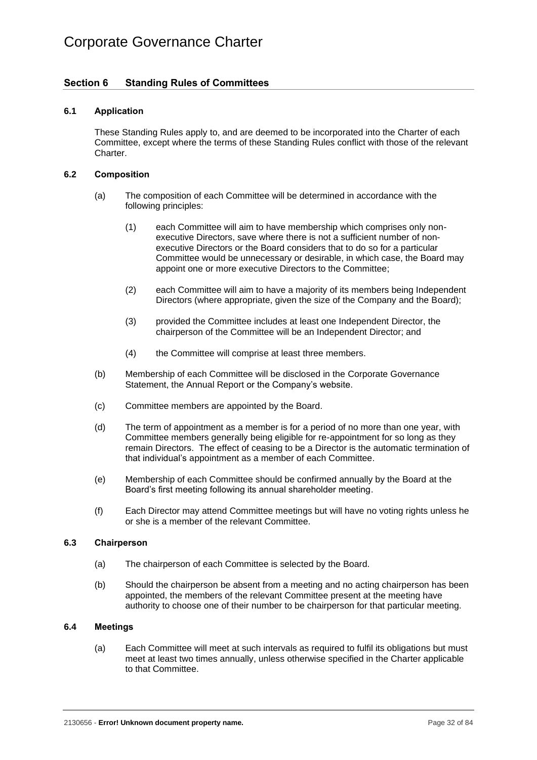### <span id="page-35-0"></span>**Section 6 Standing Rules of Committees**

### <span id="page-35-1"></span>**6.1 Application**

These Standing Rules apply to, and are deemed to be incorporated into the Charter of each Committee, except where the terms of these Standing Rules conflict with those of the relevant Charter.

### <span id="page-35-2"></span>**6.2 Composition**

- (a) The composition of each Committee will be determined in accordance with the following principles:
	- (1) each Committee will aim to have membership which comprises only nonexecutive Directors, save where there is not a sufficient number of nonexecutive Directors or the Board considers that to do so for a particular Committee would be unnecessary or desirable, in which case, the Board may appoint one or more executive Directors to the Committee;
	- (2) each Committee will aim to have a majority of its members being Independent Directors (where appropriate, given the size of the Company and the Board);
	- (3) provided the Committee includes at least one Independent Director, the chairperson of the Committee will be an Independent Director; and
	- (4) the Committee will comprise at least three members.
- (b) Membership of each Committee will be disclosed in the Corporate Governance Statement, the Annual Report or the Company's website.
- (c) Committee members are appointed by the Board.
- (d) The term of appointment as a member is for a period of no more than one year, with Committee members generally being eligible for re-appointment for so long as they remain Directors. The effect of ceasing to be a Director is the automatic termination of that individual's appointment as a member of each Committee.
- (e) Membership of each Committee should be confirmed annually by the Board at the Board's first meeting following its annual shareholder meeting.
- (f) Each Director may attend Committee meetings but will have no voting rights unless he or she is a member of the relevant Committee.

### <span id="page-35-3"></span>**6.3 Chairperson**

- (a) The chairperson of each Committee is selected by the Board.
- (b) Should the chairperson be absent from a meeting and no acting chairperson has been appointed, the members of the relevant Committee present at the meeting have authority to choose one of their number to be chairperson for that particular meeting.

### <span id="page-35-4"></span>**6.4 Meetings**

(a) Each Committee will meet at such intervals as required to fulfil its obligations but must meet at least two times annually, unless otherwise specified in the Charter applicable to that Committee.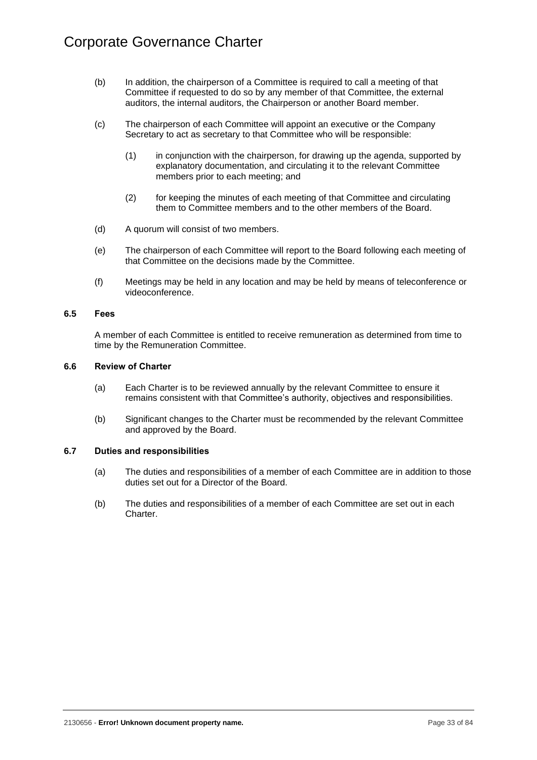- (b) In addition, the chairperson of a Committee is required to call a meeting of that Committee if requested to do so by any member of that Committee, the external auditors, the internal auditors, the Chairperson or another Board member.
- (c) The chairperson of each Committee will appoint an executive or the Company Secretary to act as secretary to that Committee who will be responsible:
	- (1) in conjunction with the chairperson, for drawing up the agenda, supported by explanatory documentation, and circulating it to the relevant Committee members prior to each meeting; and
	- (2) for keeping the minutes of each meeting of that Committee and circulating them to Committee members and to the other members of the Board.
- (d) A quorum will consist of two members.
- (e) The chairperson of each Committee will report to the Board following each meeting of that Committee on the decisions made by the Committee.
- (f) Meetings may be held in any location and may be held by means of teleconference or videoconference.

## **6.5 Fees**

A member of each Committee is entitled to receive remuneration as determined from time to time by the Remuneration Committee.

## **6.6 Review of Charter**

- (a) Each Charter is to be reviewed annually by the relevant Committee to ensure it remains consistent with that Committee's authority, objectives and responsibilities.
- (b) Significant changes to the Charter must be recommended by the relevant Committee and approved by the Board.

# **6.7 Duties and responsibilities**

- (a) The duties and responsibilities of a member of each Committee are in addition to those duties set out for a Director of the Board.
- (b) The duties and responsibilities of a member of each Committee are set out in each Charter.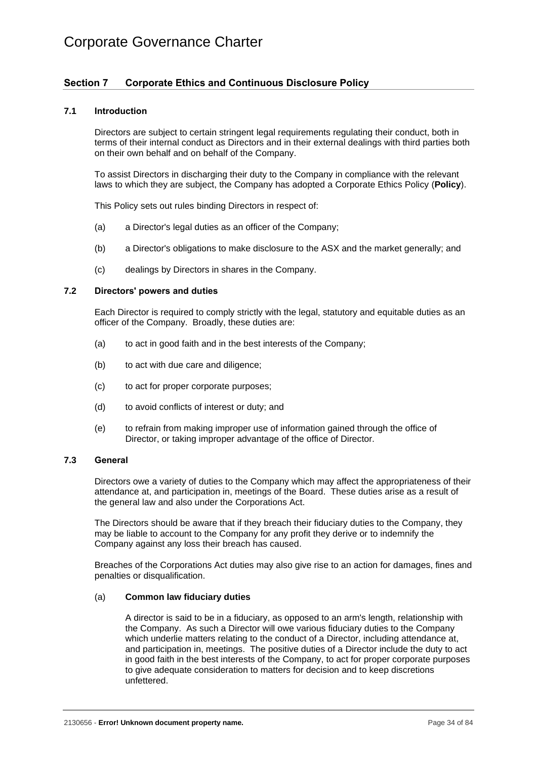# Corporate Governance Charter

# **Section 7 Corporate Ethics and Continuous Disclosure Policy**

## **7.1 Introduction**

Directors are subject to certain stringent legal requirements regulating their conduct, both in terms of their internal conduct as Directors and in their external dealings with third parties both on their own behalf and on behalf of the Company.

To assist Directors in discharging their duty to the Company in compliance with the relevant laws to which they are subject, the Company has adopted a Corporate Ethics Policy (**Policy**).

This Policy sets out rules binding Directors in respect of:

- (a) a Director's legal duties as an officer of the Company;
- (b) a Director's obligations to make disclosure to the ASX and the market generally; and
- (c) dealings by Directors in shares in the Company.

## **7.2 Directors' powers and duties**

Each Director is required to comply strictly with the legal, statutory and equitable duties as an officer of the Company. Broadly, these duties are:

- (a) to act in good faith and in the best interests of the Company:
- (b) to act with due care and diligence;
- (c) to act for proper corporate purposes;
- (d) to avoid conflicts of interest or duty; and
- (e) to refrain from making improper use of information gained through the office of Director, or taking improper advantage of the office of Director.

## **7.3 General**

Directors owe a variety of duties to the Company which may affect the appropriateness of their attendance at, and participation in, meetings of the Board. These duties arise as a result of the general law and also under the Corporations Act.

The Directors should be aware that if they breach their fiduciary duties to the Company, they may be liable to account to the Company for any profit they derive or to indemnify the Company against any loss their breach has caused.

Breaches of the Corporations Act duties may also give rise to an action for damages, fines and penalties or disqualification.

#### (a) **Common law fiduciary duties**

A director is said to be in a fiduciary, as opposed to an arm's length, relationship with the Company. As such a Director will owe various fiduciary duties to the Company which underlie matters relating to the conduct of a Director, including attendance at, and participation in, meetings. The positive duties of a Director include the duty to act in good faith in the best interests of the Company, to act for proper corporate purposes to give adequate consideration to matters for decision and to keep discretions unfettered.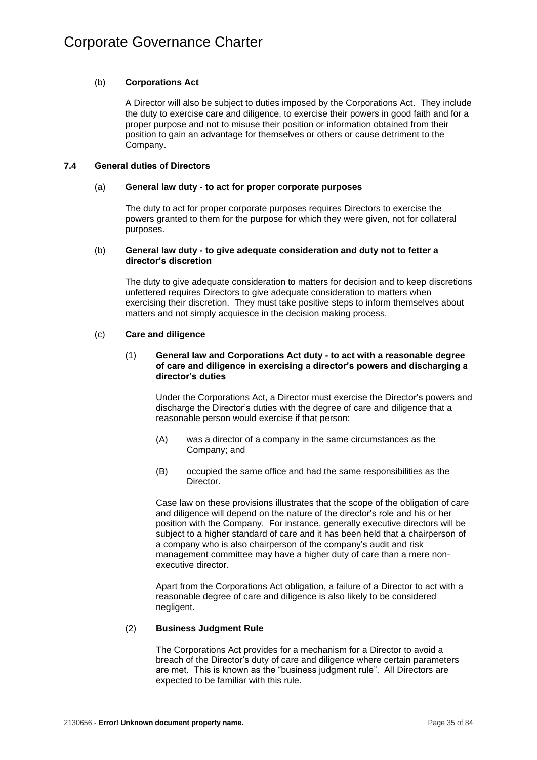# (b) **Corporations Act**

A Director will also be subject to duties imposed by the Corporations Act. They include the duty to exercise care and diligence, to exercise their powers in good faith and for a proper purpose and not to misuse their position or information obtained from their position to gain an advantage for themselves or others or cause detriment to the Company.

# **7.4 General duties of Directors**

## (a) **General law duty - to act for proper corporate purposes**

The duty to act for proper corporate purposes requires Directors to exercise the powers granted to them for the purpose for which they were given, not for collateral purposes.

### (b) **General law duty - to give adequate consideration and duty not to fetter a director's discretion**

The duty to give adequate consideration to matters for decision and to keep discretions unfettered requires Directors to give adequate consideration to matters when exercising their discretion. They must take positive steps to inform themselves about matters and not simply acquiesce in the decision making process.

## (c) **Care and diligence**

## (1) **General law and Corporations Act duty - to act with a reasonable degree of care and diligence in exercising a director's powers and discharging a director's duties**

Under the Corporations Act, a Director must exercise the Director's powers and discharge the Director's duties with the degree of care and diligence that a reasonable person would exercise if that person:

- (A) was a director of a company in the same circumstances as the Company; and
- (B) occupied the same office and had the same responsibilities as the **Director**

Case law on these provisions illustrates that the scope of the obligation of care and diligence will depend on the nature of the director's role and his or her position with the Company. For instance, generally executive directors will be subject to a higher standard of care and it has been held that a chairperson of a company who is also chairperson of the company's audit and risk management committee may have a higher duty of care than a mere nonexecutive director.

Apart from the Corporations Act obligation, a failure of a Director to act with a reasonable degree of care and diligence is also likely to be considered negligent.

# (2) **Business Judgment Rule**

The Corporations Act provides for a mechanism for a Director to avoid a breach of the Director's duty of care and diligence where certain parameters are met. This is known as the "business judgment rule". All Directors are expected to be familiar with this rule.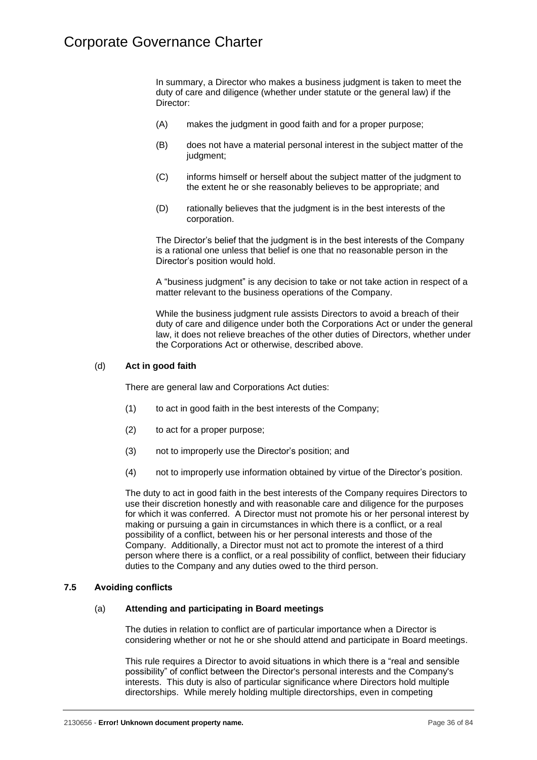In summary, a Director who makes a business judgment is taken to meet the duty of care and diligence (whether under statute or the general law) if the Director:

- (A) makes the judgment in good faith and for a proper purpose;
- (B) does not have a material personal interest in the subject matter of the judgment;
- (C) informs himself or herself about the subject matter of the judgment to the extent he or she reasonably believes to be appropriate; and
- (D) rationally believes that the judgment is in the best interests of the corporation.

The Director's belief that the judgment is in the best interests of the Company is a rational one unless that belief is one that no reasonable person in the Director's position would hold.

A "business judgment" is any decision to take or not take action in respect of a matter relevant to the business operations of the Company.

While the business judgment rule assists Directors to avoid a breach of their duty of care and diligence under both the Corporations Act or under the general law, it does not relieve breaches of the other duties of Directors, whether under the Corporations Act or otherwise, described above.

## (d) **Act in good faith**

There are general law and Corporations Act duties:

- (1) to act in good faith in the best interests of the Company;
- (2) to act for a proper purpose;
- (3) not to improperly use the Director's position; and
- (4) not to improperly use information obtained by virtue of the Director's position.

The duty to act in good faith in the best interests of the Company requires Directors to use their discretion honestly and with reasonable care and diligence for the purposes for which it was conferred. A Director must not promote his or her personal interest by making or pursuing a gain in circumstances in which there is a conflict, or a real possibility of a conflict, between his or her personal interests and those of the Company. Additionally, a Director must not act to promote the interest of a third person where there is a conflict, or a real possibility of conflict, between their fiduciary duties to the Company and any duties owed to the third person.

# **7.5 Avoiding conflicts**

#### (a) **Attending and participating in Board meetings**

The duties in relation to conflict are of particular importance when a Director is considering whether or not he or she should attend and participate in Board meetings.

This rule requires a Director to avoid situations in which there is a "real and sensible possibility" of conflict between the Director's personal interests and the Company's interests. This duty is also of particular significance where Directors hold multiple directorships. While merely holding multiple directorships, even in competing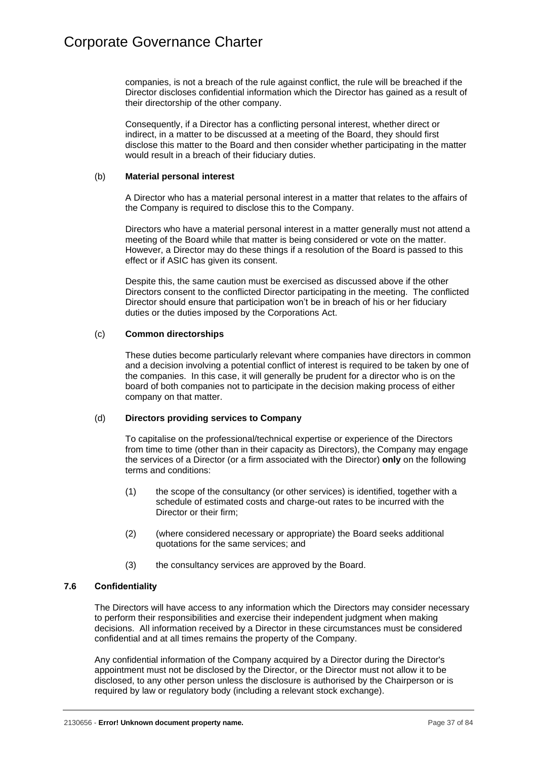companies, is not a breach of the rule against conflict, the rule will be breached if the Director discloses confidential information which the Director has gained as a result of their directorship of the other company.

Consequently, if a Director has a conflicting personal interest, whether direct or indirect, in a matter to be discussed at a meeting of the Board, they should first disclose this matter to the Board and then consider whether participating in the matter would result in a breach of their fiduciary duties.

## (b) **Material personal interest**

A Director who has a material personal interest in a matter that relates to the affairs of the Company is required to disclose this to the Company.

Directors who have a material personal interest in a matter generally must not attend a meeting of the Board while that matter is being considered or vote on the matter. However, a Director may do these things if a resolution of the Board is passed to this effect or if ASIC has given its consent.

Despite this, the same caution must be exercised as discussed above if the other Directors consent to the conflicted Director participating in the meeting. The conflicted Director should ensure that participation won't be in breach of his or her fiduciary duties or the duties imposed by the Corporations Act.

# (c) **Common directorships**

These duties become particularly relevant where companies have directors in common and a decision involving a potential conflict of interest is required to be taken by one of the companies. In this case, it will generally be prudent for a director who is on the board of both companies not to participate in the decision making process of either company on that matter.

# (d) **Directors providing services to Company**

To capitalise on the professional/technical expertise or experience of the Directors from time to time (other than in their capacity as Directors), the Company may engage the services of a Director (or a firm associated with the Director) **only** on the following terms and conditions:

- (1) the scope of the consultancy (or other services) is identified, together with a schedule of estimated costs and charge-out rates to be incurred with the Director or their firm;
- (2) (where considered necessary or appropriate) the Board seeks additional quotations for the same services; and
- (3) the consultancy services are approved by the Board.

# **7.6 Confidentiality**

The Directors will have access to any information which the Directors may consider necessary to perform their responsibilities and exercise their independent judgment when making decisions. All information received by a Director in these circumstances must be considered confidential and at all times remains the property of the Company.

Any confidential information of the Company acquired by a Director during the Director's appointment must not be disclosed by the Director, or the Director must not allow it to be disclosed, to any other person unless the disclosure is authorised by the Chairperson or is required by law or regulatory body (including a relevant stock exchange).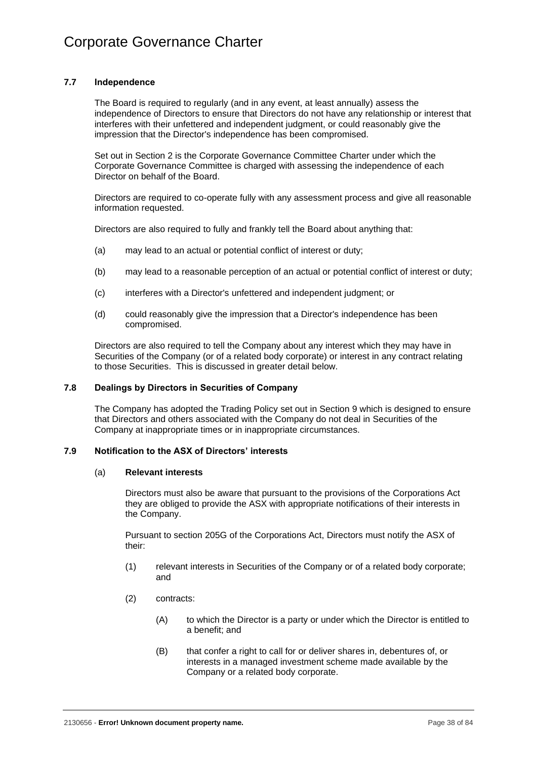# **7.7 Independence**

The Board is required to regularly (and in any event, at least annually) assess the independence of Directors to ensure that Directors do not have any relationship or interest that interferes with their unfettered and independent judgment, or could reasonably give the impression that the Director's independence has been compromised.

Set out in [Section](#page-17-0) 2 is the Corporate Governance Committee Charter under which the Corporate Governance Committee is charged with assessing the independence of each Director on behalf of the Board.

Directors are required to co-operate fully with any assessment process and give all reasonable information requested.

Directors are also required to fully and frankly tell the Board about anything that:

- (a) may lead to an actual or potential conflict of interest or duty;
- (b) may lead to a reasonable perception of an actual or potential conflict of interest or duty;
- (c) interferes with a Director's unfettered and independent judgment; or
- (d) could reasonably give the impression that a Director's independence has been compromised.

Directors are also required to tell the Company about any interest which they may have in Securities of the Company (or of a related body corporate) or interest in any contract relating to those Securities. This is discussed in greater detail below.

# **7.8 Dealings by Directors in Securities of Company**

The Company has adopted the Trading Policy set out in [Section](#page-61-0) 9 which is designed to ensure that Directors and others associated with the Company do not deal in Securities of the Company at inappropriate times or in inappropriate circumstances.

# **7.9 Notification to the ASX of Directors' interests**

#### (a) **Relevant interests**

Directors must also be aware that pursuant to the provisions of the Corporations Act they are obliged to provide the ASX with appropriate notifications of their interests in the Company.

Pursuant to section 205G of the Corporations Act, Directors must notify the ASX of their:

- (1) relevant interests in Securities of the Company or of a related body corporate; and
- (2) contracts:
	- (A) to which the Director is a party or under which the Director is entitled to a benefit; and
	- (B) that confer a right to call for or deliver shares in, debentures of, or interests in a managed investment scheme made available by the Company or a related body corporate.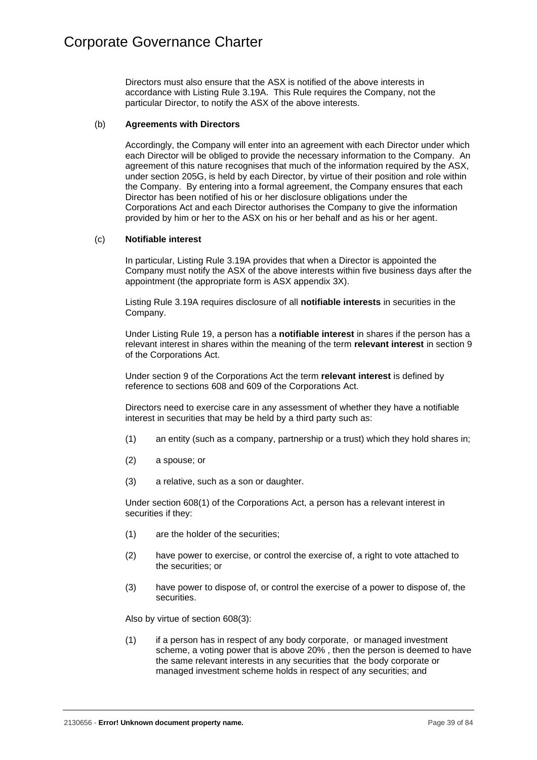Directors must also ensure that the ASX is notified of the above interests in accordance with Listing Rule 3.19A. This Rule requires the Company, not the particular Director, to notify the ASX of the above interests.

## (b) **Agreements with Directors**

Accordingly, the Company will enter into an agreement with each Director under which each Director will be obliged to provide the necessary information to the Company. An agreement of this nature recognises that much of the information required by the ASX, under section 205G, is held by each Director, by virtue of their position and role within the Company. By entering into a formal agreement, the Company ensures that each Director has been notified of his or her disclosure obligations under the Corporations Act and each Director authorises the Company to give the information provided by him or her to the ASX on his or her behalf and as his or her agent.

#### (c) **Notifiable interest**

In particular, Listing Rule 3.19A provides that when a Director is appointed the Company must notify the ASX of the above interests within five business days after the appointment (the appropriate form is ASX appendix 3X).

Listing Rule 3.19A requires disclosure of all **notifiable interests** in securities in the Company.

Under Listing Rule 19, a person has a **notifiable interest** in shares if the person has a relevant interest in shares within the meaning of the term **relevant interest** in section 9 of the Corporations Act.

Under section 9 of the Corporations Act the term **relevant interest** is defined by reference to sections 608 and 609 of the Corporations Act.

Directors need to exercise care in any assessment of whether they have a notifiable interest in securities that may be held by a third party such as:

- (1) an entity (such as a company, partnership or a trust) which they hold shares in;
- (2) a spouse; or
- (3) a relative, such as a son or daughter.

Under section 608(1) of the Corporations Act, a person has a relevant interest in securities if they:

- (1) are the holder of the securities;
- (2) have power to exercise, or control the exercise of, a right to vote attached to the securities; or
- (3) have power to dispose of, or control the exercise of a power to dispose of, the securities.

Also by virtue of section 608(3):

(1) if a person has in respect of any body corporate, or managed investment scheme, a voting power that is above 20% , then the person is deemed to have the same relevant interests in any securities that the body corporate or managed investment scheme holds in respect of any securities; and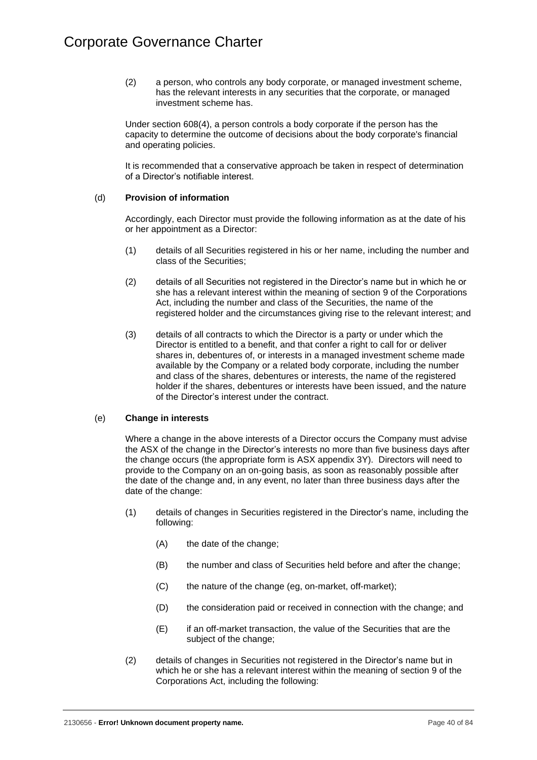(2) a person, who controls any body corporate, or managed investment scheme, has the relevant interests in any securities that the corporate, or managed investment scheme has.

Under section 608(4), a person controls a body corporate if the person has the capacity to determine the outcome of decisions about the body corporate's financial and operating policies.

It is recommended that a conservative approach be taken in respect of determination of a Director's notifiable interest.

# (d) **Provision of information**

Accordingly, each Director must provide the following information as at the date of his or her appointment as a Director:

- (1) details of all Securities registered in his or her name, including the number and class of the Securities;
- (2) details of all Securities not registered in the Director's name but in which he or she has a relevant interest within the meaning of section 9 of the Corporations Act, including the number and class of the Securities, the name of the registered holder and the circumstances giving rise to the relevant interest; and
- (3) details of all contracts to which the Director is a party or under which the Director is entitled to a benefit, and that confer a right to call for or deliver shares in, debentures of, or interests in a managed investment scheme made available by the Company or a related body corporate, including the number and class of the shares, debentures or interests, the name of the registered holder if the shares, debentures or interests have been issued, and the nature of the Director's interest under the contract.

# (e) **Change in interests**

Where a change in the above interests of a Director occurs the Company must advise the ASX of the change in the Director's interests no more than five business days after the change occurs (the appropriate form is ASX appendix 3Y). Directors will need to provide to the Company on an on-going basis, as soon as reasonably possible after the date of the change and, in any event, no later than three business days after the date of the change:

- (1) details of changes in Securities registered in the Director's name, including the following:
	- (A) the date of the change;
	- (B) the number and class of Securities held before and after the change;
	- (C) the nature of the change (eg, on-market, off-market);
	- (D) the consideration paid or received in connection with the change; and
	- (E) if an off-market transaction, the value of the Securities that are the subject of the change;
- (2) details of changes in Securities not registered in the Director's name but in which he or she has a relevant interest within the meaning of section 9 of the Corporations Act, including the following: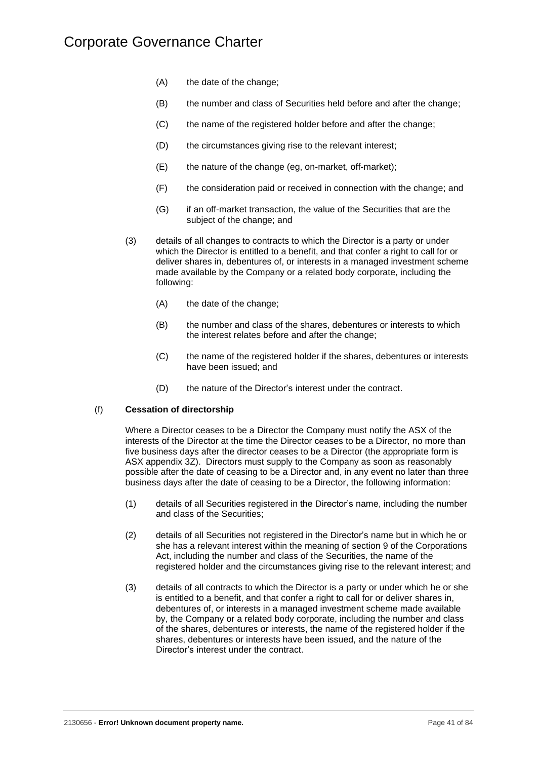- (A) the date of the change;
- (B) the number and class of Securities held before and after the change;
- (C) the name of the registered holder before and after the change;
- (D) the circumstances giving rise to the relevant interest;
- (E) the nature of the change (eg, on-market, off-market);
- (F) the consideration paid or received in connection with the change; and
- (G) if an off-market transaction, the value of the Securities that are the subject of the change; and
- (3) details of all changes to contracts to which the Director is a party or under which the Director is entitled to a benefit, and that confer a right to call for or deliver shares in, debentures of, or interests in a managed investment scheme made available by the Company or a related body corporate, including the following:
	- (A) the date of the change:
	- (B) the number and class of the shares, debentures or interests to which the interest relates before and after the change;
	- (C) the name of the registered holder if the shares, debentures or interests have been issued; and
	- (D) the nature of the Director's interest under the contract.

## (f) **Cessation of directorship**

Where a Director ceases to be a Director the Company must notify the ASX of the interests of the Director at the time the Director ceases to be a Director, no more than five business days after the director ceases to be a Director (the appropriate form is ASX appendix 3Z). Directors must supply to the Company as soon as reasonably possible after the date of ceasing to be a Director and, in any event no later than three business days after the date of ceasing to be a Director, the following information:

- (1) details of all Securities registered in the Director's name, including the number and class of the Securities;
- (2) details of all Securities not registered in the Director's name but in which he or she has a relevant interest within the meaning of section 9 of the Corporations Act, including the number and class of the Securities, the name of the registered holder and the circumstances giving rise to the relevant interest; and
- (3) details of all contracts to which the Director is a party or under which he or she is entitled to a benefit, and that confer a right to call for or deliver shares in, debentures of, or interests in a managed investment scheme made available by, the Company or a related body corporate, including the number and class of the shares, debentures or interests, the name of the registered holder if the shares, debentures or interests have been issued, and the nature of the Director's interest under the contract.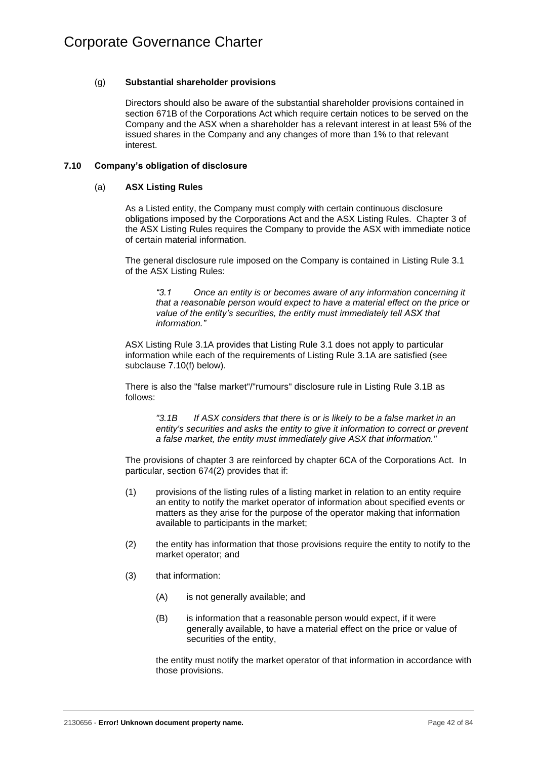# (g) **Substantial shareholder provisions**

Directors should also be aware of the substantial shareholder provisions contained in section 671B of the Corporations Act which require certain notices to be served on the Company and the ASX when a shareholder has a relevant interest in at least 5% of the issued shares in the Company and any changes of more than 1% to that relevant interest.

# **7.10 Company's obligation of disclosure**

# (a) **ASX Listing Rules**

As a Listed entity, the Company must comply with certain continuous disclosure obligations imposed by the Corporations Act and the ASX Listing Rules. Chapter 3 of the ASX Listing Rules requires the Company to provide the ASX with immediate notice of certain material information.

The general disclosure rule imposed on the Company is contained in Listing Rule 3.1 of the ASX Listing Rules:

*"3.1 Once an entity is or becomes aware of any information concerning it that a reasonable person would expect to have a material effect on the price or value of the entity's securities, the entity must immediately tell ASX that information."*

ASX Listing Rule 3.1A provides that Listing Rule 3.1 does not apply to particular information while each of the requirements of Listing Rule 3.1A are satisfied (see subclause [7.10\(f\)](#page-52-0) below).

There is also the "false market"/"rumours" disclosure rule in Listing Rule 3.1B as follows:

*"3.1B If ASX considers that there is or is likely to be a false market in an entity's securities and asks the entity to give it information to correct or prevent a false market, the entity must immediately give ASX that information."*

The provisions of chapter 3 are reinforced by chapter 6CA of the Corporations Act. In particular, section 674(2) provides that if:

- (1) provisions of the listing rules of a listing market in relation to an entity require an entity to notify the market operator of information about specified events or matters as they arise for the purpose of the operator making that information available to participants in the market;
- (2) the entity has information that those provisions require the entity to notify to the market operator; and
- (3) that information:
	- (A) is not generally available; and
	- (B) is information that a reasonable person would expect, if it were generally available, to have a material effect on the price or value of securities of the entity,

the entity must notify the market operator of that information in accordance with those provisions.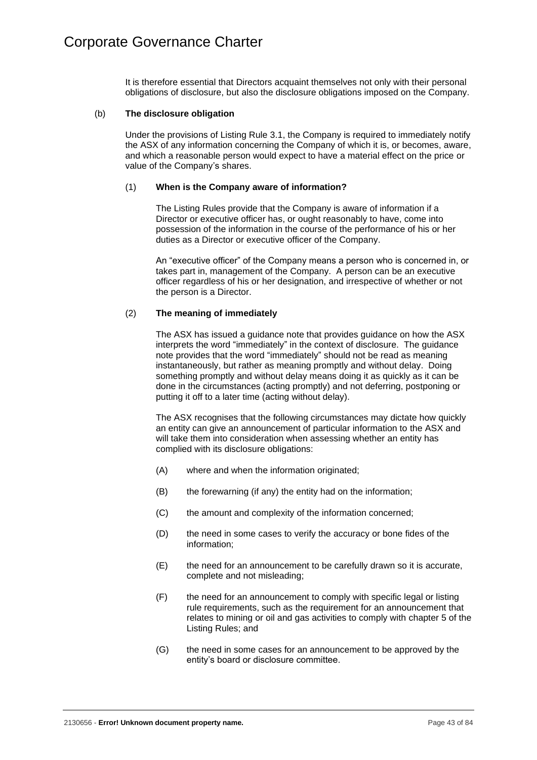It is therefore essential that Directors acquaint themselves not only with their personal obligations of disclosure, but also the disclosure obligations imposed on the Company.

## (b) **The disclosure obligation**

Under the provisions of Listing Rule 3.1, the Company is required to immediately notify the ASX of any information concerning the Company of which it is, or becomes, aware, and which a reasonable person would expect to have a material effect on the price or value of the Company's shares.

## (1) **When is the Company aware of information?**

The Listing Rules provide that the Company is aware of information if a Director or executive officer has, or ought reasonably to have, come into possession of the information in the course of the performance of his or her duties as a Director or executive officer of the Company.

An "executive officer" of the Company means a person who is concerned in, or takes part in, management of the Company. A person can be an executive officer regardless of his or her designation, and irrespective of whether or not the person is a Director.

# (2) **The meaning of immediately**

The ASX has issued a guidance note that provides guidance on how the ASX interprets the word "immediately" in the context of disclosure. The guidance note provides that the word "immediately" should not be read as meaning instantaneously, but rather as meaning promptly and without delay. Doing something promptly and without delay means doing it as quickly as it can be done in the circumstances (acting promptly) and not deferring, postponing or putting it off to a later time (acting without delay).

The ASX recognises that the following circumstances may dictate how quickly an entity can give an announcement of particular information to the ASX and will take them into consideration when assessing whether an entity has complied with its disclosure obligations:

- (A) where and when the information originated;
- (B) the forewarning (if any) the entity had on the information;
- (C) the amount and complexity of the information concerned;
- (D) the need in some cases to verify the accuracy or bone fides of the information;
- (E) the need for an announcement to be carefully drawn so it is accurate, complete and not misleading;
- (F) the need for an announcement to comply with specific legal or listing rule requirements, such as the requirement for an announcement that relates to mining or oil and gas activities to comply with chapter 5 of the Listing Rules; and
- (G) the need in some cases for an announcement to be approved by the entity's board or disclosure committee.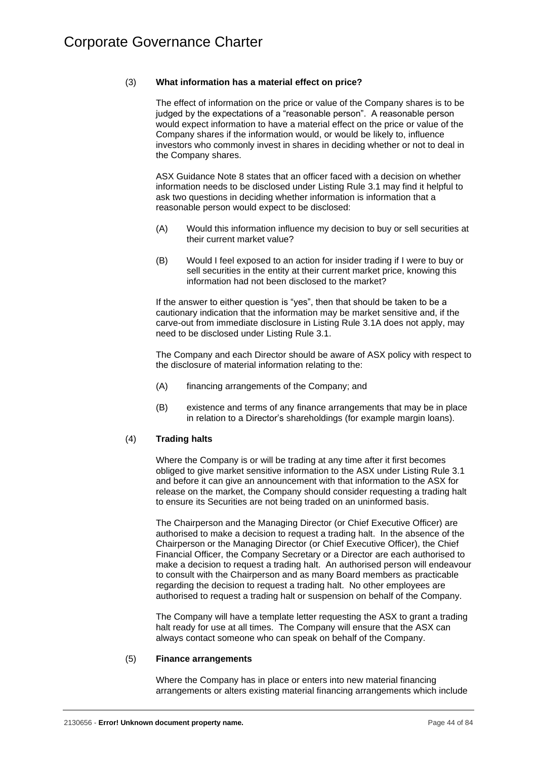# (3) **What information has a material effect on price?**

The effect of information on the price or value of the Company shares is to be judged by the expectations of a "reasonable person". A reasonable person would expect information to have a material effect on the price or value of the Company shares if the information would, or would be likely to, influence investors who commonly invest in shares in deciding whether or not to deal in the Company shares.

ASX Guidance Note 8 states that an officer faced with a decision on whether information needs to be disclosed under Listing Rule 3.1 may find it helpful to ask two questions in deciding whether information is information that a reasonable person would expect to be disclosed:

- (A) Would this information influence my decision to buy or sell securities at their current market value?
- (B) Would I feel exposed to an action for insider trading if I were to buy or sell securities in the entity at their current market price, knowing this information had not been disclosed to the market?

If the answer to either question is "yes", then that should be taken to be a cautionary indication that the information may be market sensitive and, if the carve-out from immediate disclosure in Listing Rule 3.1A does not apply, may need to be disclosed under Listing Rule 3.1.

The Company and each Director should be aware of ASX policy with respect to the disclosure of material information relating to the:

- (A) financing arrangements of the Company; and
- (B) existence and terms of any finance arrangements that may be in place in relation to a Director's shareholdings (for example margin loans).

# (4) **Trading halts**

Where the Company is or will be trading at any time after it first becomes obliged to give market sensitive information to the ASX under Listing Rule 3.1 and before it can give an announcement with that information to the ASX for release on the market, the Company should consider requesting a trading halt to ensure its Securities are not being traded on an uninformed basis.

The Chairperson and the Managing Director (or Chief Executive Officer) are authorised to make a decision to request a trading halt. In the absence of the Chairperson or the Managing Director (or Chief Executive Officer), the Chief Financial Officer, the Company Secretary or a Director are each authorised to make a decision to request a trading halt. An authorised person will endeavour to consult with the Chairperson and as many Board members as practicable regarding the decision to request a trading halt. No other employees are authorised to request a trading halt or suspension on behalf of the Company.

The Company will have a template letter requesting the ASX to grant a trading halt ready for use at all times. The Company will ensure that the ASX can always contact someone who can speak on behalf of the Company.

# (5) **Finance arrangements**

Where the Company has in place or enters into new material financing arrangements or alters existing material financing arrangements which include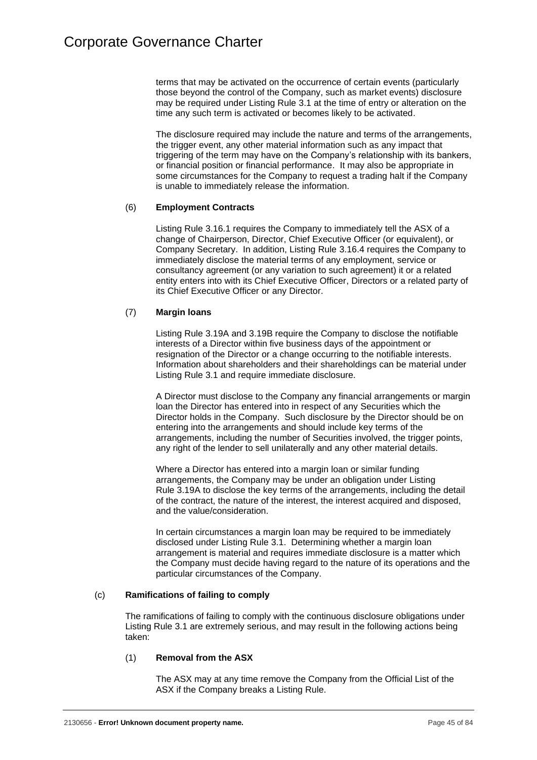terms that may be activated on the occurrence of certain events (particularly those beyond the control of the Company, such as market events) disclosure may be required under Listing Rule 3.1 at the time of entry or alteration on the time any such term is activated or becomes likely to be activated.

The disclosure required may include the nature and terms of the arrangements, the trigger event, any other material information such as any impact that triggering of the term may have on the Company's relationship with its bankers, or financial position or financial performance. It may also be appropriate in some circumstances for the Company to request a trading halt if the Company is unable to immediately release the information.

# (6) **Employment Contracts**

Listing Rule 3.16.1 requires the Company to immediately tell the ASX of a change of Chairperson, Director, Chief Executive Officer (or equivalent), or Company Secretary. In addition, Listing Rule 3.16.4 requires the Company to immediately disclose the material terms of any employment, service or consultancy agreement (or any variation to such agreement) it or a related entity enters into with its Chief Executive Officer, Directors or a related party of its Chief Executive Officer or any Director.

# (7) **Margin loans**

Listing Rule 3.19A and 3.19B require the Company to disclose the notifiable interests of a Director within five business days of the appointment or resignation of the Director or a change occurring to the notifiable interests. Information about shareholders and their shareholdings can be material under Listing Rule 3.1 and require immediate disclosure.

A Director must disclose to the Company any financial arrangements or margin loan the Director has entered into in respect of any Securities which the Director holds in the Company. Such disclosure by the Director should be on entering into the arrangements and should include key terms of the arrangements, including the number of Securities involved, the trigger points, any right of the lender to sell unilaterally and any other material details.

Where a Director has entered into a margin loan or similar funding arrangements, the Company may be under an obligation under Listing Rule 3.19A to disclose the key terms of the arrangements, including the detail of the contract, the nature of the interest, the interest acquired and disposed, and the value/consideration.

In certain circumstances a margin loan may be required to be immediately disclosed under Listing Rule 3.1. Determining whether a margin loan arrangement is material and requires immediate disclosure is a matter which the Company must decide having regard to the nature of its operations and the particular circumstances of the Company.

# (c) **Ramifications of failing to comply**

The ramifications of failing to comply with the continuous disclosure obligations under Listing Rule 3.1 are extremely serious, and may result in the following actions being taken:

# (1) **Removal from the ASX**

The ASX may at any time remove the Company from the Official List of the ASX if the Company breaks a Listing Rule.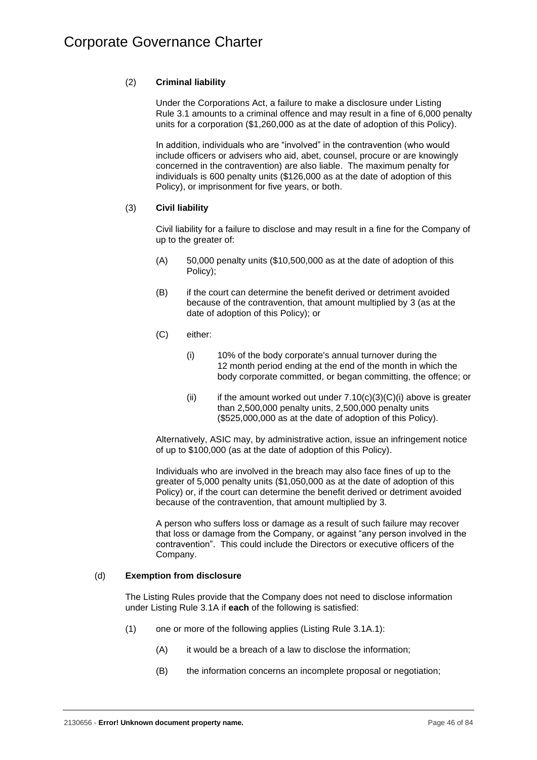# (2) **Criminal liability**

Under the Corporations Act, a failure to make a disclosure under Listing Rule 3.1 amounts to a criminal offence and may result in a fine of 6,000 penalty units for a corporation (\$1,260,000 as at the date of adoption of this Policy).

In addition, individuals who are "involved" in the contravention (who would include officers or advisers who aid, abet, counsel, procure or are knowingly concerned in the contravention) are also liable. The maximum penalty for individuals is 600 penalty units (\$126,000 as at the date of adoption of this Policy), or imprisonment for five years, or both.

# (3) **Civil liability**

Civil liability for a failure to disclose and may result in a fine for the Company of up to the greater of:

- (A) 50,000 penalty units (\$10,500,000 as at the date of adoption of this Policy);
- (B) if the court can determine the benefit derived or detriment avoided because of the contravention, that amount multiplied by 3 (as at the date of adoption of this Policy); or
- <span id="page-49-0"></span>(C) either:
	- (i) 10% of the body corporate's annual turnover during the 12 month period ending at the end of the month in which the body corporate committed, or began committing, the offence; or
	- (ii) if the amount worked out under  $7.10(c)(3)(C)(i)$  above is greater than 2,500,000 penalty units, 2,500,000 penalty units (\$525,000,000 as at the date of adoption of this Policy).

Alternatively, ASIC may, by administrative action, issue an infringement notice of up to \$100,000 (as at the date of adoption of this Policy).

Individuals who are involved in the breach may also face fines of up to the greater of 5,000 penalty units (\$1,050,000 as at the date of adoption of this Policy) or, if the court can determine the benefit derived or detriment avoided because of the contravention, that amount multiplied by 3.

A person who suffers loss or damage as a result of such failure may recover that loss or damage from the Company, or against "any person involved in the contravention". This could include the Directors or executive officers of the Company.

# (d) **Exemption from disclosure**

The Listing Rules provide that the Company does not need to disclose information under Listing Rule 3.1A if **each** of the following is satisfied:

- (1) one or more of the following applies (Listing Rule 3.1A.1):
	- (A) it would be a breach of a law to disclose the information;
	- (B) the information concerns an incomplete proposal or negotiation;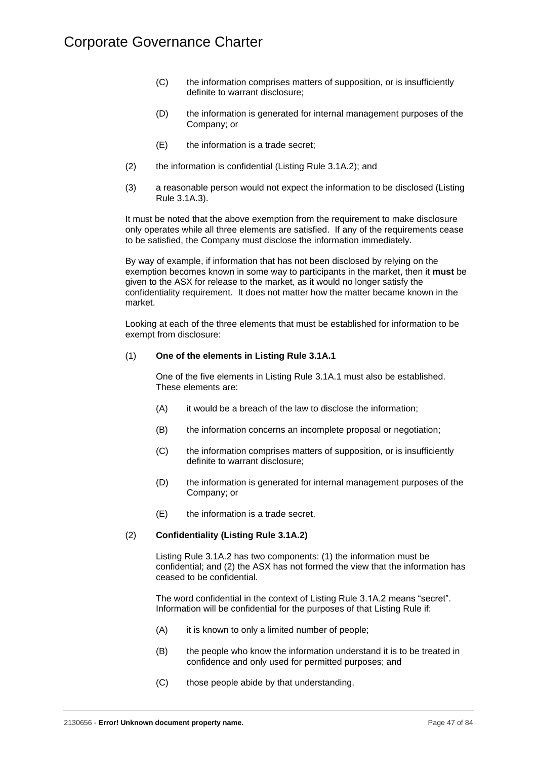- (C) the information comprises matters of supposition, or is insufficiently definite to warrant disclosure;
- (D) the information is generated for internal management purposes of the Company; or
- (E) the information is a trade secret;
- (2) the information is confidential (Listing Rule 3.1A.2); and
- (3) a reasonable person would not expect the information to be disclosed (Listing Rule 3.1A.3).

It must be noted that the above exemption from the requirement to make disclosure only operates while all three elements are satisfied. If any of the requirements cease to be satisfied, the Company must disclose the information immediately.

By way of example, if information that has not been disclosed by relying on the exemption becomes known in some way to participants in the market, then it **must** be given to the ASX for release to the market, as it would no longer satisfy the confidentiality requirement. It does not matter how the matter became known in the market.

Looking at each of the three elements that must be established for information to be exempt from disclosure:

## (1) **One of the elements in Listing Rule 3.1A.1**

One of the five elements in Listing Rule 3.1A.1 must also be established. These elements are:

- (A) it would be a breach of the law to disclose the information;
- (B) the information concerns an incomplete proposal or negotiation;
- (C) the information comprises matters of supposition, or is insufficiently definite to warrant disclosure;
- (D) the information is generated for internal management purposes of the Company; or
- (E) the information is a trade secret.

#### (2) **Confidentiality (Listing Rule 3.1A.2)**

Listing Rule 3.1A.2 has two components: (1) the information must be confidential; and (2) the ASX has not formed the view that the information has ceased to be confidential.

The word confidential in the context of Listing Rule 3.1A.2 means "secret". Information will be confidential for the purposes of that Listing Rule if:

- (A) it is known to only a limited number of people;
- (B) the people who know the information understand it is to be treated in confidence and only used for permitted purposes; and
- (C) those people abide by that understanding.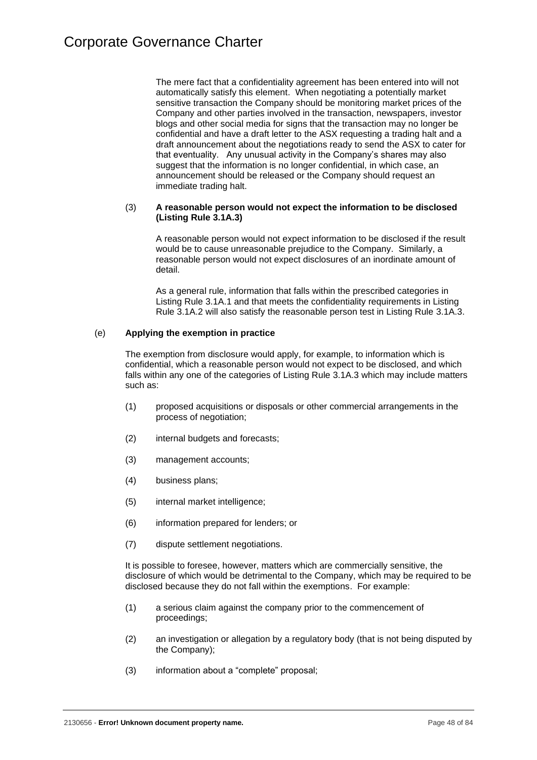The mere fact that a confidentiality agreement has been entered into will not automatically satisfy this element. When negotiating a potentially market sensitive transaction the Company should be monitoring market prices of the Company and other parties involved in the transaction, newspapers, investor blogs and other social media for signs that the transaction may no longer be confidential and have a draft letter to the ASX requesting a trading halt and a draft announcement about the negotiations ready to send the ASX to cater for that eventuality. Any unusual activity in the Company's shares may also suggest that the information is no longer confidential, in which case, an announcement should be released or the Company should request an immediate trading halt.

## (3) **A reasonable person would not expect the information to be disclosed (Listing Rule 3.1A.3)**

A reasonable person would not expect information to be disclosed if the result would be to cause unreasonable prejudice to the Company. Similarly, a reasonable person would not expect disclosures of an inordinate amount of detail.

As a general rule, information that falls within the prescribed categories in Listing Rule 3.1A.1 and that meets the confidentiality requirements in Listing Rule 3.1A.2 will also satisfy the reasonable person test in Listing Rule 3.1A.3.

# (e) **Applying the exemption in practice**

The exemption from disclosure would apply, for example, to information which is confidential, which a reasonable person would not expect to be disclosed, and which falls within any one of the categories of Listing Rule 3.1A.3 which may include matters such as:

- (1) proposed acquisitions or disposals or other commercial arrangements in the process of negotiation;
- (2) internal budgets and forecasts;
- (3) management accounts;
- (4) business plans;
- (5) internal market intelligence;
- (6) information prepared for lenders; or
- (7) dispute settlement negotiations.

It is possible to foresee, however, matters which are commercially sensitive, the disclosure of which would be detrimental to the Company, which may be required to be disclosed because they do not fall within the exemptions. For example:

- (1) a serious claim against the company prior to the commencement of proceedings;
- (2) an investigation or allegation by a regulatory body (that is not being disputed by the Company);
- (3) information about a "complete" proposal;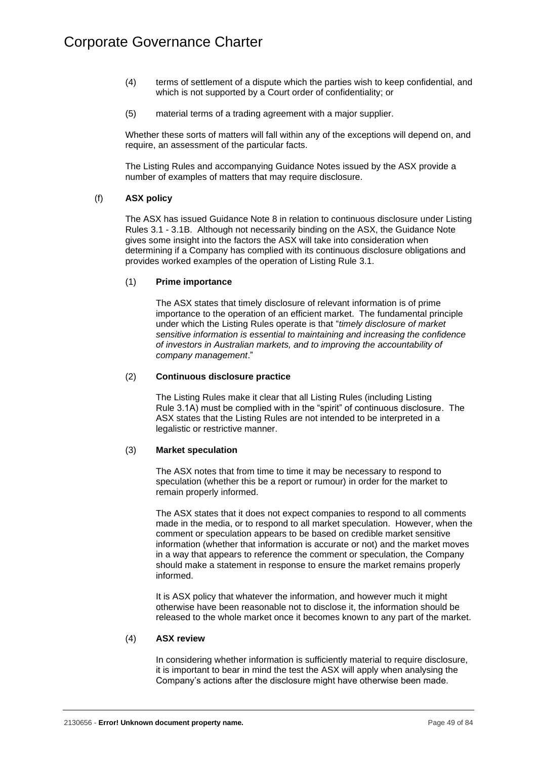- (4) terms of settlement of a dispute which the parties wish to keep confidential, and which is not supported by a Court order of confidentiality; or
- (5) material terms of a trading agreement with a major supplier.

Whether these sorts of matters will fall within any of the exceptions will depend on, and require, an assessment of the particular facts.

The Listing Rules and accompanying Guidance Notes issued by the ASX provide a number of examples of matters that may require disclosure.

# <span id="page-52-0"></span>(f) **ASX policy**

The ASX has issued Guidance Note 8 in relation to continuous disclosure under Listing Rules 3.1 - 3.1B. Although not necessarily binding on the ASX, the Guidance Note gives some insight into the factors the ASX will take into consideration when determining if a Company has complied with its continuous disclosure obligations and provides worked examples of the operation of Listing Rule 3.1.

# (1) **Prime importance**

The ASX states that timely disclosure of relevant information is of prime importance to the operation of an efficient market. The fundamental principle under which the Listing Rules operate is that "*timely disclosure of market sensitive information is essential to maintaining and increasing the confidence of investors in Australian markets, and to improving the accountability of company management*."

## (2) **Continuous disclosure practice**

The Listing Rules make it clear that all Listing Rules (including Listing Rule 3.1A) must be complied with in the "spirit" of continuous disclosure. The ASX states that the Listing Rules are not intended to be interpreted in a legalistic or restrictive manner.

# (3) **Market speculation**

The ASX notes that from time to time it may be necessary to respond to speculation (whether this be a report or rumour) in order for the market to remain properly informed.

The ASX states that it does not expect companies to respond to all comments made in the media, or to respond to all market speculation. However, when the comment or speculation appears to be based on credible market sensitive information (whether that information is accurate or not) and the market moves in a way that appears to reference the comment or speculation, the Company should make a statement in response to ensure the market remains properly informed.

It is ASX policy that whatever the information, and however much it might otherwise have been reasonable not to disclose it, the information should be released to the whole market once it becomes known to any part of the market.

#### (4) **ASX review**

In considering whether information is sufficiently material to require disclosure, it is important to bear in mind the test the ASX will apply when analysing the Company's actions after the disclosure might have otherwise been made.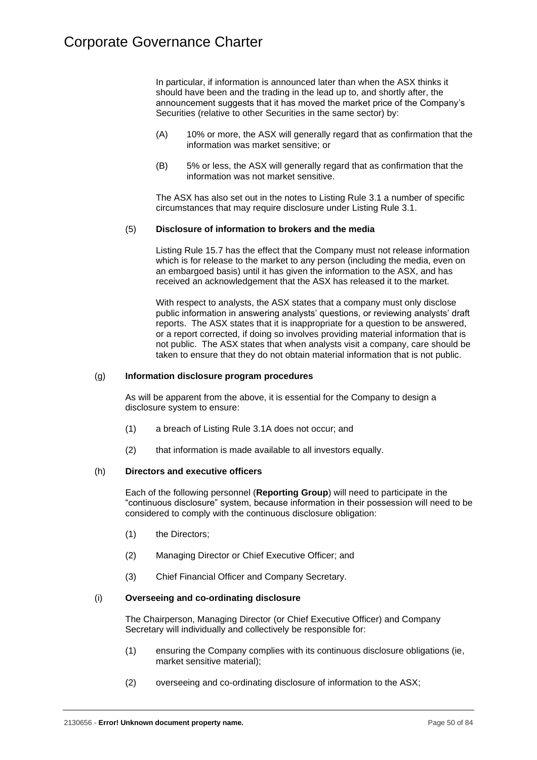In particular, if information is announced later than when the ASX thinks it should have been and the trading in the lead up to, and shortly after, the announcement suggests that it has moved the market price of the Company's Securities (relative to other Securities in the same sector) by:

- (A) 10% or more, the ASX will generally regard that as confirmation that the information was market sensitive; or
- (B) 5% or less, the ASX will generally regard that as confirmation that the information was not market sensitive.

The ASX has also set out in the notes to Listing Rule 3.1 a number of specific circumstances that may require disclosure under Listing Rule 3.1.

## (5) **Disclosure of information to brokers and the media**

Listing Rule 15.7 has the effect that the Company must not release information which is for release to the market to any person (including the media, even on an embargoed basis) until it has given the information to the ASX, and has received an acknowledgement that the ASX has released it to the market.

With respect to analysts, the ASX states that a company must only disclose public information in answering analysts' questions, or reviewing analysts' draft reports. The ASX states that it is inappropriate for a question to be answered, or a report corrected, if doing so involves providing material information that is not public. The ASX states that when analysts visit a company, care should be taken to ensure that they do not obtain material information that is not public.

## (g) **Information disclosure program procedures**

As will be apparent from the above, it is essential for the Company to design a disclosure system to ensure:

- (1) a breach of Listing Rule 3.1A does not occur; and
- (2) that information is made available to all investors equally.

# (h) **Directors and executive officers**

Each of the following personnel (**Reporting Group**) will need to participate in the "continuous disclosure" system, because information in their possession will need to be considered to comply with the continuous disclosure obligation:

- (1) the Directors;
- (2) Managing Director or Chief Executive Officer; and
- (3) Chief Financial Officer and Company Secretary.

### (i) **Overseeing and co-ordinating disclosure**

The Chairperson, Managing Director (or Chief Executive Officer) and Company Secretary will individually and collectively be responsible for:

- (1) ensuring the Company complies with its continuous disclosure obligations (ie, market sensitive material);
- (2) overseeing and co-ordinating disclosure of information to the ASX;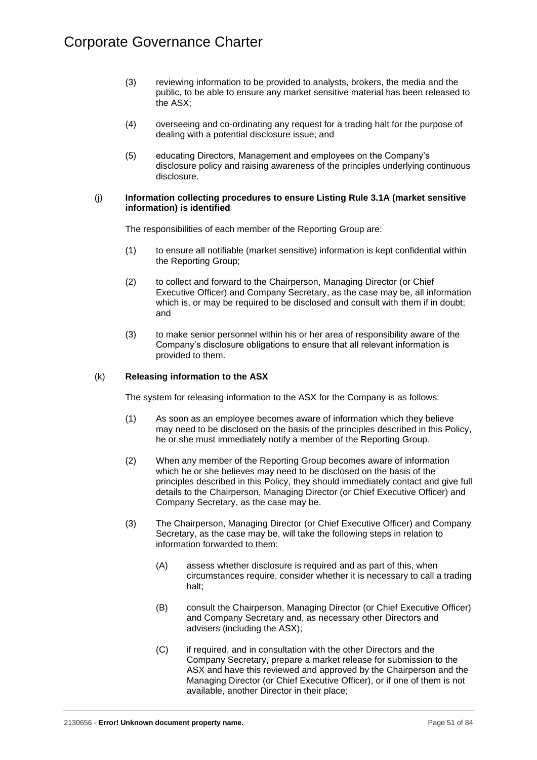- (3) reviewing information to be provided to analysts, brokers, the media and the public, to be able to ensure any market sensitive material has been released to the ASX;
- (4) overseeing and co-ordinating any request for a trading halt for the purpose of dealing with a potential disclosure issue; and
- (5) educating Directors, Management and employees on the Company's disclosure policy and raising awareness of the principles underlying continuous disclosure.

### (j) **Information collecting procedures to ensure Listing Rule 3.1A (market sensitive information) is identified**

The responsibilities of each member of the Reporting Group are:

- (1) to ensure all notifiable (market sensitive) information is kept confidential within the Reporting Group;
- (2) to collect and forward to the Chairperson, Managing Director (or Chief Executive Officer) and Company Secretary, as the case may be, all information which is, or may be required to be disclosed and consult with them if in doubt; and
- (3) to make senior personnel within his or her area of responsibility aware of the Company's disclosure obligations to ensure that all relevant information is provided to them.

# (k) **Releasing information to the ASX**

The system for releasing information to the ASX for the Company is as follows:

- (1) As soon as an employee becomes aware of information which they believe may need to be disclosed on the basis of the principles described in this Policy, he or she must immediately notify a member of the Reporting Group.
- (2) When any member of the Reporting Group becomes aware of information which he or she believes may need to be disclosed on the basis of the principles described in this Policy, they should immediately contact and give full details to the Chairperson, Managing Director (or Chief Executive Officer) and Company Secretary, as the case may be.
- (3) The Chairperson, Managing Director (or Chief Executive Officer) and Company Secretary, as the case may be, will take the following steps in relation to information forwarded to them:
	- (A) assess whether disclosure is required and as part of this, when circumstances require, consider whether it is necessary to call a trading halt;
	- (B) consult the Chairperson, Managing Director (or Chief Executive Officer) and Company Secretary and, as necessary other Directors and advisers (including the ASX);
	- (C) if required, and in consultation with the other Directors and the Company Secretary, prepare a market release for submission to the ASX and have this reviewed and approved by the Chairperson and the Managing Director (or Chief Executive Officer), or if one of them is not available, another Director in their place;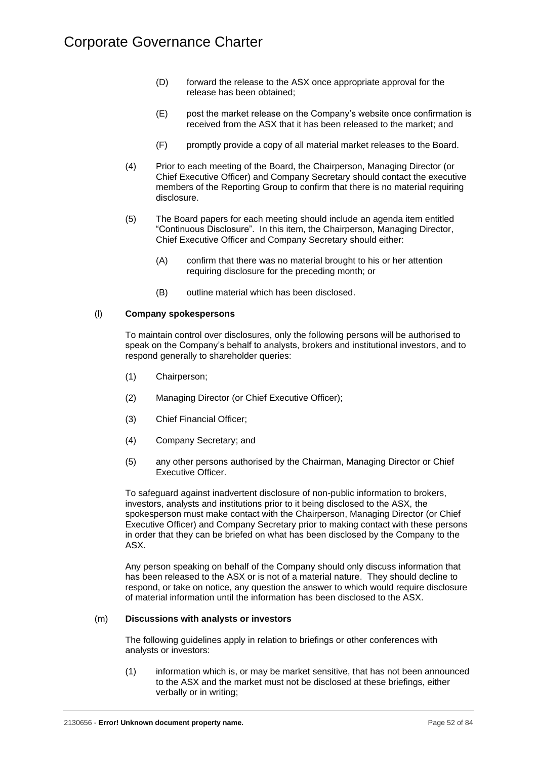- (D) forward the release to the ASX once appropriate approval for the release has been obtained;
- (E) post the market release on the Company's website once confirmation is received from the ASX that it has been released to the market; and
- (F) promptly provide a copy of all material market releases to the Board.
- (4) Prior to each meeting of the Board, the Chairperson, Managing Director (or Chief Executive Officer) and Company Secretary should contact the executive members of the Reporting Group to confirm that there is no material requiring disclosure.
- (5) The Board papers for each meeting should include an agenda item entitled "Continuous Disclosure". In this item, the Chairperson, Managing Director, Chief Executive Officer and Company Secretary should either:
	- (A) confirm that there was no material brought to his or her attention requiring disclosure for the preceding month; or
	- (B) outline material which has been disclosed.

## (l) **Company spokespersons**

To maintain control over disclosures, only the following persons will be authorised to speak on the Company's behalf to analysts, brokers and institutional investors, and to respond generally to shareholder queries:

- (1) Chairperson;
- (2) Managing Director (or Chief Executive Officer);
- (3) Chief Financial Officer;
- (4) Company Secretary; and
- (5) any other persons authorised by the Chairman, Managing Director or Chief Executive Officer.

To safeguard against inadvertent disclosure of non-public information to brokers, investors, analysts and institutions prior to it being disclosed to the ASX, the spokesperson must make contact with the Chairperson, Managing Director (or Chief Executive Officer) and Company Secretary prior to making contact with these persons in order that they can be briefed on what has been disclosed by the Company to the ASX.

Any person speaking on behalf of the Company should only discuss information that has been released to the ASX or is not of a material nature. They should decline to respond, or take on notice, any question the answer to which would require disclosure of material information until the information has been disclosed to the ASX.

#### (m) **Discussions with analysts or investors**

The following guidelines apply in relation to briefings or other conferences with analysts or investors:

(1) information which is, or may be market sensitive, that has not been announced to the ASX and the market must not be disclosed at these briefings, either verbally or in writing;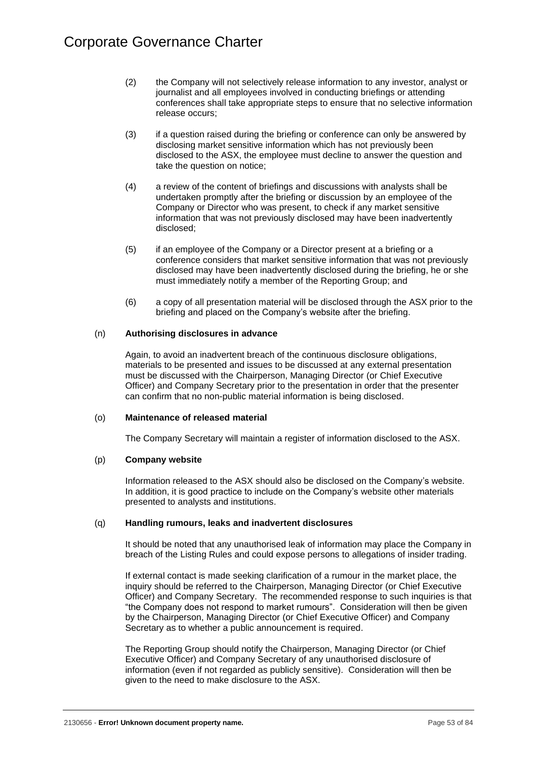- (2) the Company will not selectively release information to any investor, analyst or journalist and all employees involved in conducting briefings or attending conferences shall take appropriate steps to ensure that no selective information release occurs;
- (3) if a question raised during the briefing or conference can only be answered by disclosing market sensitive information which has not previously been disclosed to the ASX, the employee must decline to answer the question and take the question on notice;
- (4) a review of the content of briefings and discussions with analysts shall be undertaken promptly after the briefing or discussion by an employee of the Company or Director who was present, to check if any market sensitive information that was not previously disclosed may have been inadvertently disclosed;
- (5) if an employee of the Company or a Director present at a briefing or a conference considers that market sensitive information that was not previously disclosed may have been inadvertently disclosed during the briefing, he or she must immediately notify a member of the Reporting Group; and
- (6) a copy of all presentation material will be disclosed through the ASX prior to the briefing and placed on the Company's website after the briefing.

# (n) **Authorising disclosures in advance**

Again, to avoid an inadvertent breach of the continuous disclosure obligations, materials to be presented and issues to be discussed at any external presentation must be discussed with the Chairperson, Managing Director (or Chief Executive Officer) and Company Secretary prior to the presentation in order that the presenter can confirm that no non-public material information is being disclosed.

# (o) **Maintenance of released material**

The Company Secretary will maintain a register of information disclosed to the ASX.

#### (p) **Company website**

Information released to the ASX should also be disclosed on the Company's website. In addition, it is good practice to include on the Company's website other materials presented to analysts and institutions.

#### (q) **Handling rumours, leaks and inadvertent disclosures**

It should be noted that any unauthorised leak of information may place the Company in breach of the Listing Rules and could expose persons to allegations of insider trading.

If external contact is made seeking clarification of a rumour in the market place, the inquiry should be referred to the Chairperson, Managing Director (or Chief Executive Officer) and Company Secretary. The recommended response to such inquiries is that "the Company does not respond to market rumours". Consideration will then be given by the Chairperson, Managing Director (or Chief Executive Officer) and Company Secretary as to whether a public announcement is required.

The Reporting Group should notify the Chairperson, Managing Director (or Chief Executive Officer) and Company Secretary of any unauthorised disclosure of information (even if not regarded as publicly sensitive). Consideration will then be given to the need to make disclosure to the ASX.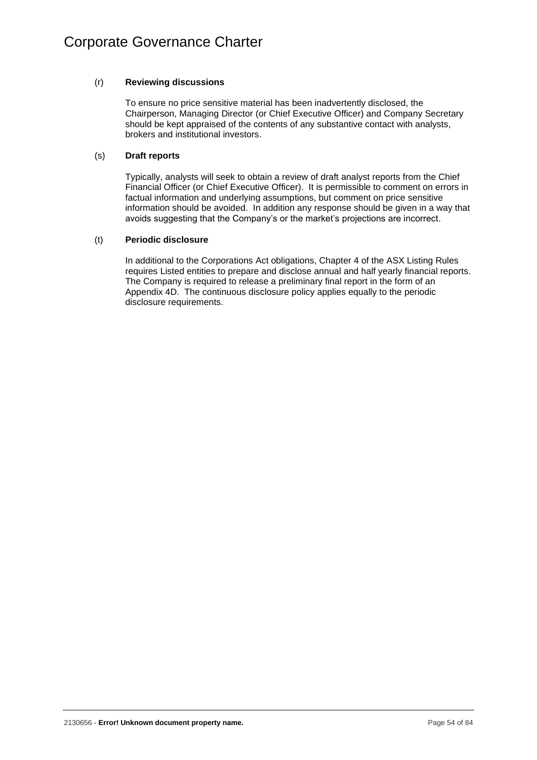# (r) **Reviewing discussions**

To ensure no price sensitive material has been inadvertently disclosed, the Chairperson, Managing Director (or Chief Executive Officer) and Company Secretary should be kept appraised of the contents of any substantive contact with analysts, brokers and institutional investors.

# (s) **Draft reports**

Typically, analysts will seek to obtain a review of draft analyst reports from the Chief Financial Officer (or Chief Executive Officer). It is permissible to comment on errors in factual information and underlying assumptions, but comment on price sensitive information should be avoided. In addition any response should be given in a way that avoids suggesting that the Company's or the market's projections are incorrect.

# (t) **Periodic disclosure**

In additional to the Corporations Act obligations, Chapter 4 of the ASX Listing Rules requires Listed entities to prepare and disclose annual and half yearly financial reports. The Company is required to release a preliminary final report in the form of an Appendix 4D. The continuous disclosure policy applies equally to the periodic disclosure requirements.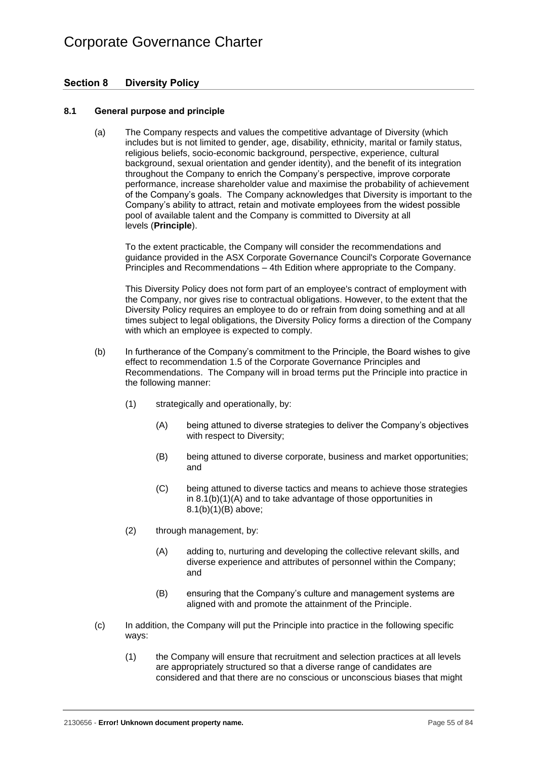# **Section 8 Diversity Policy**

# **8.1 General purpose and principle**

(a) The Company respects and values the competitive advantage of Diversity (which includes but is not limited to gender, age, disability, ethnicity, marital or family status, religious beliefs, socio-economic background, perspective, experience, cultural background, sexual orientation and gender identity), and the benefit of its integration throughout the Company to enrich the Company's perspective, improve corporate performance, increase shareholder value and maximise the probability of achievement of the Company's goals. The Company acknowledges that Diversity is important to the Company's ability to attract, retain and motivate employees from the widest possible pool of available talent and the Company is committed to Diversity at all levels (**Principle**).

To the extent practicable, the Company will consider the recommendations and guidance provided in the ASX Corporate Governance Council's Corporate Governance Principles and Recommendations – 4th Edition where appropriate to the Company.

This Diversity Policy does not form part of an employee's contract of employment with the Company, nor gives rise to contractual obligations. However, to the extent that the Diversity Policy requires an employee to do or refrain from doing something and at all times subject to legal obligations, the Diversity Policy forms a direction of the Company with which an employee is expected to comply.

- <span id="page-58-1"></span><span id="page-58-0"></span>(b) In furtherance of the Company's commitment to the Principle, the Board wishes to give effect to recommendation 1.5 of the Corporate Governance Principles and Recommendations. The Company will in broad terms put the Principle into practice in the following manner:
	- (1) strategically and operationally, by:
		- (A) being attuned to diverse strategies to deliver the Company's objectives with respect to Diversity;
		- (B) being attuned to diverse corporate, business and market opportunities; and
		- (C) being attuned to diverse tactics and means to achieve those strategies in [8.1\(b\)\(1\)\(A\)](#page-58-0) and to take advantage of those opportunities in [8.1\(b\)\(1\)\(B\)](#page-58-1) above;
	- (2) through management, by:
		- (A) adding to, nurturing and developing the collective relevant skills, and diverse experience and attributes of personnel within the Company; and
		- (B) ensuring that the Company's culture and management systems are aligned with and promote the attainment of the Principle.
- <span id="page-58-3"></span><span id="page-58-2"></span>(c) In addition, the Company will put the Principle into practice in the following specific ways:
	- (1) the Company will ensure that recruitment and selection practices at all levels are appropriately structured so that a diverse range of candidates are considered and that there are no conscious or unconscious biases that might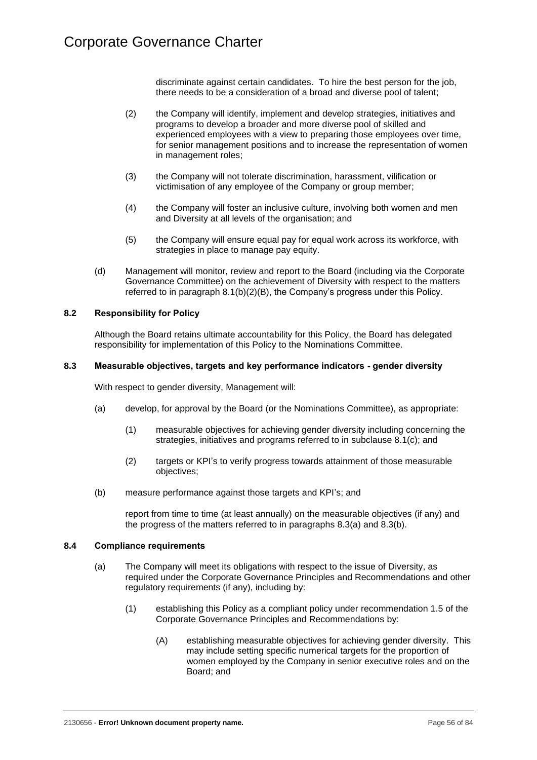discriminate against certain candidates. To hire the best person for the job, there needs to be a consideration of a broad and diverse pool of talent;

- (2) the Company will identify, implement and develop strategies, initiatives and programs to develop a broader and more diverse pool of skilled and experienced employees with a view to preparing those employees over time, for senior management positions and to increase the representation of women in management roles;
- (3) the Company will not tolerate discrimination, harassment, vilification or victimisation of any employee of the Company or group member;
- (4) the Company will foster an inclusive culture, involving both women and men and Diversity at all levels of the organisation; and
- (5) the Company will ensure equal pay for equal work across its workforce, with strategies in place to manage pay equity.
- (d) Management will monitor, review and report to the Board (including via the Corporate Governance Committee) on the achievement of Diversity with respect to the matters referred to in paragraph [8.1\(b\)\(2\)\(B\),](#page-58-2) the Company's progress under this Policy.

# **8.2 Responsibility for Policy**

Although the Board retains ultimate accountability for this Policy, the Board has delegated responsibility for implementation of this Policy to the Nominations Committee.

#### <span id="page-59-3"></span>**8.3 Measurable objectives, targets and key performance indicators - gender diversity**

With respect to gender diversity, Management will:

- <span id="page-59-0"></span>(a) develop, for approval by the Board (or the Nominations Committee), as appropriate:
	- (1) measurable objectives for achieving gender diversity including concerning the strategies, initiatives and programs referred to in subclause [8.1\(c\);](#page-58-3) and
	- (2) targets or KPI's to verify progress towards attainment of those measurable objectives;
- <span id="page-59-1"></span>(b) measure performance against those targets and KPI's; and

report from time to time (at least annually) on the measurable objectives (if any) and the progress of the matters referred to in paragraphs [8.3\(a\)](#page-59-0) and [8.3\(b\).](#page-59-1)

#### <span id="page-59-2"></span>**8.4 Compliance requirements**

- (a) The Company will meet its obligations with respect to the issue of Diversity, as required under the Corporate Governance Principles and Recommendations and other regulatory requirements (if any), including by:
	- (1) establishing this Policy as a compliant policy under recommendation 1.5 of the Corporate Governance Principles and Recommendations by:
		- (A) establishing measurable objectives for achieving gender diversity. This may include setting specific numerical targets for the proportion of women employed by the Company in senior executive roles and on the Board; and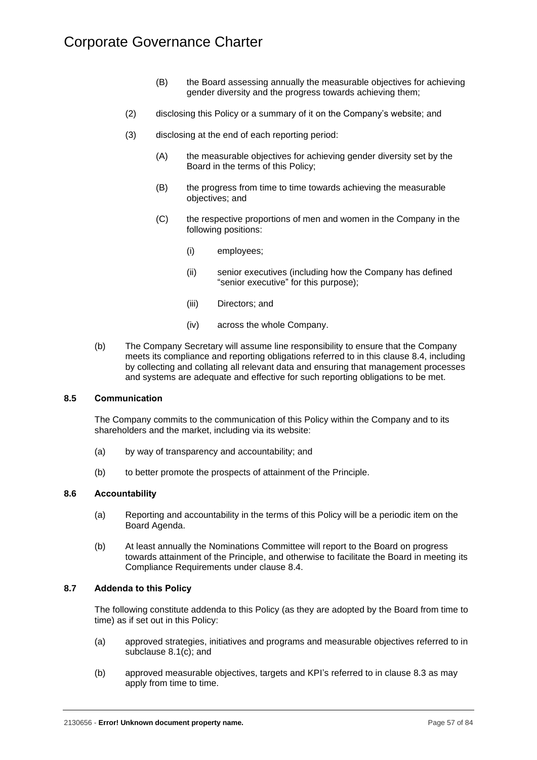- (B) the Board assessing annually the measurable objectives for achieving gender diversity and the progress towards achieving them;
- (2) disclosing this Policy or a summary of it on the Company's website; and
- (3) disclosing at the end of each reporting period:
	- (A) the measurable objectives for achieving gender diversity set by the Board in the terms of this Policy;
	- (B) the progress from time to time towards achieving the measurable objectives; and
	- (C) the respective proportions of men and women in the Company in the following positions:
		- (i) employees;
		- (ii) senior executives (including how the Company has defined "senior executive" for this purpose);
		- (iii) Directors; and
		- (iv) across the whole Company.
- (b) The Company Secretary will assume line responsibility to ensure that the Company meets its compliance and reporting obligations referred to in this clause [8.4,](#page-59-2) including by collecting and collating all relevant data and ensuring that management processes and systems are adequate and effective for such reporting obligations to be met.

#### **8.5 Communication**

The Company commits to the communication of this Policy within the Company and to its shareholders and the market, including via its website:

- (a) by way of transparency and accountability; and
- (b) to better promote the prospects of attainment of the Principle.

#### **8.6 Accountability**

- (a) Reporting and accountability in the terms of this Policy will be a periodic item on the Board Agenda.
- (b) At least annually the Nominations Committee will report to the Board on progress towards attainment of the Principle, and otherwise to facilitate the Board in meeting its Compliance Requirements under clause [8.4.](#page-59-2)

## **8.7 Addenda to this Policy**

The following constitute addenda to this Policy (as they are adopted by the Board from time to time) as if set out in this Policy:

- (a) approved strategies, initiatives and programs and measurable objectives referred to in subclause [8.1\(c\);](#page-58-3) and
- (b) approved measurable objectives, targets and KPI's referred to in clause [8.3](#page-59-3) as may apply from time to time.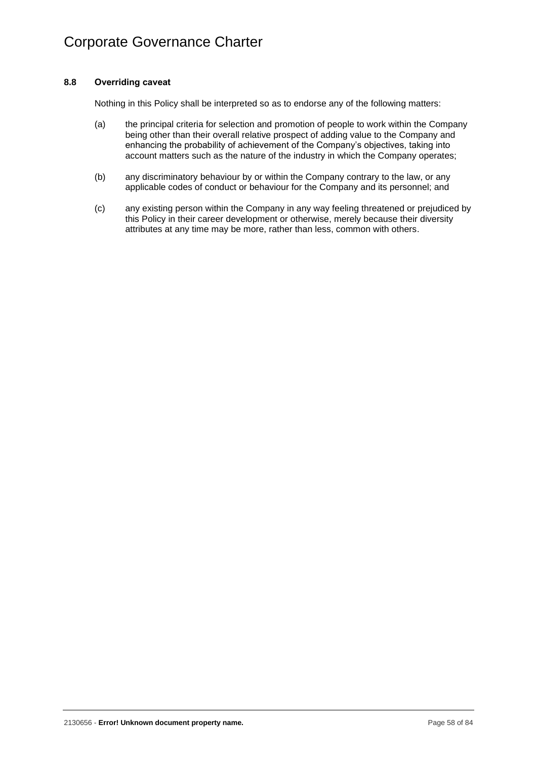# **8.8 Overriding caveat**

Nothing in this Policy shall be interpreted so as to endorse any of the following matters:

- (a) the principal criteria for selection and promotion of people to work within the Company being other than their overall relative prospect of adding value to the Company and enhancing the probability of achievement of the Company's objectives, taking into account matters such as the nature of the industry in which the Company operates;
- (b) any discriminatory behaviour by or within the Company contrary to the law, or any applicable codes of conduct or behaviour for the Company and its personnel; and
- <span id="page-61-0"></span>(c) any existing person within the Company in any way feeling threatened or prejudiced by this Policy in their career development or otherwise, merely because their diversity attributes at any time may be more, rather than less, common with others.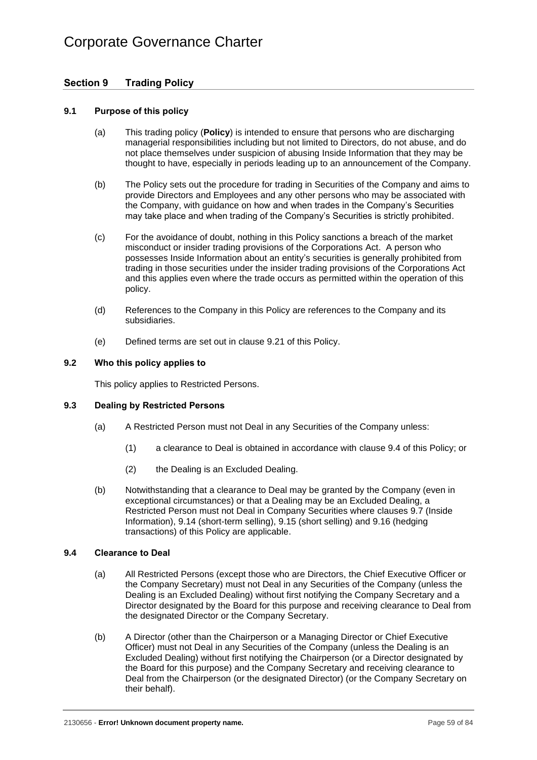# **Section 9 Trading Policy**

# **9.1 Purpose of this policy**

- (a) This trading policy (**Policy**) is intended to ensure that persons who are discharging managerial responsibilities including but not limited to Directors, do not abuse, and do not place themselves under suspicion of abusing Inside Information that they may be thought to have, especially in periods leading up to an announcement of the Company.
- (b) The Policy sets out the procedure for trading in Securities of the Company and aims to provide Directors and Employees and any other persons who may be associated with the Company, with guidance on how and when trades in the Company's Securities may take place and when trading of the Company's Securities is strictly prohibited.
- (c) For the avoidance of doubt, nothing in this Policy sanctions a breach of the market misconduct or insider trading provisions of the Corporations Act. A person who possesses Inside Information about an entity's securities is generally prohibited from trading in those securities under the insider trading provisions of the Corporations Act and this applies even where the trade occurs as permitted within the operation of this policy.
- (d) References to the Company in this Policy are references to the Company and its subsidiaries.
- (e) Defined terms are set out in clause [9.21](#page-69-0) of this Policy.

## **9.2 Who this policy applies to**

This policy applies to Restricted Persons.

# **9.3 Dealing by Restricted Persons**

- (a) A Restricted Person must not Deal in any Securities of the Company unless:
	- (1) a clearance to Deal is obtained in accordance with clause [9.4](#page-62-0) of this Policy; or
	- (2) the Dealing is an Excluded Dealing.
- (b) Notwithstanding that a clearance to Deal may be granted by the Company (even in exceptional circumstances) or that a Dealing may be an Excluded Dealing, a Restricted Person must not Deal in Company Securities where clauses [9.7](#page-64-0) (Inside Information), [9.14](#page-67-0) (short-term selling), [9.15](#page-67-1) (short selling) and [9.16](#page-67-2) (hedging transactions) of this Policy are applicable.

# <span id="page-62-0"></span>**9.4 Clearance to Deal**

- (a) All Restricted Persons (except those who are Directors, the Chief Executive Officer or the Company Secretary) must not Deal in any Securities of the Company (unless the Dealing is an Excluded Dealing) without first notifying the Company Secretary and a Director designated by the Board for this purpose and receiving clearance to Deal from the designated Director or the Company Secretary.
- (b) A Director (other than the Chairperson or a Managing Director or Chief Executive Officer) must not Deal in any Securities of the Company (unless the Dealing is an Excluded Dealing) without first notifying the Chairperson (or a Director designated by the Board for this purpose) and the Company Secretary and receiving clearance to Deal from the Chairperson (or the designated Director) (or the Company Secretary on their behalf).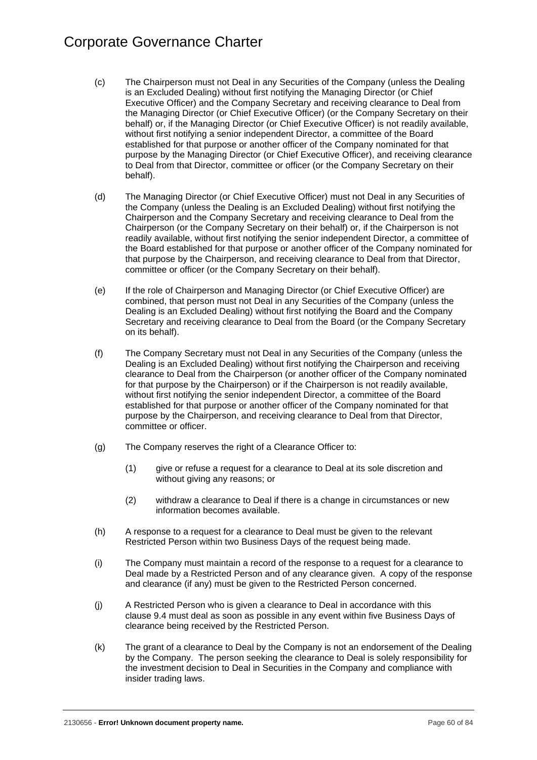# Corporate Governance Charter

- (c) The Chairperson must not Deal in any Securities of the Company (unless the Dealing is an Excluded Dealing) without first notifying the Managing Director (or Chief Executive Officer) and the Company Secretary and receiving clearance to Deal from the Managing Director (or Chief Executive Officer) (or the Company Secretary on their behalf) or, if the Managing Director (or Chief Executive Officer) is not readily available, without first notifying a senior independent Director, a committee of the Board established for that purpose or another officer of the Company nominated for that purpose by the Managing Director (or Chief Executive Officer), and receiving clearance to Deal from that Director, committee or officer (or the Company Secretary on their behalf).
- (d) The Managing Director (or Chief Executive Officer) must not Deal in any Securities of the Company (unless the Dealing is an Excluded Dealing) without first notifying the Chairperson and the Company Secretary and receiving clearance to Deal from the Chairperson (or the Company Secretary on their behalf) or, if the Chairperson is not readily available, without first notifying the senior independent Director, a committee of the Board established for that purpose or another officer of the Company nominated for that purpose by the Chairperson, and receiving clearance to Deal from that Director, committee or officer (or the Company Secretary on their behalf).
- (e) If the role of Chairperson and Managing Director (or Chief Executive Officer) are combined, that person must not Deal in any Securities of the Company (unless the Dealing is an Excluded Dealing) without first notifying the Board and the Company Secretary and receiving clearance to Deal from the Board (or the Company Secretary on its behalf).
- (f) The Company Secretary must not Deal in any Securities of the Company (unless the Dealing is an Excluded Dealing) without first notifying the Chairperson and receiving clearance to Deal from the Chairperson (or another officer of the Company nominated for that purpose by the Chairperson) or if the Chairperson is not readily available, without first notifying the senior independent Director, a committee of the Board established for that purpose or another officer of the Company nominated for that purpose by the Chairperson, and receiving clearance to Deal from that Director, committee or officer.
- (g) The Company reserves the right of a Clearance Officer to:
	- (1) give or refuse a request for a clearance to Deal at its sole discretion and without giving any reasons; or
	- (2) withdraw a clearance to Deal if there is a change in circumstances or new information becomes available.
- (h) A response to a request for a clearance to Deal must be given to the relevant Restricted Person within two Business Days of the request being made.
- (i) The Company must maintain a record of the response to a request for a clearance to Deal made by a Restricted Person and of any clearance given. A copy of the response and clearance (if any) must be given to the Restricted Person concerned.
- (j) A Restricted Person who is given a clearance to Deal in accordance with this clause [9.4](#page-62-0) must deal as soon as possible in any event within five Business Days of clearance being received by the Restricted Person.
- (k) The grant of a clearance to Deal by the Company is not an endorsement of the Dealing by the Company. The person seeking the clearance to Deal is solely responsibility for the investment decision to Deal in Securities in the Company and compliance with insider trading laws.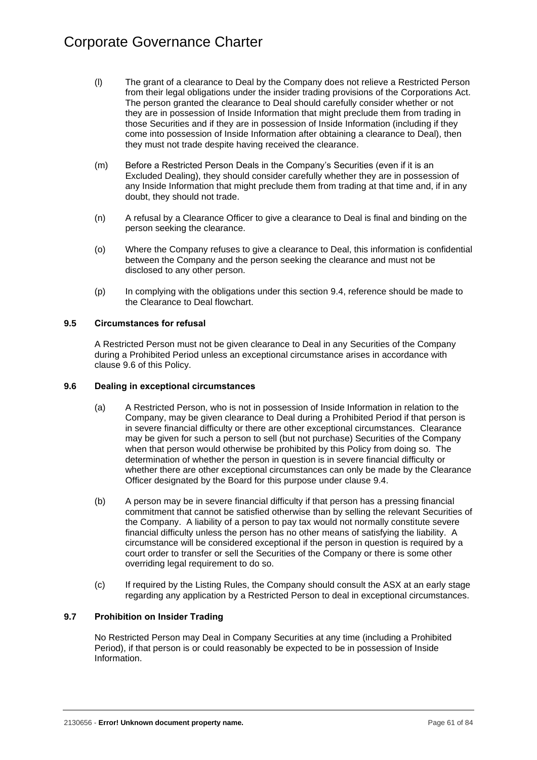- (l) The grant of a clearance to Deal by the Company does not relieve a Restricted Person from their legal obligations under the insider trading provisions of the Corporations Act. The person granted the clearance to Deal should carefully consider whether or not they are in possession of Inside Information that might preclude them from trading in those Securities and if they are in possession of Inside Information (including if they come into possession of Inside Information after obtaining a clearance to Deal), then they must not trade despite having received the clearance.
- (m) Before a Restricted Person Deals in the Company's Securities (even if it is an Excluded Dealing), they should consider carefully whether they are in possession of any Inside Information that might preclude them from trading at that time and, if in any doubt, they should not trade.
- (n) A refusal by a Clearance Officer to give a clearance to Deal is final and binding on the person seeking the clearance.
- (o) Where the Company refuses to give a clearance to Deal, this information is confidential between the Company and the person seeking the clearance and must not be disclosed to any other person.
- (p) In complying with the obligations under this section [9.4,](#page-62-0) reference should be made to the Clearance to Deal flowchart.

# **9.5 Circumstances for refusal**

A Restricted Person must not be given clearance to Deal in any Securities of the Company during a Prohibited Period unless an exceptional circumstance arises in accordance with clause [9.6](#page-64-1) of this Policy.

# <span id="page-64-1"></span>**9.6 Dealing in exceptional circumstances**

- (a) A Restricted Person, who is not in possession of Inside Information in relation to the Company, may be given clearance to Deal during a Prohibited Period if that person is in severe financial difficulty or there are other exceptional circumstances. Clearance may be given for such a person to sell (but not purchase) Securities of the Company when that person would otherwise be prohibited by this Policy from doing so. The determination of whether the person in question is in severe financial difficulty or whether there are other exceptional circumstances can only be made by the Clearance Officer designated by the Board for this purpose under clause [9.4.](#page-62-0)
- (b) A person may be in severe financial difficulty if that person has a pressing financial commitment that cannot be satisfied otherwise than by selling the relevant Securities of the Company. A liability of a person to pay tax would not normally constitute severe financial difficulty unless the person has no other means of satisfying the liability. A circumstance will be considered exceptional if the person in question is required by a court order to transfer or sell the Securities of the Company or there is some other overriding legal requirement to do so.
- (c) If required by the Listing Rules, the Company should consult the ASX at an early stage regarding any application by a Restricted Person to deal in exceptional circumstances.

# <span id="page-64-0"></span>**9.7 Prohibition on Insider Trading**

No Restricted Person may Deal in Company Securities at any time (including a Prohibited Period), if that person is or could reasonably be expected to be in possession of Inside Information.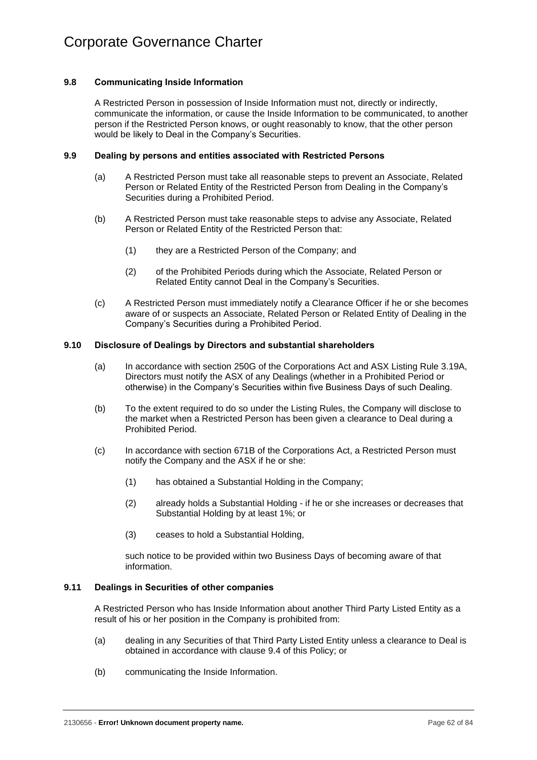# **9.8 Communicating Inside Information**

A Restricted Person in possession of Inside Information must not, directly or indirectly, communicate the information, or cause the Inside Information to be communicated, to another person if the Restricted Person knows, or ought reasonably to know, that the other person would be likely to Deal in the Company's Securities.

## **9.9 Dealing by persons and entities associated with Restricted Persons**

- (a) A Restricted Person must take all reasonable steps to prevent an Associate, Related Person or Related Entity of the Restricted Person from Dealing in the Company's Securities during a Prohibited Period.
- (b) A Restricted Person must take reasonable steps to advise any Associate, Related Person or Related Entity of the Restricted Person that:
	- (1) they are a Restricted Person of the Company; and
	- (2) of the Prohibited Periods during which the Associate, Related Person or Related Entity cannot Deal in the Company's Securities.
- (c) A Restricted Person must immediately notify a Clearance Officer if he or she becomes aware of or suspects an Associate, Related Person or Related Entity of Dealing in the Company's Securities during a Prohibited Period.

## **9.10 Disclosure of Dealings by Directors and substantial shareholders**

- (a) In accordance with section 250G of the Corporations Act and ASX Listing Rule 3.19A, Directors must notify the ASX of any Dealings (whether in a Prohibited Period or otherwise) in the Company's Securities within five Business Days of such Dealing.
- (b) To the extent required to do so under the Listing Rules, the Company will disclose to the market when a Restricted Person has been given a clearance to Deal during a Prohibited Period.
- (c) In accordance with section 671B of the Corporations Act, a Restricted Person must notify the Company and the ASX if he or she:
	- (1) has obtained a Substantial Holding in the Company;
	- (2) already holds a Substantial Holding if he or she increases or decreases that Substantial Holding by at least 1%; or
	- (3) ceases to hold a Substantial Holding,

such notice to be provided within two Business Days of becoming aware of that information.

#### **9.11 Dealings in Securities of other companies**

A Restricted Person who has Inside Information about another Third Party Listed Entity as a result of his or her position in the Company is prohibited from:

- (a) dealing in any Securities of that Third Party Listed Entity unless a clearance to Deal is obtained in accordance with clause [9.4](#page-62-0) of this Policy; or
- (b) communicating the Inside Information.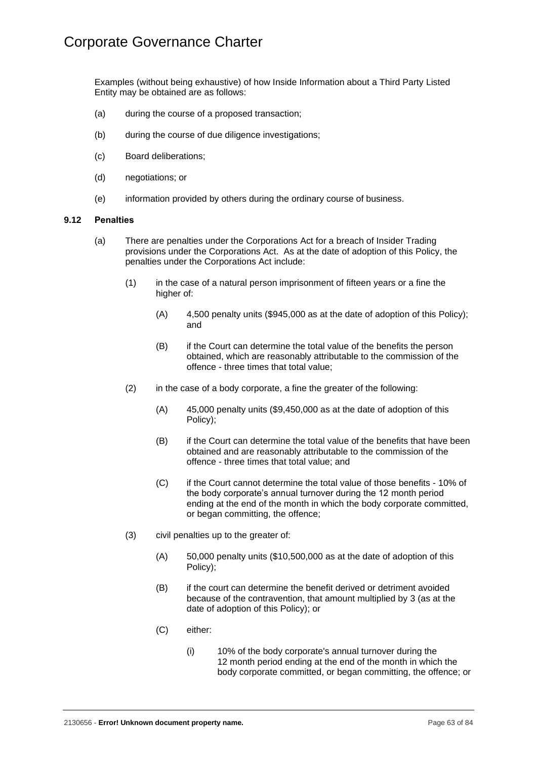Examples (without being exhaustive) of how Inside Information about a Third Party Listed Entity may be obtained are as follows:

- (a) during the course of a proposed transaction;
- (b) during the course of due diligence investigations;
- (c) Board deliberations;
- (d) negotiations; or
- (e) information provided by others during the ordinary course of business.

## **9.12 Penalties**

- <span id="page-66-0"></span>(a) There are penalties under the Corporations Act for a breach of Insider Trading provisions under the Corporations Act. As at the date of adoption of this Policy, the penalties under the Corporations Act include:
	- (1) in the case of a natural person imprisonment of fifteen years or a fine the higher of:
		- (A) 4,500 penalty units (\$945,000 as at the date of adoption of this Policy); and
		- (B) if the Court can determine the total value of the benefits the person obtained, which are reasonably attributable to the commission of the offence - three times that total value;
	- (2) in the case of a body corporate, a fine the greater of the following:
		- (A) 45,000 penalty units (\$9,450,000 as at the date of adoption of this Policy);
		- (B) if the Court can determine the total value of the benefits that have been obtained and are reasonably attributable to the commission of the offence - three times that total value; and
		- (C) if the Court cannot determine the total value of those benefits 10% of the body corporate's annual turnover during the 12 month period ending at the end of the month in which the body corporate committed, or began committing, the offence;
	- (3) civil penalties up to the greater of:
		- (A) 50,000 penalty units (\$10,500,000 as at the date of adoption of this Policy);
		- (B) if the court can determine the benefit derived or detriment avoided because of the contravention, that amount multiplied by 3 (as at the date of adoption of this Policy); or
		- (C) either:
			- (i) 10% of the body corporate's annual turnover during the 12 month period ending at the end of the month in which the body corporate committed, or began committing, the offence; or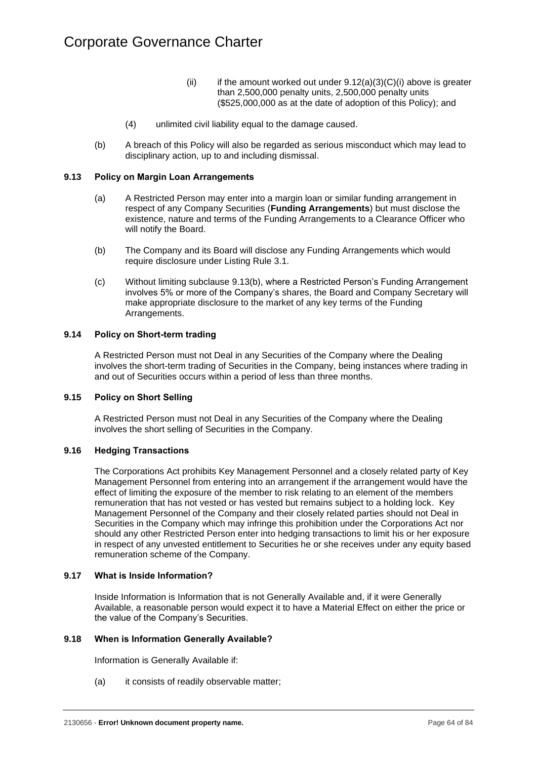- (ii) if the amount worked out under  $9.12(a)(3)(C)(i)$  above is greater than 2,500,000 penalty units, 2,500,000 penalty units (\$525,000,000 as at the date of adoption of this Policy); and
- (4) unlimited civil liability equal to the damage caused.
- (b) A breach of this Policy will also be regarded as serious misconduct which may lead to disciplinary action, up to and including dismissal.

# **9.13 Policy on Margin Loan Arrangements**

- (a) A Restricted Person may enter into a margin loan or similar funding arrangement in respect of any Company Securities (**Funding Arrangements**) but must disclose the existence, nature and terms of the Funding Arrangements to a Clearance Officer who will notify the Board.
- <span id="page-67-3"></span>(b) The Company and its Board will disclose any Funding Arrangements which would require disclosure under Listing Rule 3.1.
- (c) Without limiting subclause [9.13\(b\),](#page-67-3) where a Restricted Person's Funding Arrangement involves 5% or more of the Company's shares, the Board and Company Secretary will make appropriate disclosure to the market of any key terms of the Funding Arrangements.

## <span id="page-67-0"></span>**9.14 Policy on Short-term trading**

A Restricted Person must not Deal in any Securities of the Company where the Dealing involves the short-term trading of Securities in the Company, being instances where trading in and out of Securities occurs within a period of less than three months.

#### <span id="page-67-1"></span>**9.15 Policy on Short Selling**

A Restricted Person must not Deal in any Securities of the Company where the Dealing involves the short selling of Securities in the Company.

#### <span id="page-67-2"></span>**9.16 Hedging Transactions**

The Corporations Act prohibits Key Management Personnel and a closely related party of Key Management Personnel from entering into an arrangement if the arrangement would have the effect of limiting the exposure of the member to risk relating to an element of the members remuneration that has not vested or has vested but remains subject to a holding lock. Key Management Personnel of the Company and their closely related parties should not Deal in Securities in the Company which may infringe this prohibition under the Corporations Act nor should any other Restricted Person enter into hedging transactions to limit his or her exposure in respect of any unvested entitlement to Securities he or she receives under any equity based remuneration scheme of the Company.

#### <span id="page-67-5"></span>**9.17 What is Inside Information?**

Inside Information is Information that is not Generally Available and, if it were Generally Available, a reasonable person would expect it to have a Material Effect on either the price or the value of the Company's Securities.

#### <span id="page-67-4"></span>**9.18 When is Information Generally Available?**

Information is Generally Available if:

(a) it consists of readily observable matter;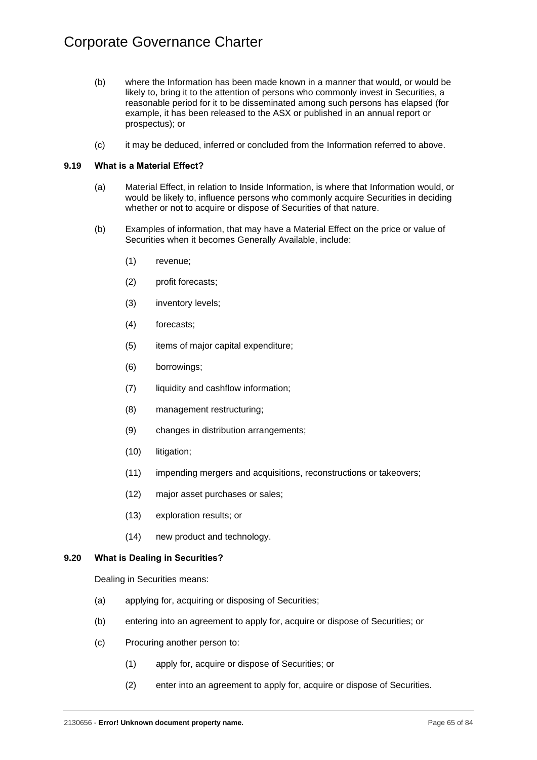- (b) where the Information has been made known in a manner that would, or would be likely to, bring it to the attention of persons who commonly invest in Securities, a reasonable period for it to be disseminated among such persons has elapsed (for example, it has been released to the ASX or published in an annual report or prospectus); or
- (c) it may be deduced, inferred or concluded from the Information referred to above.

# <span id="page-68-1"></span>**9.19 What is a Material Effect?**

- (a) Material Effect, in relation to Inside Information, is where that Information would, or would be likely to, influence persons who commonly acquire Securities in deciding whether or not to acquire or dispose of Securities of that nature.
- (b) Examples of information, that may have a Material Effect on the price or value of Securities when it becomes Generally Available, include:
	- (1) revenue;
	- (2) profit forecasts;
	- (3) inventory levels;
	- (4) forecasts;
	- (5) items of major capital expenditure;
	- (6) borrowings;
	- (7) liquidity and cashflow information;
	- (8) management restructuring;
	- (9) changes in distribution arrangements;
	- (10) litigation;
	- (11) impending mergers and acquisitions, reconstructions or takeovers;
	- (12) major asset purchases or sales;
	- (13) exploration results; or
	- (14) new product and technology.

# <span id="page-68-0"></span>**9.20 What is Dealing in Securities?**

Dealing in Securities means:

- (a) applying for, acquiring or disposing of Securities;
- (b) entering into an agreement to apply for, acquire or dispose of Securities; or
- (c) Procuring another person to:
	- (1) apply for, acquire or dispose of Securities; or
	- (2) enter into an agreement to apply for, acquire or dispose of Securities.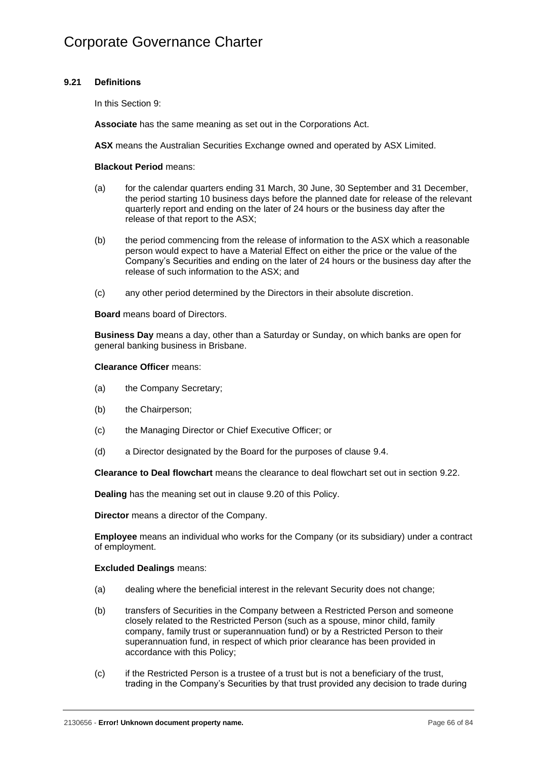# <span id="page-69-0"></span>**9.21 Definitions**

In this [Section](#page-61-0) 9:

**Associate** has the same meaning as set out in the Corporations Act.

**ASX** means the Australian Securities Exchange owned and operated by ASX Limited.

## **Blackout Period** means:

- (a) for the calendar quarters ending 31 March, 30 June, 30 September and 31 December, the period starting 10 business days before the planned date for release of the relevant quarterly report and ending on the later of 24 hours or the business day after the release of that report to the ASX;
- (b) the period commencing from the release of information to the ASX which a reasonable person would expect to have a Material Effect on either the price or the value of the Company's Securities and ending on the later of 24 hours or the business day after the release of such information to the ASX; and
- (c) any other period determined by the Directors in their absolute discretion.

#### **Board** means board of Directors.

**Business Day** means a day, other than a Saturday or Sunday, on which banks are open for general banking business in Brisbane.

#### **Clearance Officer** means:

- (a) the Company Secretary;
- (b) the Chairperson;
- (c) the Managing Director or Chief Executive Officer; or
- (d) a Director designated by the Board for the purposes of clause [9.4.](#page-62-0)

**Clearance to Deal flowchart** means the clearance to deal flowchart set out in section [9.22.](#page-73-0)

**Dealing** has the meaning set out in clause [9.20](#page-68-0) of this Policy.

**Director** means a director of the Company.

**Employee** means an individual who works for the Company (or its subsidiary) under a contract of employment.

#### **Excluded Dealings** means:

- (a) dealing where the beneficial interest in the relevant Security does not change;
- (b) transfers of Securities in the Company between a Restricted Person and someone closely related to the Restricted Person (such as a spouse, minor child, family company, family trust or superannuation fund) or by a Restricted Person to their superannuation fund, in respect of which prior clearance has been provided in accordance with this Policy;
- (c) if the Restricted Person is a trustee of a trust but is not a beneficiary of the trust, trading in the Company's Securities by that trust provided any decision to trade during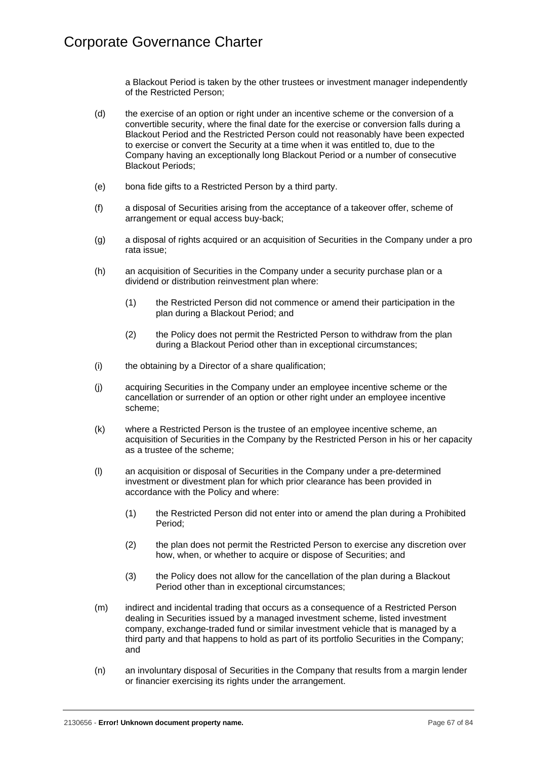a Blackout Period is taken by the other trustees or investment manager independently of the Restricted Person;

- (d) the exercise of an option or right under an incentive scheme or the conversion of a convertible security, where the final date for the exercise or conversion falls during a Blackout Period and the Restricted Person could not reasonably have been expected to exercise or convert the Security at a time when it was entitled to, due to the Company having an exceptionally long Blackout Period or a number of consecutive Blackout Periods;
- (e) bona fide gifts to a Restricted Person by a third party.
- (f) a disposal of Securities arising from the acceptance of a takeover offer, scheme of arrangement or equal access buy-back;
- (g) a disposal of rights acquired or an acquisition of Securities in the Company under a pro rata issue;
- (h) an acquisition of Securities in the Company under a security purchase plan or a dividend or distribution reinvestment plan where:
	- (1) the Restricted Person did not commence or amend their participation in the plan during a Blackout Period; and
	- (2) the Policy does not permit the Restricted Person to withdraw from the plan during a Blackout Period other than in exceptional circumstances;
- (i) the obtaining by a Director of a share qualification;
- (j) acquiring Securities in the Company under an employee incentive scheme or the cancellation or surrender of an option or other right under an employee incentive scheme;
- (k) where a Restricted Person is the trustee of an employee incentive scheme, an acquisition of Securities in the Company by the Restricted Person in his or her capacity as a trustee of the scheme;
- (l) an acquisition or disposal of Securities in the Company under a pre-determined investment or divestment plan for which prior clearance has been provided in accordance with the Policy and where:
	- (1) the Restricted Person did not enter into or amend the plan during a Prohibited Period;
	- (2) the plan does not permit the Restricted Person to exercise any discretion over how, when, or whether to acquire or dispose of Securities; and
	- (3) the Policy does not allow for the cancellation of the plan during a Blackout Period other than in exceptional circumstances;
- (m) indirect and incidental trading that occurs as a consequence of a Restricted Person dealing in Securities issued by a managed investment scheme, listed investment company, exchange-traded fund or similar investment vehicle that is managed by a third party and that happens to hold as part of its portfolio Securities in the Company; and
- (n) an involuntary disposal of Securities in the Company that results from a margin lender or financier exercising its rights under the arrangement.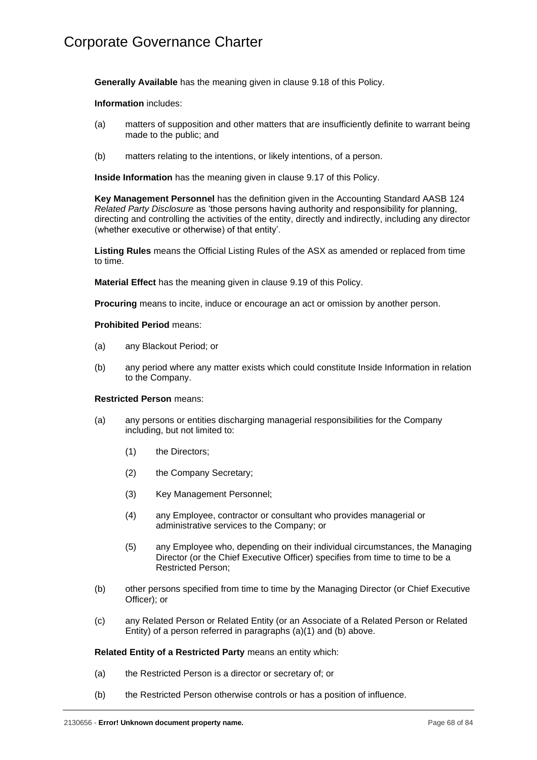**Generally Available** has the meaning given in clause [9.18](#page-67-4) of this Policy.

**Information** includes:

- (a) matters of supposition and other matters that are insufficiently definite to warrant being made to the public; and
- (b) matters relating to the intentions, or likely intentions, of a person.

**Inside Information** has the meaning given in clause [9.17](#page-67-5) of this Policy.

**Key Management Personnel** has the definition given in the Accounting Standard AASB 124 *Related Party Disclosure* as 'those persons having authority and responsibility for planning, directing and controlling the activities of the entity, directly and indirectly, including any director (whether executive or otherwise) of that entity'.

**Listing Rules** means the Official Listing Rules of the ASX as amended or replaced from time to time.

**Material Effect** has the meaning given in clause [9.19](#page-68-1) of this Policy.

**Procuring** means to incite, induce or encourage an act or omission by another person.

#### **Prohibited Period** means:

- (a) any Blackout Period; or
- (b) any period where any matter exists which could constitute Inside Information in relation to the Company.

#### **Restricted Person** means:

- <span id="page-71-0"></span>(a) any persons or entities discharging managerial responsibilities for the Company including, but not limited to:
	- (1) the Directors;
	- (2) the Company Secretary;
	- (3) Key Management Personnel;
	- (4) any Employee, contractor or consultant who provides managerial or administrative services to the Company; or
	- (5) any Employee who, depending on their individual circumstances, the Managing Director (or the Chief Executive Officer) specifies from time to time to be a Restricted Person;
- <span id="page-71-1"></span>(b) other persons specified from time to time by the Managing Director (or Chief Executive Officer); or
- (c) any Related Person or Related Entity (or an Associate of a Related Person or Related Entity) of a person referred in paragraphs [\(a\)\(1\)](#page-71-0) and [\(b\)](#page-71-1) above.

#### **Related Entity of a Restricted Party** means an entity which:

- (a) the Restricted Person is a director or secretary of; or
- (b) the Restricted Person otherwise controls or has a position of influence.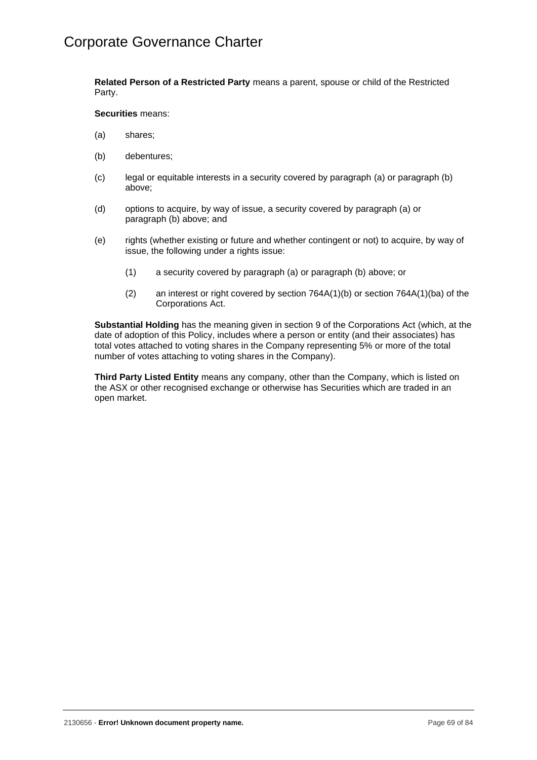**Related Person of a Restricted Party** means a parent, spouse or child of the Restricted Party.

## **Securities** means:

- <span id="page-72-0"></span>(a) shares;
- <span id="page-72-1"></span>(b) debentures;
- (c) legal or equitable interests in a security covered by paragraph [\(a\)](#page-72-0) or paragraph [\(b\)](#page-72-1) above;
- (d) options to acquire, by way of issue, a security covered by paragraph [\(a\)](#page-72-0) or paragraph [\(b\)](#page-72-1) above; and
- (e) rights (whether existing or future and whether contingent or not) to acquire, by way of issue, the following under a rights issue:
	- (1) a security covered by paragraph [\(a\)](#page-72-0) or paragraph [\(b\)](#page-72-1) above; or
	- (2) an interest or right covered by section 764A(1)(b) or section 764A(1)(ba) of the Corporations Act.

**Substantial Holding** has the meaning given in section 9 of the Corporations Act (which, at the date of adoption of this Policy, includes where a person or entity (and their associates) has total votes attached to voting shares in the Company representing 5% or more of the total number of votes attaching to voting shares in the Company).

**Third Party Listed Entity** means any company, other than the Company, which is listed on the ASX or other recognised exchange or otherwise has Securities which are traded in an open market.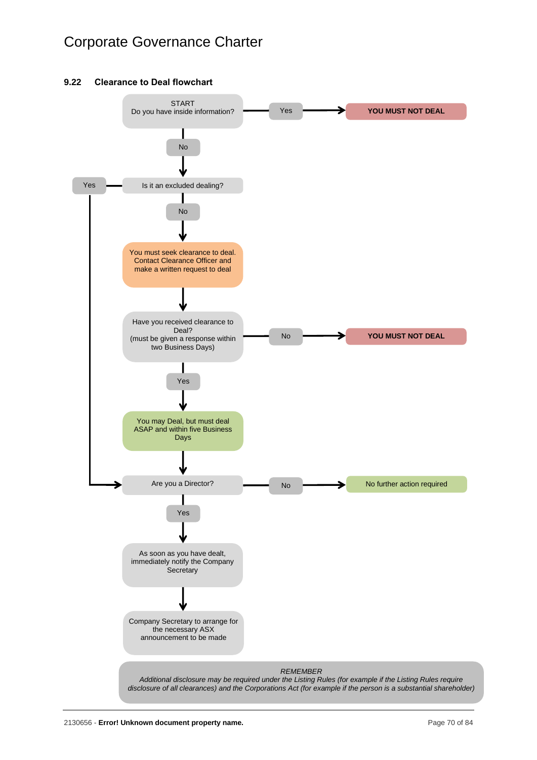# Corporate Governance Charter

## **9.22 Clearance to Deal flowchart**

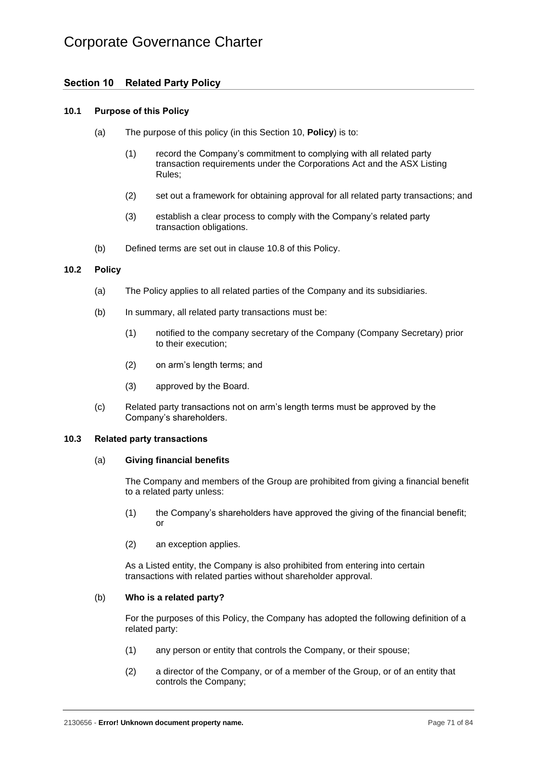# Corporate Governance Charter

# <span id="page-74-0"></span>**Section 10 Related Party Policy**

#### **10.1 Purpose of this Policy**

- (a) The purpose of this policy (in this [Section](#page-74-0) 10, **Policy**) is to:
	- (1) record the Company's commitment to complying with all related party transaction requirements under the Corporations Act and the ASX Listing Rules;
	- (2) set out a framework for obtaining approval for all related party transactions; and
	- (3) establish a clear process to comply with the Company's related party transaction obligations.
- (b) Defined terms are set out in clause [10.8](#page-78-0) of this Policy.

#### **10.2 Policy**

- (a) The Policy applies to all related parties of the Company and its subsidiaries.
- (b) In summary, all related party transactions must be:
	- (1) notified to the company secretary of the Company (Company Secretary) prior to their execution;
	- (2) on arm's length terms; and
	- (3) approved by the Board.
- (c) Related party transactions not on arm's length terms must be approved by the Company's shareholders.

## **10.3 Related party transactions**

#### (a) **Giving financial benefits**

The Company and members of the Group are prohibited from giving a financial benefit to a related party unless:

- (1) the Company's shareholders have approved the giving of the financial benefit; or
- (2) an exception applies.

As a Listed entity, the Company is also prohibited from entering into certain transactions with related parties without shareholder approval.

#### <span id="page-74-2"></span>(b) **Who is a related party?**

For the purposes of this Policy, the Company has adopted the following definition of a related party:

- (1) any person or entity that controls the Company, or their spouse;
- <span id="page-74-1"></span>(2) a director of the Company, or of a member of the Group, or of an entity that controls the Company;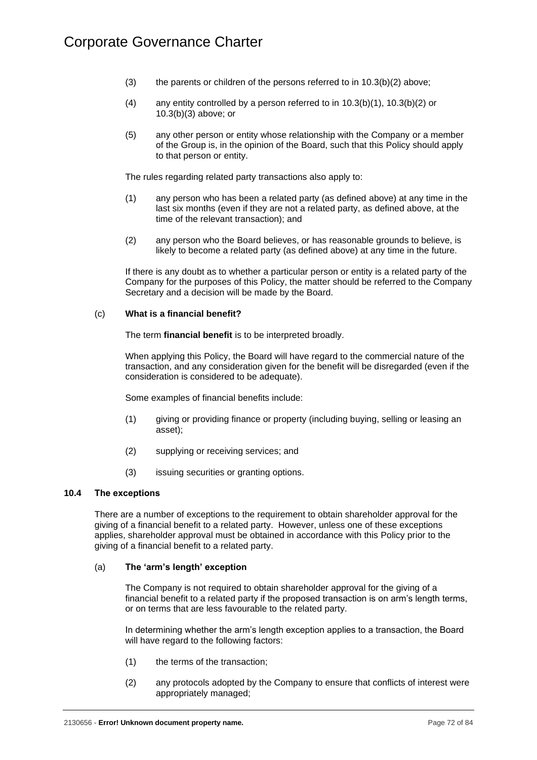- <span id="page-75-0"></span>(3) the parents or children of the persons referred to in  $10.3(b)(2)$  above;
- (4) any entity controlled by a person referred to in  $10.3(b)(1)$ ,  $10.3(b)(2)$  or [10.3\(b\)\(3\)](#page-75-0) above; or
- (5) any other person or entity whose relationship with the Company or a member of the Group is, in the opinion of the Board, such that this Policy should apply to that person or entity.

The rules regarding related party transactions also apply to:

- (1) any person who has been a related party (as defined above) at any time in the last six months (even if they are not a related party, as defined above, at the time of the relevant transaction); and
- (2) any person who the Board believes, or has reasonable grounds to believe, is likely to become a related party (as defined above) at any time in the future.

If there is any doubt as to whether a particular person or entity is a related party of the Company for the purposes of this Policy, the matter should be referred to the Company Secretary and a decision will be made by the Board.

## (c) **What is a financial benefit?**

The term **financial benefit** is to be interpreted broadly.

When applying this Policy, the Board will have regard to the commercial nature of the transaction, and any consideration given for the benefit will be disregarded (even if the consideration is considered to be adequate).

Some examples of financial benefits include:

- (1) giving or providing finance or property (including buying, selling or leasing an asset);
- (2) supplying or receiving services; and
- (3) issuing securities or granting options.

## **10.4 The exceptions**

There are a number of exceptions to the requirement to obtain shareholder approval for the giving of a financial benefit to a related party. However, unless one of these exceptions applies, shareholder approval must be obtained in accordance with this Policy prior to the giving of a financial benefit to a related party.

## (a) **The 'arm's length' exception**

The Company is not required to obtain shareholder approval for the giving of a financial benefit to a related party if the proposed transaction is on arm's length terms, or on terms that are less favourable to the related party.

In determining whether the arm's length exception applies to a transaction, the Board will have regard to the following factors:

- (1) the terms of the transaction;
- (2) any protocols adopted by the Company to ensure that conflicts of interest were appropriately managed;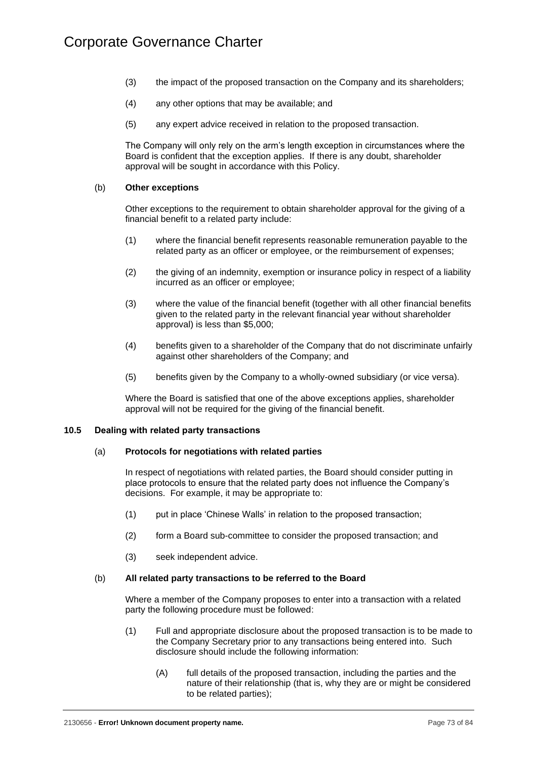- (3) the impact of the proposed transaction on the Company and its shareholders;
- (4) any other options that may be available; and
- (5) any expert advice received in relation to the proposed transaction.

The Company will only rely on the arm's length exception in circumstances where the Board is confident that the exception applies. If there is any doubt, shareholder approval will be sought in accordance with this Policy.

## (b) **Other exceptions**

Other exceptions to the requirement to obtain shareholder approval for the giving of a financial benefit to a related party include:

- (1) where the financial benefit represents reasonable remuneration payable to the related party as an officer or employee, or the reimbursement of expenses;
- (2) the giving of an indemnity, exemption or insurance policy in respect of a liability incurred as an officer or employee;
- (3) where the value of the financial benefit (together with all other financial benefits given to the related party in the relevant financial year without shareholder approval) is less than \$5,000;
- (4) benefits given to a shareholder of the Company that do not discriminate unfairly against other shareholders of the Company; and
- (5) benefits given by the Company to a wholly-owned subsidiary (or vice versa).

Where the Board is satisfied that one of the above exceptions applies, shareholder approval will not be required for the giving of the financial benefit.

## **10.5 Dealing with related party transactions**

#### (a) **Protocols for negotiations with related parties**

In respect of negotiations with related parties, the Board should consider putting in place protocols to ensure that the related party does not influence the Company's decisions. For example, it may be appropriate to:

- (1) put in place 'Chinese Walls' in relation to the proposed transaction;
- (2) form a Board sub-committee to consider the proposed transaction; and
- (3) seek independent advice.

## (b) **All related party transactions to be referred to the Board**

Where a member of the Company proposes to enter into a transaction with a related party the following procedure must be followed:

- (1) Full and appropriate disclosure about the proposed transaction is to be made to the Company Secretary prior to any transactions being entered into. Such disclosure should include the following information:
	- (A) full details of the proposed transaction, including the parties and the nature of their relationship (that is, why they are or might be considered to be related parties);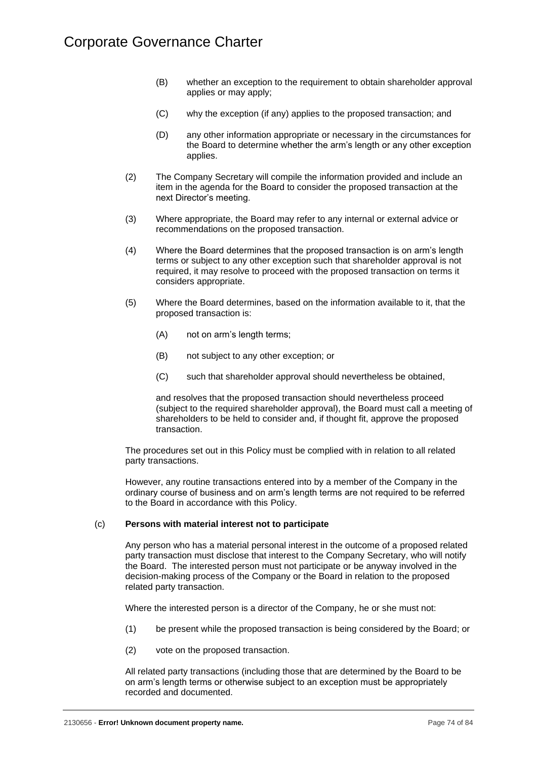- (B) whether an exception to the requirement to obtain shareholder approval applies or may apply;
- (C) why the exception (if any) applies to the proposed transaction; and
- (D) any other information appropriate or necessary in the circumstances for the Board to determine whether the arm's length or any other exception applies.
- (2) The Company Secretary will compile the information provided and include an item in the agenda for the Board to consider the proposed transaction at the next Director's meeting.
- (3) Where appropriate, the Board may refer to any internal or external advice or recommendations on the proposed transaction.
- (4) Where the Board determines that the proposed transaction is on arm's length terms or subject to any other exception such that shareholder approval is not required, it may resolve to proceed with the proposed transaction on terms it considers appropriate.
- (5) Where the Board determines, based on the information available to it, that the proposed transaction is:
	- (A) not on arm's length terms;
	- (B) not subject to any other exception; or
	- (C) such that shareholder approval should nevertheless be obtained,

and resolves that the proposed transaction should nevertheless proceed (subject to the required shareholder approval), the Board must call a meeting of shareholders to be held to consider and, if thought fit, approve the proposed transaction.

The procedures set out in this Policy must be complied with in relation to all related party transactions.

However, any routine transactions entered into by a member of the Company in the ordinary course of business and on arm's length terms are not required to be referred to the Board in accordance with this Policy.

#### (c) **Persons with material interest not to participate**

Any person who has a material personal interest in the outcome of a proposed related party transaction must disclose that interest to the Company Secretary, who will notify the Board. The interested person must not participate or be anyway involved in the decision-making process of the Company or the Board in relation to the proposed related party transaction.

Where the interested person is a director of the Company, he or she must not:

- (1) be present while the proposed transaction is being considered by the Board; or
- (2) vote on the proposed transaction.

All related party transactions (including those that are determined by the Board to be on arm's length terms or otherwise subject to an exception must be appropriately recorded and documented.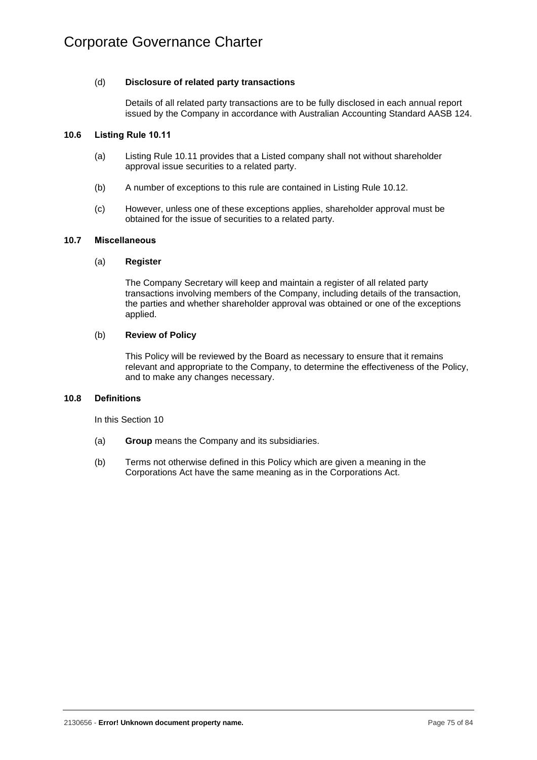## (d) **Disclosure of related party transactions**

Details of all related party transactions are to be fully disclosed in each annual report issued by the Company in accordance with Australian Accounting Standard AASB 124.

## **10.6 Listing Rule 10.11**

- (a) Listing Rule 10.11 provides that a Listed company shall not without shareholder approval issue securities to a related party.
- (b) A number of exceptions to this rule are contained in Listing Rule 10.12.
- (c) However, unless one of these exceptions applies, shareholder approval must be obtained for the issue of securities to a related party.

## **10.7 Miscellaneous**

#### (a) **Register**

The Company Secretary will keep and maintain a register of all related party transactions involving members of the Company, including details of the transaction, the parties and whether shareholder approval was obtained or one of the exceptions applied.

#### (b) **Review of Policy**

This Policy will be reviewed by the Board as necessary to ensure that it remains relevant and appropriate to the Company, to determine the effectiveness of the Policy, and to make any changes necessary.

#### <span id="page-78-0"></span>**10.8 Definitions**

In this [Section](#page-74-0) 10

- (a) **Group** means the Company and its subsidiaries.
- (b) Terms not otherwise defined in this Policy which are given a meaning in the Corporations Act have the same meaning as in the Corporations Act.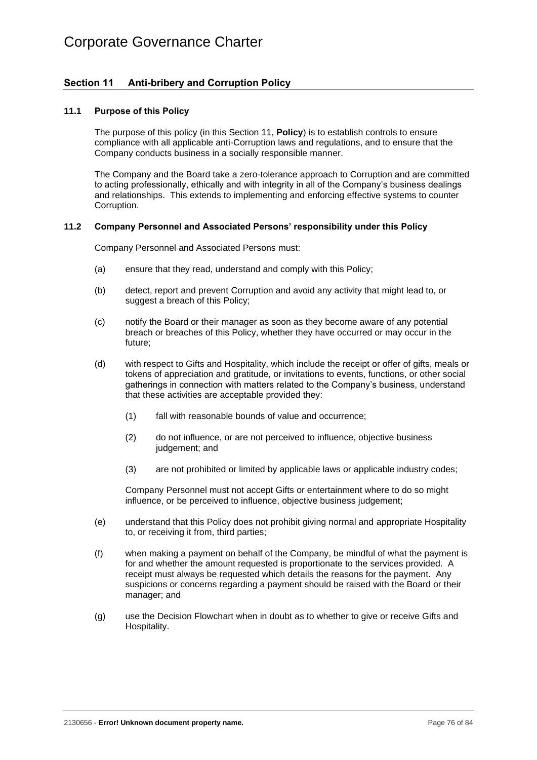# Corporate Governance Charter

# **Section 11 Anti-bribery and Corruption Policy**

#### **11.1 Purpose of this Policy**

<span id="page-79-0"></span>The purpose of this policy (in this [Section](#page-79-0) 11, **Policy**) is to establish controls to ensure compliance with all applicable anti-Corruption laws and regulations, and to ensure that the Company conducts business in a socially responsible manner.

The Company and the Board take a zero-tolerance approach to Corruption and are committed to acting professionally, ethically and with integrity in all of the Company's business dealings and relationships. This extends to implementing and enforcing effective systems to counter Corruption.

#### **11.2 Company Personnel and Associated Persons' responsibility under this Policy**

Company Personnel and Associated Persons must:

- (a) ensure that they read, understand and comply with this Policy;
- (b) detect, report and prevent Corruption and avoid any activity that might lead to, or suggest a breach of this Policy;
- (c) notify the Board or their manager as soon as they become aware of any potential breach or breaches of this Policy, whether they have occurred or may occur in the future;
- (d) with respect to Gifts and Hospitality, which include the receipt or offer of gifts, meals or tokens of appreciation and gratitude, or invitations to events, functions, or other social gatherings in connection with matters related to the Company's business, understand that these activities are acceptable provided they:
	- (1) fall with reasonable bounds of value and occurrence;
	- (2) do not influence, or are not perceived to influence, objective business judgement; and
	- (3) are not prohibited or limited by applicable laws or applicable industry codes;

Company Personnel must not accept Gifts or entertainment where to do so might influence, or be perceived to influence, objective business judgement;

- (e) understand that this Policy does not prohibit giving normal and appropriate Hospitality to, or receiving it from, third parties;
- (f) when making a payment on behalf of the Company, be mindful of what the payment is for and whether the amount requested is proportionate to the services provided. A receipt must always be requested which details the reasons for the payment. Any suspicions or concerns regarding a payment should be raised with the Board or their manager; and
- (g) use the Decision Flowchart when in doubt as to whether to give or receive Gifts and Hospitality.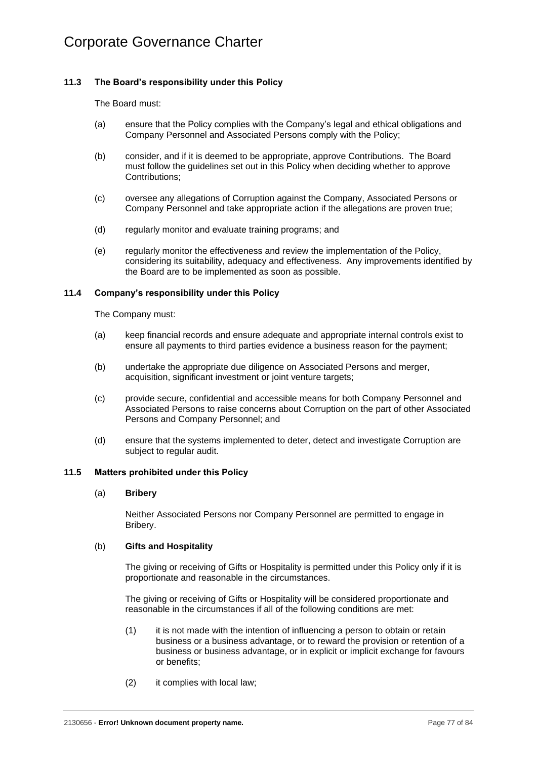# **11.3 The Board's responsibility under this Policy**

The Board must:

- (a) ensure that the Policy complies with the Company's legal and ethical obligations and Company Personnel and Associated Persons comply with the Policy;
- (b) consider, and if it is deemed to be appropriate, approve Contributions. The Board must follow the guidelines set out in this Policy when deciding whether to approve Contributions;
- (c) oversee any allegations of Corruption against the Company, Associated Persons or Company Personnel and take appropriate action if the allegations are proven true;
- (d) regularly monitor and evaluate training programs; and
- (e) regularly monitor the effectiveness and review the implementation of the Policy, considering its suitability, adequacy and effectiveness. Any improvements identified by the Board are to be implemented as soon as possible.

## **11.4 Company's responsibility under this Policy**

The Company must:

- (a) keep financial records and ensure adequate and appropriate internal controls exist to ensure all payments to third parties evidence a business reason for the payment;
- (b) undertake the appropriate due diligence on Associated Persons and merger, acquisition, significant investment or joint venture targets;
- (c) provide secure, confidential and accessible means for both Company Personnel and Associated Persons to raise concerns about Corruption on the part of other Associated Persons and Company Personnel; and
- (d) ensure that the systems implemented to deter, detect and investigate Corruption are subject to regular audit.

#### **11.5 Matters prohibited under this Policy**

#### (a) **Bribery**

Neither Associated Persons nor Company Personnel are permitted to engage in Bribery.

#### (b) **Gifts and Hospitality**

The giving or receiving of Gifts or Hospitality is permitted under this Policy only if it is proportionate and reasonable in the circumstances.

The giving or receiving of Gifts or Hospitality will be considered proportionate and reasonable in the circumstances if all of the following conditions are met:

- (1) it is not made with the intention of influencing a person to obtain or retain business or a business advantage, or to reward the provision or retention of a business or business advantage, or in explicit or implicit exchange for favours or benefits;
- (2) it complies with local law;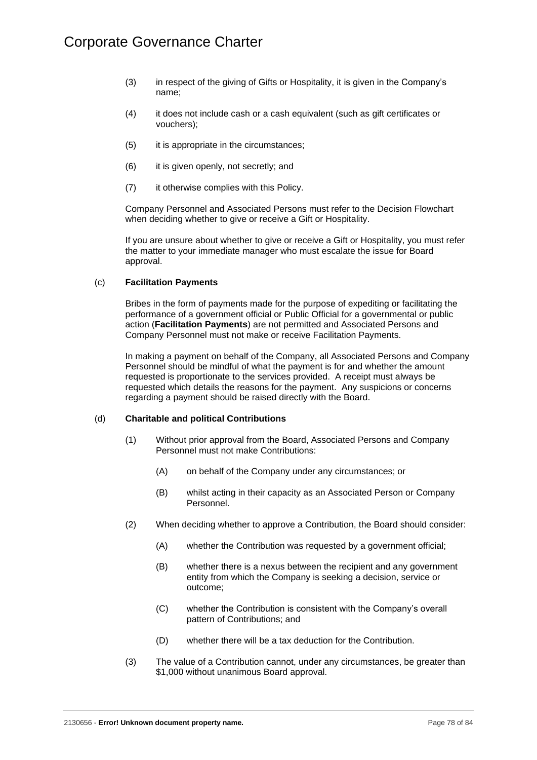- (3) in respect of the giving of Gifts or Hospitality, it is given in the Company's name;
- (4) it does not include cash or a cash equivalent (such as gift certificates or vouchers);
- (5) it is appropriate in the circumstances;
- (6) it is given openly, not secretly; and
- (7) it otherwise complies with this Policy.

Company Personnel and Associated Persons must refer to the Decision Flowchart when deciding whether to give or receive a Gift or Hospitality.

If you are unsure about whether to give or receive a Gift or Hospitality, you must refer the matter to your immediate manager who must escalate the issue for Board approval.

## <span id="page-81-0"></span>(c) **Facilitation Payments**

Bribes in the form of payments made for the purpose of expediting or facilitating the performance of a government official or Public Official for a governmental or public action (**Facilitation Payments**) are not permitted and Associated Persons and Company Personnel must not make or receive Facilitation Payments.

In making a payment on behalf of the Company, all Associated Persons and Company Personnel should be mindful of what the payment is for and whether the amount requested is proportionate to the services provided. A receipt must always be requested which details the reasons for the payment. Any suspicions or concerns regarding a payment should be raised directly with the Board.

## (d) **Charitable and political Contributions**

- (1) Without prior approval from the Board, Associated Persons and Company Personnel must not make Contributions:
	- (A) on behalf of the Company under any circumstances; or
	- (B) whilst acting in their capacity as an Associated Person or Company Personnel.
- (2) When deciding whether to approve a Contribution, the Board should consider:
	- (A) whether the Contribution was requested by a government official;
	- (B) whether there is a nexus between the recipient and any government entity from which the Company is seeking a decision, service or outcome;
	- (C) whether the Contribution is consistent with the Company's overall pattern of Contributions; and
	- (D) whether there will be a tax deduction for the Contribution.
- (3) The value of a Contribution cannot, under any circumstances, be greater than \$1,000 without unanimous Board approval.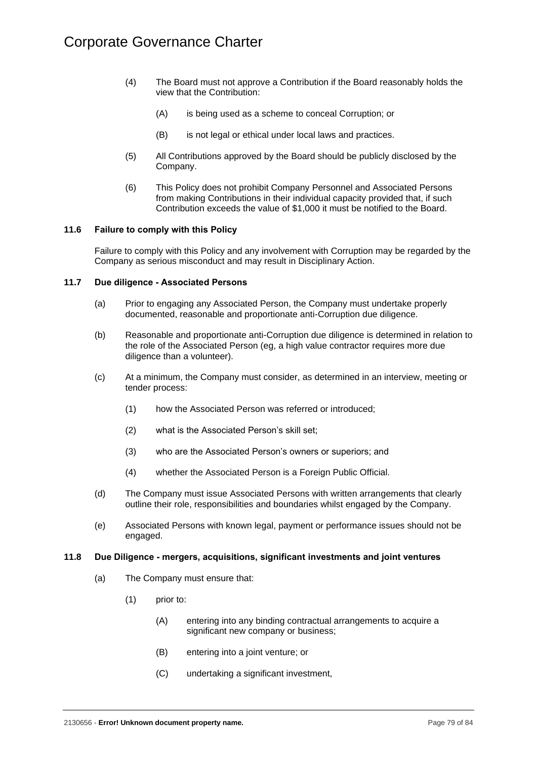- (4) The Board must not approve a Contribution if the Board reasonably holds the view that the Contribution:
	- (A) is being used as a scheme to conceal Corruption; or
	- (B) is not legal or ethical under local laws and practices.
- (5) All Contributions approved by the Board should be publicly disclosed by the Company.
- (6) This Policy does not prohibit Company Personnel and Associated Persons from making Contributions in their individual capacity provided that, if such Contribution exceeds the value of \$1,000 it must be notified to the Board.

## **11.6 Failure to comply with this Policy**

Failure to comply with this Policy and any involvement with Corruption may be regarded by the Company as serious misconduct and may result in Disciplinary Action.

## **11.7 Due diligence - Associated Persons**

- (a) Prior to engaging any Associated Person, the Company must undertake properly documented, reasonable and proportionate anti-Corruption due diligence.
- (b) Reasonable and proportionate anti-Corruption due diligence is determined in relation to the role of the Associated Person (eg, a high value contractor requires more due diligence than a volunteer).
- (c) At a minimum, the Company must consider, as determined in an interview, meeting or tender process:
	- (1) how the Associated Person was referred or introduced;
	- (2) what is the Associated Person's skill set;
	- (3) who are the Associated Person's owners or superiors; and
	- (4) whether the Associated Person is a Foreign Public Official.
- (d) The Company must issue Associated Persons with written arrangements that clearly outline their role, responsibilities and boundaries whilst engaged by the Company.
- (e) Associated Persons with known legal, payment or performance issues should not be engaged.

## **11.8 Due Diligence - mergers, acquisitions, significant investments and joint ventures**

- (a) The Company must ensure that:
	- (1) prior to:
		- (A) entering into any binding contractual arrangements to acquire a significant new company or business;
		- (B) entering into a joint venture; or
		- (C) undertaking a significant investment,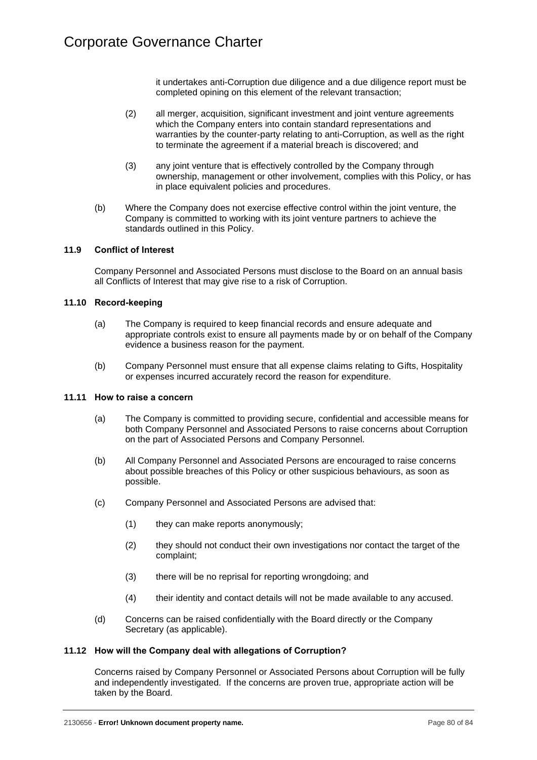it undertakes anti-Corruption due diligence and a due diligence report must be completed opining on this element of the relevant transaction;

- (2) all merger, acquisition, significant investment and joint venture agreements which the Company enters into contain standard representations and warranties by the counter-party relating to anti-Corruption, as well as the right to terminate the agreement if a material breach is discovered; and
- (3) any joint venture that is effectively controlled by the Company through ownership, management or other involvement, complies with this Policy, or has in place equivalent policies and procedures.
- (b) Where the Company does not exercise effective control within the joint venture, the Company is committed to working with its joint venture partners to achieve the standards outlined in this Policy.

## **11.9 Conflict of Interest**

Company Personnel and Associated Persons must disclose to the Board on an annual basis all Conflicts of Interest that may give rise to a risk of Corruption.

#### **11.10 Record-keeping**

- (a) The Company is required to keep financial records and ensure adequate and appropriate controls exist to ensure all payments made by or on behalf of the Company evidence a business reason for the payment.
- (b) Company Personnel must ensure that all expense claims relating to Gifts, Hospitality or expenses incurred accurately record the reason for expenditure.

#### **11.11 How to raise a concern**

- (a) The Company is committed to providing secure, confidential and accessible means for both Company Personnel and Associated Persons to raise concerns about Corruption on the part of Associated Persons and Company Personnel.
- (b) All Company Personnel and Associated Persons are encouraged to raise concerns about possible breaches of this Policy or other suspicious behaviours, as soon as possible.
- (c) Company Personnel and Associated Persons are advised that:
	- (1) they can make reports anonymously;
	- (2) they should not conduct their own investigations nor contact the target of the complaint;
	- (3) there will be no reprisal for reporting wrongdoing; and
	- (4) their identity and contact details will not be made available to any accused.
- (d) Concerns can be raised confidentially with the Board directly or the Company Secretary (as applicable).

#### **11.12 How will the Company deal with allegations of Corruption?**

Concerns raised by Company Personnel or Associated Persons about Corruption will be fully and independently investigated. If the concerns are proven true, appropriate action will be taken by the Board.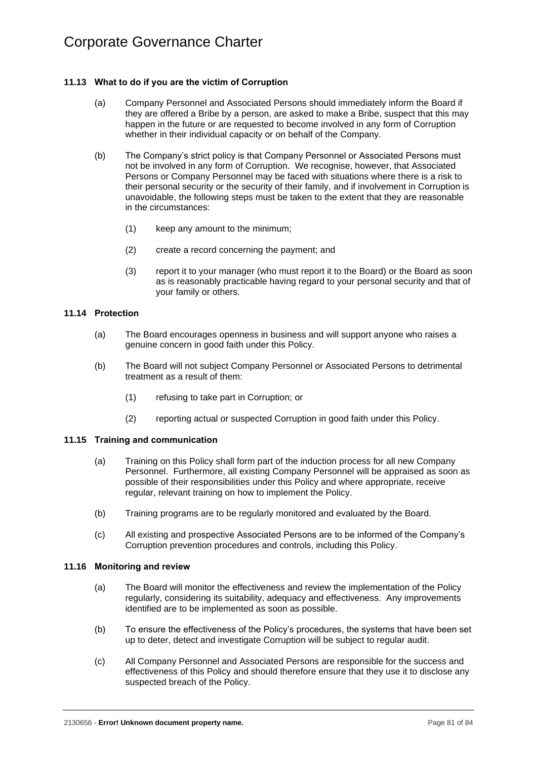## **11.13 What to do if you are the victim of Corruption**

- (a) Company Personnel and Associated Persons should immediately inform the Board if they are offered a Bribe by a person, are asked to make a Bribe, suspect that this may happen in the future or are requested to become involved in any form of Corruption whether in their individual capacity or on behalf of the Company.
- (b) The Company's strict policy is that Company Personnel or Associated Persons must not be involved in any form of Corruption. We recognise, however, that Associated Persons or Company Personnel may be faced with situations where there is a risk to their personal security or the security of their family, and if involvement in Corruption is unavoidable, the following steps must be taken to the extent that they are reasonable in the circumstances:
	- (1) keep any amount to the minimum;
	- (2) create a record concerning the payment; and
	- (3) report it to your manager (who must report it to the Board) or the Board as soon as is reasonably practicable having regard to your personal security and that of your family or others.

## **11.14 Protection**

- (a) The Board encourages openness in business and will support anyone who raises a genuine concern in good faith under this Policy.
- (b) The Board will not subject Company Personnel or Associated Persons to detrimental treatment as a result of them:
	- (1) refusing to take part in Corruption; or
	- (2) reporting actual or suspected Corruption in good faith under this Policy.

## **11.15 Training and communication**

- (a) Training on this Policy shall form part of the induction process for all new Company Personnel. Furthermore, all existing Company Personnel will be appraised as soon as possible of their responsibilities under this Policy and where appropriate, receive regular, relevant training on how to implement the Policy.
- (b) Training programs are to be regularly monitored and evaluated by the Board.
- (c) All existing and prospective Associated Persons are to be informed of the Company's Corruption prevention procedures and controls, including this Policy.

#### **11.16 Monitoring and review**

- (a) The Board will monitor the effectiveness and review the implementation of the Policy regularly, considering its suitability, adequacy and effectiveness. Any improvements identified are to be implemented as soon as possible.
- (b) To ensure the effectiveness of the Policy's procedures, the systems that have been set up to deter, detect and investigate Corruption will be subject to regular audit.
- (c) All Company Personnel and Associated Persons are responsible for the success and effectiveness of this Policy and should therefore ensure that they use it to disclose any suspected breach of the Policy.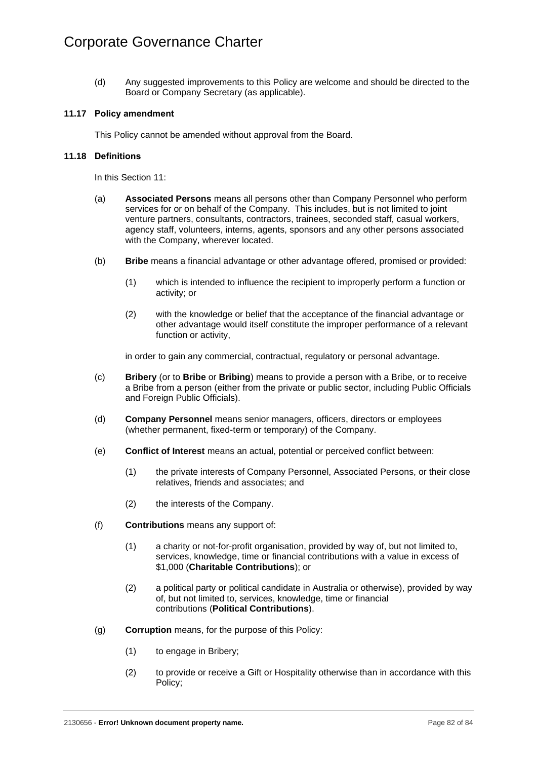(d) Any suggested improvements to this Policy are welcome and should be directed to the Board or Company Secretary (as applicable).

## **11.17 Policy amendment**

This Policy cannot be amended without approval from the Board.

# **11.18 Definitions**

In this [Section](#page-79-0) 11:

- (a) **Associated Persons** means all persons other than Company Personnel who perform services for or on behalf of the Company. This includes, but is not limited to joint venture partners, consultants, contractors, trainees, seconded staff, casual workers, agency staff, volunteers, interns, agents, sponsors and any other persons associated with the Company, wherever located.
- (b) **Bribe** means a financial advantage or other advantage offered, promised or provided:
	- (1) which is intended to influence the recipient to improperly perform a function or activity; or
	- (2) with the knowledge or belief that the acceptance of the financial advantage or other advantage would itself constitute the improper performance of a relevant function or activity,

in order to gain any commercial, contractual, regulatory or personal advantage.

- (c) **Bribery** (or to **Bribe** or **Bribing**) means to provide a person with a Bribe, or to receive a Bribe from a person (either from the private or public sector, including Public Officials and Foreign Public Officials).
- (d) **Company Personnel** means senior managers, officers, directors or employees (whether permanent, fixed-term or temporary) of the Company.
- (e) **Conflict of Interest** means an actual, potential or perceived conflict between:
	- (1) the private interests of Company Personnel, Associated Persons, or their close relatives, friends and associates; and
	- (2) the interests of the Company.
- (f) **Contributions** means any support of:
	- (1) a charity or not-for-profit organisation, provided by way of, but not limited to, services, knowledge, time or financial contributions with a value in excess of \$1,000 (**Charitable Contributions**); or
	- (2) a political party or political candidate in Australia or otherwise), provided by way of, but not limited to, services, knowledge, time or financial contributions (**Political Contributions**).
- (g) **Corruption** means, for the purpose of this Policy:
	- (1) to engage in Bribery;
	- (2) to provide or receive a Gift or Hospitality otherwise than in accordance with this Policy;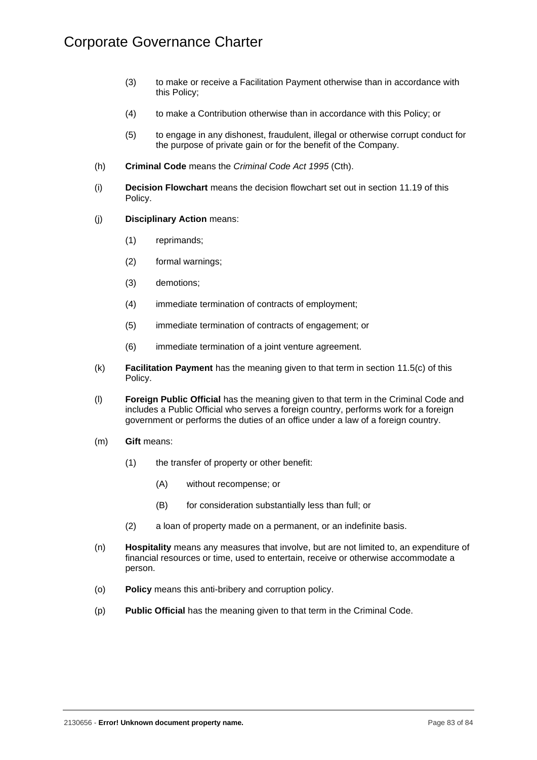- (3) to make or receive a Facilitation Payment otherwise than in accordance with this Policy;
- (4) to make a Contribution otherwise than in accordance with this Policy; or
- (5) to engage in any dishonest, fraudulent, illegal or otherwise corrupt conduct for the purpose of private gain or for the benefit of the Company.
- (h) **Criminal Code** means the *Criminal Code Act 1995* (Cth).
- (i) **Decision Flowchart** means the decision flowchart set out in section [11.19](#page-87-0) of this Policy.
- (j) **Disciplinary Action** means:
	- (1) reprimands;
	- (2) formal warnings;
	- (3) demotions;
	- (4) immediate termination of contracts of employment;
	- (5) immediate termination of contracts of engagement; or
	- (6) immediate termination of a joint venture agreement.
- (k) **Facilitation Payment** has the meaning given to that term in section [11.5\(c\)](#page-81-0) of this Policy.
- (l) **Foreign Public Official** has the meaning given to that term in the Criminal Code and includes a Public Official who serves a foreign country, performs work for a foreign government or performs the duties of an office under a law of a foreign country.
- (m) **Gift** means:
	- (1) the transfer of property or other benefit:
		- (A) without recompense; or
		- (B) for consideration substantially less than full; or
	- (2) a loan of property made on a permanent, or an indefinite basis.
- (n) **Hospitality** means any measures that involve, but are not limited to, an expenditure of financial resources or time, used to entertain, receive or otherwise accommodate a person.
- (o) **Policy** means this anti-bribery and corruption policy.
- (p) **Public Official** has the meaning given to that term in the Criminal Code.